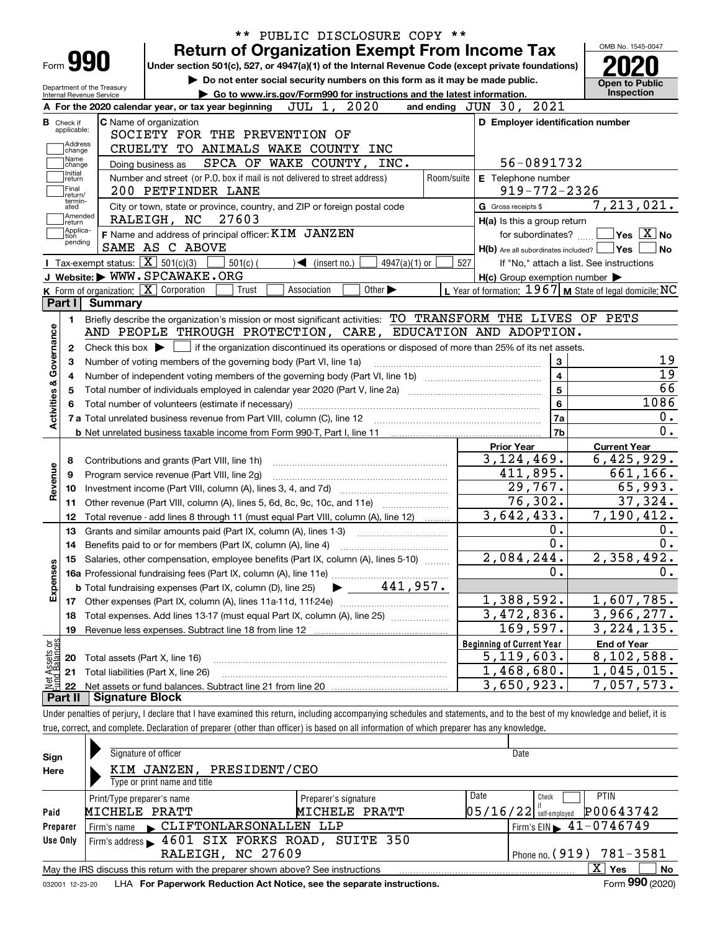| Form 990                                                                                                                |                                                                                                                                                                                                                                                                                                                                                                                                                                                                                                                                                                                                                                                                                                                                                                                                                                                                                                                                                                                                                                                                                                                                                                                                                                                                                                                                                                                                                                                                                                                                                                                                                                                                                                                                                                                                                                                                                                                                                                                                                                                                                                                                                                                                                                |                     |  |
|-------------------------------------------------------------------------------------------------------------------------|--------------------------------------------------------------------------------------------------------------------------------------------------------------------------------------------------------------------------------------------------------------------------------------------------------------------------------------------------------------------------------------------------------------------------------------------------------------------------------------------------------------------------------------------------------------------------------------------------------------------------------------------------------------------------------------------------------------------------------------------------------------------------------------------------------------------------------------------------------------------------------------------------------------------------------------------------------------------------------------------------------------------------------------------------------------------------------------------------------------------------------------------------------------------------------------------------------------------------------------------------------------------------------------------------------------------------------------------------------------------------------------------------------------------------------------------------------------------------------------------------------------------------------------------------------------------------------------------------------------------------------------------------------------------------------------------------------------------------------------------------------------------------------------------------------------------------------------------------------------------------------------------------------------------------------------------------------------------------------------------------------------------------------------------------------------------------------------------------------------------------------------------------------------------------------------------------------------------------------|---------------------|--|
| Department of the Treasury                                                                                              |                                                                                                                                                                                                                                                                                                                                                                                                                                                                                                                                                                                                                                                                                                                                                                                                                                                                                                                                                                                                                                                                                                                                                                                                                                                                                                                                                                                                                                                                                                                                                                                                                                                                                                                                                                                                                                                                                                                                                                                                                                                                                                                                                                                                                                |                     |  |
| <b>Internal Revenue Service</b>                                                                                         |                                                                                                                                                                                                                                                                                                                                                                                                                                                                                                                                                                                                                                                                                                                                                                                                                                                                                                                                                                                                                                                                                                                                                                                                                                                                                                                                                                                                                                                                                                                                                                                                                                                                                                                                                                                                                                                                                                                                                                                                                                                                                                                                                                                                                                |                     |  |
| A For the 2020 calendar year, or tax year beginning                                                                     |                                                                                                                                                                                                                                                                                                                                                                                                                                                                                                                                                                                                                                                                                                                                                                                                                                                                                                                                                                                                                                                                                                                                                                                                                                                                                                                                                                                                                                                                                                                                                                                                                                                                                                                                                                                                                                                                                                                                                                                                                                                                                                                                                                                                                                |                     |  |
| <b>C</b> Name of organization<br><b>B</b> Check if<br>applicable:                                                       |                                                                                                                                                                                                                                                                                                                                                                                                                                                                                                                                                                                                                                                                                                                                                                                                                                                                                                                                                                                                                                                                                                                                                                                                                                                                                                                                                                                                                                                                                                                                                                                                                                                                                                                                                                                                                                                                                                                                                                                                                                                                                                                                                                                                                                |                     |  |
| SOCIETY FOR THE PREVENTION OF<br>Address                                                                                |                                                                                                                                                                                                                                                                                                                                                                                                                                                                                                                                                                                                                                                                                                                                                                                                                                                                                                                                                                                                                                                                                                                                                                                                                                                                                                                                                                                                                                                                                                                                                                                                                                                                                                                                                                                                                                                                                                                                                                                                                                                                                                                                                                                                                                |                     |  |
| CRUELTY TO ANIMALS WAKE COUNTY INC<br>change<br>Name                                                                    |                                                                                                                                                                                                                                                                                                                                                                                                                                                                                                                                                                                                                                                                                                                                                                                                                                                                                                                                                                                                                                                                                                                                                                                                                                                                                                                                                                                                                                                                                                                                                                                                                                                                                                                                                                                                                                                                                                                                                                                                                                                                                                                                                                                                                                |                     |  |
| Doing business as<br>change<br>Initial                                                                                  |                                                                                                                                                                                                                                                                                                                                                                                                                                                                                                                                                                                                                                                                                                                                                                                                                                                                                                                                                                                                                                                                                                                                                                                                                                                                                                                                                                                                                                                                                                                                                                                                                                                                                                                                                                                                                                                                                                                                                                                                                                                                                                                                                                                                                                |                     |  |
| Number and street (or P.O. box if mail is not delivered to street address)<br>return                                    |                                                                                                                                                                                                                                                                                                                                                                                                                                                                                                                                                                                                                                                                                                                                                                                                                                                                                                                                                                                                                                                                                                                                                                                                                                                                                                                                                                                                                                                                                                                                                                                                                                                                                                                                                                                                                                                                                                                                                                                                                                                                                                                                                                                                                                |                     |  |
| Final<br>200 PETFINDER LANE<br>return/<br>termin-                                                                       |                                                                                                                                                                                                                                                                                                                                                                                                                                                                                                                                                                                                                                                                                                                                                                                                                                                                                                                                                                                                                                                                                                                                                                                                                                                                                                                                                                                                                                                                                                                                                                                                                                                                                                                                                                                                                                                                                                                                                                                                                                                                                                                                                                                                                                |                     |  |
| City or town, state or province, country, and ZIP or foreign postal code<br>ated                                        |                                                                                                                                                                                                                                                                                                                                                                                                                                                                                                                                                                                                                                                                                                                                                                                                                                                                                                                                                                                                                                                                                                                                                                                                                                                                                                                                                                                                                                                                                                                                                                                                                                                                                                                                                                                                                                                                                                                                                                                                                                                                                                                                                                                                                                | G Gross receipts \$ |  |
| Amended<br>RALEIGH, NC<br> return                                                                                       |                                                                                                                                                                                                                                                                                                                                                                                                                                                                                                                                                                                                                                                                                                                                                                                                                                                                                                                                                                                                                                                                                                                                                                                                                                                                                                                                                                                                                                                                                                                                                                                                                                                                                                                                                                                                                                                                                                                                                                                                                                                                                                                                                                                                                                |                     |  |
| Applica-<br>F Name and address of principal officer: KIM JANZEN<br>ition<br>pending                                     |                                                                                                                                                                                                                                                                                                                                                                                                                                                                                                                                                                                                                                                                                                                                                                                                                                                                                                                                                                                                                                                                                                                                                                                                                                                                                                                                                                                                                                                                                                                                                                                                                                                                                                                                                                                                                                                                                                                                                                                                                                                                                                                                                                                                                                |                     |  |
| SAME AS C ABOVE                                                                                                         |                                                                                                                                                                                                                                                                                                                                                                                                                                                                                                                                                                                                                                                                                                                                                                                                                                                                                                                                                                                                                                                                                                                                                                                                                                                                                                                                                                                                                                                                                                                                                                                                                                                                                                                                                                                                                                                                                                                                                                                                                                                                                                                                                                                                                                |                     |  |
| Tax-exempt status: $\boxed{\mathbf{X}}$ 501(c)(3)<br>$4947(a)(1)$ or<br>$501(c)$ (<br>$\blacktriangleleft$ (insert no.) | 527                                                                                                                                                                                                                                                                                                                                                                                                                                                                                                                                                                                                                                                                                                                                                                                                                                                                                                                                                                                                                                                                                                                                                                                                                                                                                                                                                                                                                                                                                                                                                                                                                                                                                                                                                                                                                                                                                                                                                                                                                                                                                                                                                                                                                            |                     |  |
| J Website: WWW.SPCAWAKE.ORG                                                                                             |                                                                                                                                                                                                                                                                                                                                                                                                                                                                                                                                                                                                                                                                                                                                                                                                                                                                                                                                                                                                                                                                                                                                                                                                                                                                                                                                                                                                                                                                                                                                                                                                                                                                                                                                                                                                                                                                                                                                                                                                                                                                                                                                                                                                                                |                     |  |
| K Form of organization: X Corporation<br>Other $\blacktriangleright$<br>Trust<br>Association                            |                                                                                                                                                                                                                                                                                                                                                                                                                                                                                                                                                                                                                                                                                                                                                                                                                                                                                                                                                                                                                                                                                                                                                                                                                                                                                                                                                                                                                                                                                                                                                                                                                                                                                                                                                                                                                                                                                                                                                                                                                                                                                                                                                                                                                                |                     |  |
| Part I<br>Summary                                                                                                       |                                                                                                                                                                                                                                                                                                                                                                                                                                                                                                                                                                                                                                                                                                                                                                                                                                                                                                                                                                                                                                                                                                                                                                                                                                                                                                                                                                                                                                                                                                                                                                                                                                                                                                                                                                                                                                                                                                                                                                                                                                                                                                                                                                                                                                |                     |  |
| 1.                                                                                                                      |                                                                                                                                                                                                                                                                                                                                                                                                                                                                                                                                                                                                                                                                                                                                                                                                                                                                                                                                                                                                                                                                                                                                                                                                                                                                                                                                                                                                                                                                                                                                                                                                                                                                                                                                                                                                                                                                                                                                                                                                                                                                                                                                                                                                                                |                     |  |
| 4                                                                                                                       |                                                                                                                                                                                                                                                                                                                                                                                                                                                                                                                                                                                                                                                                                                                                                                                                                                                                                                                                                                                                                                                                                                                                                                                                                                                                                                                                                                                                                                                                                                                                                                                                                                                                                                                                                                                                                                                                                                                                                                                                                                                                                                                                                                                                                                |                     |  |
| 5                                                                                                                       |                                                                                                                                                                                                                                                                                                                                                                                                                                                                                                                                                                                                                                                                                                                                                                                                                                                                                                                                                                                                                                                                                                                                                                                                                                                                                                                                                                                                                                                                                                                                                                                                                                                                                                                                                                                                                                                                                                                                                                                                                                                                                                                                                                                                                                |                     |  |
|                                                                                                                         |                                                                                                                                                                                                                                                                                                                                                                                                                                                                                                                                                                                                                                                                                                                                                                                                                                                                                                                                                                                                                                                                                                                                                                                                                                                                                                                                                                                                                                                                                                                                                                                                                                                                                                                                                                                                                                                                                                                                                                                                                                                                                                                                                                                                                                |                     |  |
|                                                                                                                         |                                                                                                                                                                                                                                                                                                                                                                                                                                                                                                                                                                                                                                                                                                                                                                                                                                                                                                                                                                                                                                                                                                                                                                                                                                                                                                                                                                                                                                                                                                                                                                                                                                                                                                                                                                                                                                                                                                                                                                                                                                                                                                                                                                                                                                |                     |  |
|                                                                                                                         |                                                                                                                                                                                                                                                                                                                                                                                                                                                                                                                                                                                                                                                                                                                                                                                                                                                                                                                                                                                                                                                                                                                                                                                                                                                                                                                                                                                                                                                                                                                                                                                                                                                                                                                                                                                                                                                                                                                                                                                                                                                                                                                                                                                                                                | <b>Prior Year</b>   |  |
| Contributions and grants (Part VIII, line 1h)<br>8                                                                      | PUBLIC DISCLOSURE COPY **<br>OMB No. 1545-0047<br><b>Return of Organization Exempt From Income Tax</b><br>Under section 501(c), 527, or 4947(a)(1) of the Internal Revenue Code (except private foundations)<br>Do not enter social security numbers on this form as it may be made public.<br><b>Open to Public</b><br><b>Inspection</b><br>Go to www.irs.gov/Form990 for instructions and the latest information.<br>2021<br>JUL 1, 2020<br>and ending $JUN$ $30$ ,<br>D Employer identification number<br>SPCA OF WAKE COUNTY, INC.<br>56-0891732<br>E Telephone number<br>Room/suite<br>$919 - 772 - 2326$<br>7, 213, 021.<br>27603<br>H(a) Is this a group return<br>$\sqrt{}$ Yes $\sqrt{}$ X $\sqrt{}$ No<br>for subordinates?<br>H(b) Are all subordinates included? Ves<br>l No<br>If "No," attach a list. See instructions<br>$H(c)$ Group exemption number $\blacktriangleright$<br>L Year of formation: $1967$ M State of legal domicile: NC<br>Briefly describe the organization's mission or most significant activities: TO TRANSFORM THE LIVES OF PETS<br>AND PEOPLE THROUGH PROTECTION, CARE, EDUCATION AND ADOPTION.<br>if the organization discontinued its operations or disposed of more than 25% of its net assets.<br><u> 19</u><br>Number of voting members of the governing body (Part VI, line 1a)<br>3<br>$\overline{19}$<br>4<br>66<br>5<br>1086<br>$\bf 6$<br>0.<br>7a<br>0.<br>7b<br><b>Current Year</b><br>3, 124, 469.<br>6,425,929.<br>411,895.<br>661,166.<br>65,993.<br>29,767.<br>37,324.<br>76,302.<br>3,642,433.<br>7,190,412.<br>0.<br>$0$ .<br>0.<br>0.<br>2,084,244.<br>2,358,492.<br>0.<br>0.<br>441,957.<br>1,388,592.<br>1,607,785.<br>3,472,836.<br>3,966,277.<br>169,597.<br>3, 224, 135.<br><b>Beginning of Current Year</b><br><b>End of Year</b><br>$\overline{5,119},603.$<br>8,102,588.<br>1,468,680.<br>1,045,015.<br>3,650,923.<br>7,057,573.<br>Under penalties of perjury, I declare that I have examined this return, including accompanying schedules and statements, and to the best of my knowledge and belief, it is<br>true, correct, and complete. Declaration of preparer (other than officer) is based on all information of which preparer has any knowledge. |                     |  |
| Program service revenue (Part VIII, line 2g)<br>9                                                                       |                                                                                                                                                                                                                                                                                                                                                                                                                                                                                                                                                                                                                                                                                                                                                                                                                                                                                                                                                                                                                                                                                                                                                                                                                                                                                                                                                                                                                                                                                                                                                                                                                                                                                                                                                                                                                                                                                                                                                                                                                                                                                                                                                                                                                                |                     |  |
| 10                                                                                                                      |                                                                                                                                                                                                                                                                                                                                                                                                                                                                                                                                                                                                                                                                                                                                                                                                                                                                                                                                                                                                                                                                                                                                                                                                                                                                                                                                                                                                                                                                                                                                                                                                                                                                                                                                                                                                                                                                                                                                                                                                                                                                                                                                                                                                                                |                     |  |
| Other revenue (Part VIII, column (A), lines 5, 6d, 8c, 9c, 10c, and 11e)<br>11                                          |                                                                                                                                                                                                                                                                                                                                                                                                                                                                                                                                                                                                                                                                                                                                                                                                                                                                                                                                                                                                                                                                                                                                                                                                                                                                                                                                                                                                                                                                                                                                                                                                                                                                                                                                                                                                                                                                                                                                                                                                                                                                                                                                                                                                                                |                     |  |
| Total revenue - add lines 8 through 11 (must equal Part VIII, column (A), line 12)<br>12                                |                                                                                                                                                                                                                                                                                                                                                                                                                                                                                                                                                                                                                                                                                                                                                                                                                                                                                                                                                                                                                                                                                                                                                                                                                                                                                                                                                                                                                                                                                                                                                                                                                                                                                                                                                                                                                                                                                                                                                                                                                                                                                                                                                                                                                                |                     |  |
| 13<br>Grants and similar amounts paid (Part IX, column (A), lines 1-3)                                                  |                                                                                                                                                                                                                                                                                                                                                                                                                                                                                                                                                                                                                                                                                                                                                                                                                                                                                                                                                                                                                                                                                                                                                                                                                                                                                                                                                                                                                                                                                                                                                                                                                                                                                                                                                                                                                                                                                                                                                                                                                                                                                                                                                                                                                                |                     |  |
| 14                                                                                                                      |                                                                                                                                                                                                                                                                                                                                                                                                                                                                                                                                                                                                                                                                                                                                                                                                                                                                                                                                                                                                                                                                                                                                                                                                                                                                                                                                                                                                                                                                                                                                                                                                                                                                                                                                                                                                                                                                                                                                                                                                                                                                                                                                                                                                                                |                     |  |
| 15 Salaries, other compensation, employee benefits (Part IX, column (A), lines 5-10)                                    |                                                                                                                                                                                                                                                                                                                                                                                                                                                                                                                                                                                                                                                                                                                                                                                                                                                                                                                                                                                                                                                                                                                                                                                                                                                                                                                                                                                                                                                                                                                                                                                                                                                                                                                                                                                                                                                                                                                                                                                                                                                                                                                                                                                                                                |                     |  |
|                                                                                                                         |                                                                                                                                                                                                                                                                                                                                                                                                                                                                                                                                                                                                                                                                                                                                                                                                                                                                                                                                                                                                                                                                                                                                                                                                                                                                                                                                                                                                                                                                                                                                                                                                                                                                                                                                                                                                                                                                                                                                                                                                                                                                                                                                                                                                                                |                     |  |
| <b>b</b> Total fundraising expenses (Part IX, column (D), line 25)                                                      |                                                                                                                                                                                                                                                                                                                                                                                                                                                                                                                                                                                                                                                                                                                                                                                                                                                                                                                                                                                                                                                                                                                                                                                                                                                                                                                                                                                                                                                                                                                                                                                                                                                                                                                                                                                                                                                                                                                                                                                                                                                                                                                                                                                                                                |                     |  |
| Other expenses (Part IX, column (A), lines 11a-11d, 11f-24e)<br>17                                                      |                                                                                                                                                                                                                                                                                                                                                                                                                                                                                                                                                                                                                                                                                                                                                                                                                                                                                                                                                                                                                                                                                                                                                                                                                                                                                                                                                                                                                                                                                                                                                                                                                                                                                                                                                                                                                                                                                                                                                                                                                                                                                                                                                                                                                                |                     |  |
| Total expenses. Add lines 13-17 (must equal Part IX, column (A), line 25)<br>18                                         |                                                                                                                                                                                                                                                                                                                                                                                                                                                                                                                                                                                                                                                                                                                                                                                                                                                                                                                                                                                                                                                                                                                                                                                                                                                                                                                                                                                                                                                                                                                                                                                                                                                                                                                                                                                                                                                                                                                                                                                                                                                                                                                                                                                                                                |                     |  |
| Revenue less expenses. Subtract line 18 from line 12<br>19                                                              |                                                                                                                                                                                                                                                                                                                                                                                                                                                                                                                                                                                                                                                                                                                                                                                                                                                                                                                                                                                                                                                                                                                                                                                                                                                                                                                                                                                                                                                                                                                                                                                                                                                                                                                                                                                                                                                                                                                                                                                                                                                                                                                                                                                                                                |                     |  |
|                                                                                                                         |                                                                                                                                                                                                                                                                                                                                                                                                                                                                                                                                                                                                                                                                                                                                                                                                                                                                                                                                                                                                                                                                                                                                                                                                                                                                                                                                                                                                                                                                                                                                                                                                                                                                                                                                                                                                                                                                                                                                                                                                                                                                                                                                                                                                                                |                     |  |
| Total assets (Part X, line 16)<br>20                                                                                    |                                                                                                                                                                                                                                                                                                                                                                                                                                                                                                                                                                                                                                                                                                                                                                                                                                                                                                                                                                                                                                                                                                                                                                                                                                                                                                                                                                                                                                                                                                                                                                                                                                                                                                                                                                                                                                                                                                                                                                                                                                                                                                                                                                                                                                |                     |  |
| Total liabilities (Part X, line 26)<br>21                                                                               |                                                                                                                                                                                                                                                                                                                                                                                                                                                                                                                                                                                                                                                                                                                                                                                                                                                                                                                                                                                                                                                                                                                                                                                                                                                                                                                                                                                                                                                                                                                                                                                                                                                                                                                                                                                                                                                                                                                                                                                                                                                                                                                                                                                                                                |                     |  |
| 22<br>Part II<br><b>Signature Block</b>                                                                                 |                                                                                                                                                                                                                                                                                                                                                                                                                                                                                                                                                                                                                                                                                                                                                                                                                                                                                                                                                                                                                                                                                                                                                                                                                                                                                                                                                                                                                                                                                                                                                                                                                                                                                                                                                                                                                                                                                                                                                                                                                                                                                                                                                                                                                                |                     |  |

| Sign            | Signature of officer                                                            |                      | Date |                                         |
|-----------------|---------------------------------------------------------------------------------|----------------------|------|-----------------------------------------|
| Here            | KIM JANZEN, PRESIDENT/CEO                                                       |                      |      |                                         |
|                 | Type or print name and title                                                    |                      |      |                                         |
|                 | Print/Type preparer's name                                                      | Preparer's signature | Date | <b>PTIN</b><br>Check                    |
| Paid            | MICHELE PRATT                                                                   | MICHELE PRATT        |      | P00643742<br>$ 05/16/22 $ self-employed |
| Preparer        | CLIFTONLARSONALLEN LLP<br>Firm's name                                           |                      |      | $I$ Firm's EIN $\rightarrow$ 41-0746749 |
| Use Only        | Firm's address 1601 SIX FORKS ROAD, SUITE 350                                   |                      |      |                                         |
|                 | RALEIGH, NC 27609                                                               |                      |      | Phone no. (919) 781-3581                |
|                 | May the IRS discuss this return with the preparer shown above? See instructions |                      |      | $\mathbf{X}$<br>No<br>Yes               |
| 032001 12-23-20 | LHA For Paperwork Reduction Act Notice, see the separate instructions.          |                      |      | Form 990 (2020)                         |

032001 12-23-20 LHA **For Paperwork Reduction Act Notice, see the separate instructions.**<br>032001 12-23-20 LHA **For Paperwork Reduction Act Notice, see the separate instructions.**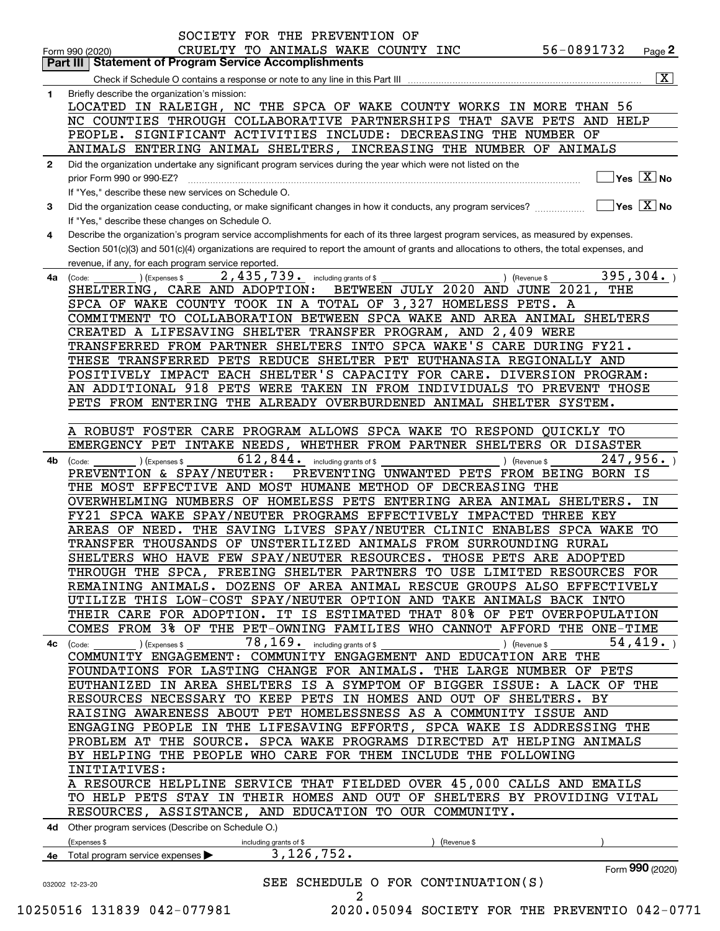|              | SOCIETY FOR THE PREVENTION OF                                                                                                                                                                                                |
|--------------|------------------------------------------------------------------------------------------------------------------------------------------------------------------------------------------------------------------------------|
|              | 56-0891732<br>CRUELTY TO ANIMALS WAKE COUNTY INC<br>Page 2<br>Form 990 (2020)                                                                                                                                                |
|              | <b>Part III   Statement of Program Service Accomplishments</b>                                                                                                                                                               |
|              | $\overline{\mathbf{x}}$                                                                                                                                                                                                      |
| 1            | Briefly describe the organization's mission:                                                                                                                                                                                 |
|              | LOCATED IN RALEIGH, NC THE SPCA OF WAKE COUNTY WORKS IN MORE THAN 56                                                                                                                                                         |
|              | NC COUNTIES THROUGH COLLABORATIVE PARTNERSHIPS THAT SAVE PETS AND HELP                                                                                                                                                       |
|              | PEOPLE. SIGNIFICANT ACTIVITIES INCLUDE: DECREASING THE NUMBER OF<br>ANIMALS ENTERING ANIMAL SHELTERS, INCREASING THE NUMBER OF ANIMALS                                                                                       |
|              |                                                                                                                                                                                                                              |
| $\mathbf{2}$ | Did the organization undertake any significant program services during the year which were not listed on the<br>$\overline{\mathsf{Yes}\mathrel{\hspace{0.05cm}\mathbf{X}}$ No                                               |
|              | prior Form 990 or 990-EZ?                                                                                                                                                                                                    |
| 3            | If "Yes," describe these new services on Schedule O.<br>$\overline{\mathsf{Yes}}$ $\overline{\mathsf{X}}$ No<br>Did the organization cease conducting, or make significant changes in how it conducts, any program services? |
|              | If "Yes," describe these changes on Schedule O.                                                                                                                                                                              |
| 4            | Describe the organization's program service accomplishments for each of its three largest program services, as measured by expenses.                                                                                         |
|              | Section 501(c)(3) and 501(c)(4) organizations are required to report the amount of grants and allocations to others, the total expenses, and                                                                                 |
|              | revenue, if any, for each program service reported.                                                                                                                                                                          |
| 4a           | 2,435,739. including grants of \$<br>395, 304.<br>) (Revenue \$<br>(Code:<br>(Expenses \$                                                                                                                                    |
|              | BETWEEN JULY 2020 AND JUNE 2021, THE<br>SHELTERING, CARE AND ADOPTION:                                                                                                                                                       |
|              | SPCA OF WAKE COUNTY TOOK IN A TOTAL OF 3,327 HOMELESS PETS. A                                                                                                                                                                |
|              | COMMITMENT TO COLLABORATION BETWEEN SPCA WAKE AND AREA ANIMAL SHELTERS                                                                                                                                                       |
|              | CREATED A LIFESAVING SHELTER TRANSFER PROGRAM, AND 2,409 WERE                                                                                                                                                                |
|              | TRANSFERRED FROM PARTNER SHELTERS INTO SPCA WAKE'S CARE DURING FY21.                                                                                                                                                         |
|              | THESE TRANSFERRED PETS REDUCE SHELTER PET EUTHANASIA REGIONALLY AND                                                                                                                                                          |
|              | POSITIVELY IMPACT EACH SHELTER'S CAPACITY FOR CARE. DIVERSION PROGRAM:                                                                                                                                                       |
|              | AN ADDITIONAL 918 PETS WERE TAKEN IN FROM INDIVIDUALS TO PREVENT THOSE                                                                                                                                                       |
|              | PETS FROM ENTERING THE ALREADY OVERBURDENED ANIMAL SHELTER SYSTEM.                                                                                                                                                           |
|              |                                                                                                                                                                                                                              |
|              | A ROBUST FOSTER CARE PROGRAM ALLOWS SPCA WAKE TO RESPOND QUICKLY TO                                                                                                                                                          |
|              | EMERGENCY PET INTAKE NEEDS, WHETHER FROM PARTNER SHELTERS OR DISASTER                                                                                                                                                        |
| 4b           | $612, 844$ . including grants of \$<br>247,956.<br>(Expenses \$<br>) (Revenue \$<br>(Code:                                                                                                                                   |
|              | PREVENTION & SPAY/NEUTER:<br>PREVENTING UNWANTED PETS FROM BEING BORN IS                                                                                                                                                     |
|              | THE MOST EFFECTIVE AND MOST HUMANE METHOD OF DECREASING THE                                                                                                                                                                  |
|              | OVERWHELMING NUMBERS OF HOMELESS PETS ENTERING AREA ANIMAL SHELTERS.<br>ΙN                                                                                                                                                   |
|              | FY21 SPCA WAKE SPAY/NEUTER PROGRAMS EFFECTIVELY IMPACTED THREE KEY                                                                                                                                                           |
|              | THE SAVING LIVES SPAY/NEUTER CLINIC ENABLES SPCA WAKE TO<br>AREAS OF NEED.                                                                                                                                                   |
|              | TRANSFER THOUSANDS OF UNSTERILIZED ANIMALS FROM SURROUNDING RURAL                                                                                                                                                            |
|              | SHELTERS WHO HAVE FEW SPAY/NEUTER RESOURCES. THOSE PETS ARE ADOPTED                                                                                                                                                          |
|              | THROUGH THE SPCA, FREEING SHELTER PARTNERS TO USE LIMITED RESOURCES FOR                                                                                                                                                      |
|              | REMAINING ANIMALS. DOZENS OF AREA ANIMAL RESCUE GROUPS ALSO EFFECTIVELY                                                                                                                                                      |
|              | UTILIZE THIS LOW-COST SPAY/NEUTER OPTION AND TAKE ANIMALS BACK INTO                                                                                                                                                          |
|              | THEIR CARE FOR ADOPTION. IT IS ESTIMATED THAT 80% OF PET OVERPOPULATION                                                                                                                                                      |
|              | COMES FROM 3% OF THE PET-OWNING FAMILIES WHO CANNOT AFFORD THE ONE-TIME                                                                                                                                                      |
|              | 78, 169. including grants of \$<br>54,419.<br>) (Expenses \$<br>) (Revenue \$<br>4c (Code:                                                                                                                                   |
|              | COMMUNITY ENGAGEMENT: COMMUNITY ENGAGEMENT AND EDUCATION ARE THE                                                                                                                                                             |
|              | FOUNDATIONS FOR LASTING CHANGE FOR ANIMALS. THE LARGE NUMBER OF PETS                                                                                                                                                         |
|              | EUTHANIZED IN AREA SHELTERS IS A SYMPTOM OF BIGGER ISSUE: A LACK OF THE                                                                                                                                                      |
|              | RESOURCES NECESSARY TO KEEP PETS IN HOMES AND OUT OF SHELTERS. BY                                                                                                                                                            |
|              | RAISING AWARENESS ABOUT PET HOMELESSNESS AS A COMMUNITY ISSUE AND                                                                                                                                                            |
|              | ENGAGING PEOPLE IN THE LIFESAVING EFFORTS, SPCA WAKE IS ADDRESSING THE                                                                                                                                                       |
|              | PROBLEM AT THE SOURCE. SPCA WAKE PROGRAMS DIRECTED AT HELPING ANIMALS                                                                                                                                                        |
|              | BY HELPING THE PEOPLE WHO CARE FOR THEM INCLUDE THE FOLLOWING                                                                                                                                                                |
|              | INITIATIVES:                                                                                                                                                                                                                 |
|              | A RESOURCE HELPLINE SERVICE THAT FIELDED OVER 45,000 CALLS AND EMAILS                                                                                                                                                        |
|              | TO HELP PETS STAY IN THEIR HOMES AND OUT OF SHELTERS BY PROVIDING VITAL                                                                                                                                                      |
|              | RESOURCES, ASSISTANCE, AND EDUCATION TO OUR COMMUNITY.                                                                                                                                                                       |
|              | 4d Other program services (Describe on Schedule O.)                                                                                                                                                                          |
|              | (Expenses \$<br>(Revenue \$<br>including grants of \$                                                                                                                                                                        |
|              | 3,126,752.<br>4e Total program service expenses                                                                                                                                                                              |
|              | Form 990 (2020)                                                                                                                                                                                                              |
|              | SEE SCHEDULE O FOR CONTINUATION(S)<br>032002 12-23-20                                                                                                                                                                        |
|              | 2                                                                                                                                                                                                                            |

 <sup>10250516 131839 042-077981 2020.05094</sup> SOCIETY FOR THE PREVENTIO 042-0771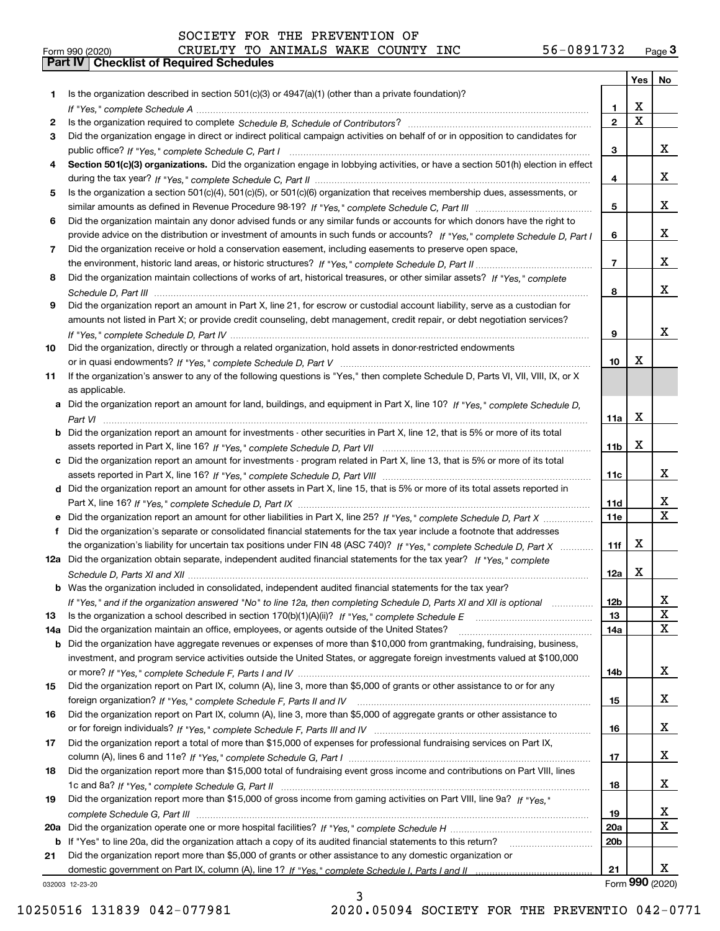|  | Form 990 (2020) |
|--|-----------------|

# Form 990 (2020) CRUELTY TO ANIMALS WAKE COUNTY INC 56-0891732 <sub>Page</sub> 3<br>**Part IV | Checklist of Required Schedules** SOCIETY FOR THE PREVENTION OF

|     |                                                                                                                                       |                 | Yes $ $     | No              |
|-----|---------------------------------------------------------------------------------------------------------------------------------------|-----------------|-------------|-----------------|
| 1   | Is the organization described in section $501(c)(3)$ or $4947(a)(1)$ (other than a private foundation)?                               |                 |             |                 |
|     |                                                                                                                                       | 1.              | х           |                 |
| 2   |                                                                                                                                       | $\overline{2}$  | $\mathbf X$ |                 |
| 3   | Did the organization engage in direct or indirect political campaign activities on behalf of or in opposition to candidates for       |                 |             |                 |
|     |                                                                                                                                       | 3               |             | x               |
| 4   | Section 501(c)(3) organizations. Did the organization engage in lobbying activities, or have a section 501(h) election in effect      |                 |             |                 |
|     |                                                                                                                                       | 4               |             | x               |
| 5   | Is the organization a section 501(c)(4), 501(c)(5), or 501(c)(6) organization that receives membership dues, assessments, or          |                 |             |                 |
|     |                                                                                                                                       | 5               |             | x               |
| 6   | Did the organization maintain any donor advised funds or any similar funds or accounts for which donors have the right to             |                 |             |                 |
|     | provide advice on the distribution or investment of amounts in such funds or accounts? If "Yes," complete Schedule D, Part I          | 6               |             | x               |
| 7   | Did the organization receive or hold a conservation easement, including easements to preserve open space,                             |                 |             |                 |
|     |                                                                                                                                       | $\overline{7}$  |             | x               |
| 8   | Did the organization maintain collections of works of art, historical treasures, or other similar assets? If "Yes," complete          |                 |             |                 |
|     |                                                                                                                                       | 8               |             | x               |
| 9   | Did the organization report an amount in Part X, line 21, for escrow or custodial account liability, serve as a custodian for         |                 |             |                 |
|     | amounts not listed in Part X; or provide credit counseling, debt management, credit repair, or debt negotiation services?             |                 |             |                 |
|     |                                                                                                                                       | 9               |             | x               |
| 10  | Did the organization, directly or through a related organization, hold assets in donor-restricted endowments                          |                 |             |                 |
|     |                                                                                                                                       | 10              | х           |                 |
| 11  | If the organization's answer to any of the following questions is "Yes," then complete Schedule D, Parts VI, VII, VIII, IX, or X      |                 |             |                 |
|     | as applicable.                                                                                                                        |                 |             |                 |
|     | a Did the organization report an amount for land, buildings, and equipment in Part X, line 10? If "Yes." complete Schedule D.         |                 |             |                 |
|     |                                                                                                                                       | 11a             | х           |                 |
|     | <b>b</b> Did the organization report an amount for investments - other securities in Part X, line 12, that is 5% or more of its total |                 |             |                 |
|     |                                                                                                                                       | 11 <sub>b</sub> | х           |                 |
|     | c Did the organization report an amount for investments - program related in Part X, line 13, that is 5% or more of its total         |                 |             |                 |
|     |                                                                                                                                       | 11c             |             | x               |
|     | d Did the organization report an amount for other assets in Part X, line 15, that is 5% or more of its total assets reported in       |                 |             |                 |
|     |                                                                                                                                       | 11d             |             | x               |
|     |                                                                                                                                       | <b>11e</b>      |             | $\mathbf X$     |
| f   | Did the organization's separate or consolidated financial statements for the tax year include a footnote that addresses               |                 |             |                 |
|     | the organization's liability for uncertain tax positions under FIN 48 (ASC 740)? If "Yes," complete Schedule D, Part X                | 11f             | х           |                 |
|     | 12a Did the organization obtain separate, independent audited financial statements for the tax year? If "Yes," complete               |                 |             |                 |
|     |                                                                                                                                       | 12a             | x           |                 |
|     | <b>b</b> Was the organization included in consolidated, independent audited financial statements for the tax year?                    |                 |             |                 |
|     | If "Yes," and if the organization answered "No" to line 12a, then completing Schedule D, Parts XI and XII is optional                 | 12 <sub>b</sub> |             | 47              |
| 13  |                                                                                                                                       | 13              |             | X               |
| 14a | Did the organization maintain an office, employees, or agents outside of the United States?                                           | 14a             |             | X               |
|     | <b>b</b> Did the organization have aggregate revenues or expenses of more than \$10,000 from grantmaking, fundraising, business,      |                 |             |                 |
|     | investment, and program service activities outside the United States, or aggregate foreign investments valued at \$100,000            |                 |             |                 |
|     |                                                                                                                                       | 14b             |             | x               |
| 15  | Did the organization report on Part IX, column (A), line 3, more than \$5,000 of grants or other assistance to or for any             |                 |             |                 |
|     |                                                                                                                                       | 15              |             | x               |
| 16  | Did the organization report on Part IX, column (A), line 3, more than \$5,000 of aggregate grants or other assistance to              |                 |             |                 |
|     |                                                                                                                                       | 16              |             | x               |
| 17  | Did the organization report a total of more than \$15,000 of expenses for professional fundraising services on Part IX,               |                 |             |                 |
|     |                                                                                                                                       | 17              |             | x               |
| 18  | Did the organization report more than \$15,000 total of fundraising event gross income and contributions on Part VIII, lines          |                 |             |                 |
|     |                                                                                                                                       | 18              |             | x               |
| 19  | Did the organization report more than \$15,000 of gross income from gaming activities on Part VIII, line 9a? If "Yes."                |                 |             |                 |
|     |                                                                                                                                       | 19              |             | X               |
|     |                                                                                                                                       | 20a             |             | X               |
|     | b If "Yes" to line 20a, did the organization attach a copy of its audited financial statements to this return?                        | 20b             |             |                 |
| 21  | Did the organization report more than \$5,000 of grants or other assistance to any domestic organization or                           |                 |             |                 |
|     |                                                                                                                                       | 21              |             | x               |
|     | 032003 12-23-20                                                                                                                       |                 |             | Form 990 (2020) |
|     | ર                                                                                                                                     |                 |             |                 |

032003 12-23-20

3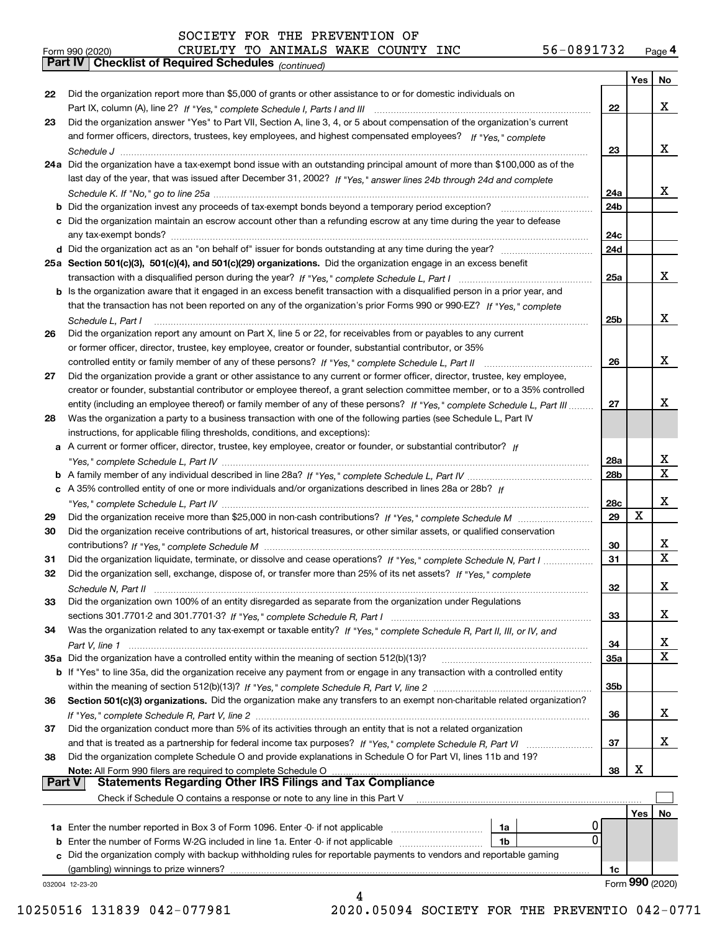|               |                                                                                                                                   |     | Yes | No              |
|---------------|-----------------------------------------------------------------------------------------------------------------------------------|-----|-----|-----------------|
| 22            | Did the organization report more than \$5,000 of grants or other assistance to or for domestic individuals on                     |     |     |                 |
|               |                                                                                                                                   | 22  |     | x               |
| 23            | Did the organization answer "Yes" to Part VII, Section A, line 3, 4, or 5 about compensation of the organization's current        |     |     |                 |
|               | and former officers, directors, trustees, key employees, and highest compensated employees? If "Yes," complete                    |     |     |                 |
|               |                                                                                                                                   | 23  |     | x               |
|               | 24a Did the organization have a tax-exempt bond issue with an outstanding principal amount of more than \$100,000 as of the       |     |     |                 |
|               | last day of the year, that was issued after December 31, 2002? If "Yes," answer lines 24b through 24d and complete                |     |     |                 |
|               |                                                                                                                                   | 24a |     | X.              |
|               | b Did the organization invest any proceeds of tax-exempt bonds beyond a temporary period exception?                               | 24b |     |                 |
|               | c Did the organization maintain an escrow account other than a refunding escrow at any time during the year to defease            |     |     |                 |
|               | any tax-exempt bonds?                                                                                                             | 24c |     |                 |
|               | d Did the organization act as an "on behalf of" issuer for bonds outstanding at any time during the year?                         | 24d |     |                 |
|               | 25a Section 501(c)(3), 501(c)(4), and 501(c)(29) organizations. Did the organization engage in an excess benefit                  |     |     |                 |
|               |                                                                                                                                   |     |     | x               |
|               |                                                                                                                                   | 25a |     |                 |
|               | b Is the organization aware that it engaged in an excess benefit transaction with a disqualified person in a prior year, and      |     |     |                 |
|               | that the transaction has not been reported on any of the organization's prior Forms 990 or 990-EZ? If "Yes." complete             |     |     |                 |
|               | Schedule L. Part I                                                                                                                | 25b |     | x               |
| 26            | Did the organization report any amount on Part X, line 5 or 22, for receivables from or payables to any current                   |     |     |                 |
|               | or former officer, director, trustee, key employee, creator or founder, substantial contributor, or 35%                           |     |     |                 |
|               | controlled entity or family member of any of these persons? If "Yes," complete Schedule L, Part II                                | 26  |     | x               |
| 27            | Did the organization provide a grant or other assistance to any current or former officer, director, trustee, key employee,       |     |     |                 |
|               | creator or founder, substantial contributor or employee thereof, a grant selection committee member, or to a 35% controlled       |     |     |                 |
|               | entity (including an employee thereof) or family member of any of these persons? If "Yes," complete Schedule L, Part III          | 27  |     | х               |
| 28            | Was the organization a party to a business transaction with one of the following parties (see Schedule L, Part IV                 |     |     |                 |
|               | instructions, for applicable filing thresholds, conditions, and exceptions):                                                      |     |     |                 |
|               | a A current or former officer, director, trustee, key employee, creator or founder, or substantial contributor? If                |     |     |                 |
|               |                                                                                                                                   | 28a |     | x               |
|               |                                                                                                                                   | 28b |     | X               |
|               | c A 35% controlled entity of one or more individuals and/or organizations described in lines 28a or 28b? If                       |     |     |                 |
|               |                                                                                                                                   | 28c |     | x               |
| 29            |                                                                                                                                   | 29  | X   |                 |
| 30            | Did the organization receive contributions of art, historical treasures, or other similar assets, or qualified conservation       |     |     |                 |
|               |                                                                                                                                   | 30  |     | x               |
| 31            | Did the organization liquidate, terminate, or dissolve and cease operations? If "Yes," complete Schedule N, Part I                | 31  |     | $\mathbf x$     |
| 32            | Did the organization sell, exchange, dispose of, or transfer more than 25% of its net assets? If "Yes," complete                  |     |     |                 |
|               | Schedule N, Part II                                                                                                               | 32  |     | x               |
| 33            | Did the organization own 100% of an entity disregarded as separate from the organization under Regulations                        |     |     |                 |
|               |                                                                                                                                   | 33  |     | X               |
| 34            | Was the organization related to any tax-exempt or taxable entity? If "Yes," complete Schedule R, Part II, III, or IV, and         |     |     |                 |
|               |                                                                                                                                   | 34  |     | x               |
|               | 35a Did the organization have a controlled entity within the meaning of section 512(b)(13)?                                       | 35a |     | X               |
|               | b If "Yes" to line 35a, did the organization receive any payment from or engage in any transaction with a controlled entity       |     |     |                 |
|               |                                                                                                                                   | 35b |     |                 |
| 36            | Section 501(c)(3) organizations. Did the organization make any transfers to an exempt non-charitable related organization?        |     |     |                 |
|               |                                                                                                                                   | 36  |     | x               |
|               |                                                                                                                                   |     |     |                 |
| 37            | Did the organization conduct more than 5% of its activities through an entity that is not a related organization                  |     |     | x               |
|               | and that is treated as a partnership for federal income tax purposes? If "Yes," complete Schedule R, Part VI                      | 37  |     |                 |
| 38            | Did the organization complete Schedule O and provide explanations in Schedule O for Part VI, lines 11b and 19?                    |     |     |                 |
| <b>Part V</b> | Note: All Form 990 filers are required to complete Schedule O<br><b>Statements Regarding Other IRS Filings and Tax Compliance</b> | 38  | X   |                 |
|               |                                                                                                                                   |     |     |                 |
|               | Check if Schedule O contains a response or note to any line in this Part V                                                        |     |     |                 |
|               |                                                                                                                                   |     | Yes | No              |
|               | 0<br>1a Enter the number reported in Box 3 of Form 1096. Enter -0- if not applicable<br>1a<br>$\mathbf{0}$                        |     |     |                 |
|               | <b>b</b> Enter the number of Forms W-2G included in line 1a. Enter -0- if not applicable<br>1b                                    |     |     |                 |
|               | c Did the organization comply with backup withholding rules for reportable payments to vendors and reportable gaming              |     |     |                 |
|               | (gambling) winnings to prize winners?                                                                                             | 1c  |     |                 |
|               | 032004 12-23-20                                                                                                                   |     |     | Form 990 (2020) |
|               |                                                                                                                                   |     |     |                 |

10250516 131839 042-077981 2020.05094 SOCIETY FOR THE PREVENTIO 042-0771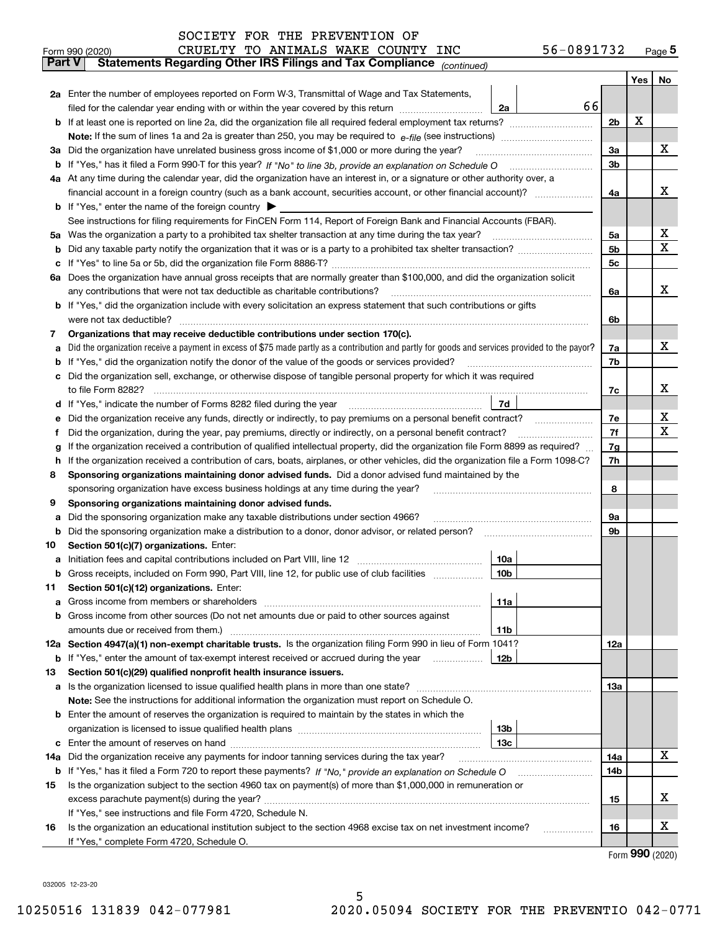| SOCIETY FOR THE PREVENTION OF |  |  |
|-------------------------------|--|--|
|-------------------------------|--|--|

|               | 56-0891732<br>CRUELTY TO ANIMALS WAKE COUNTY INC<br>Form 990 (2020)                                                                                                                                                                  |                |   | Page <sub>5</sub> |
|---------------|--------------------------------------------------------------------------------------------------------------------------------------------------------------------------------------------------------------------------------------|----------------|---|-------------------|
| <b>Part V</b> | Statements Regarding Other IRS Filings and Tax Compliance (continued)                                                                                                                                                                |                |   |                   |
|               |                                                                                                                                                                                                                                      |                |   | Yes   No          |
|               | 2a Enter the number of employees reported on Form W-3, Transmittal of Wage and Tax Statements,                                                                                                                                       |                |   |                   |
|               | 66<br>filed for the calendar year ending with or within the year covered by this return <i>manumumumum</i><br>2a                                                                                                                     |                |   |                   |
|               |                                                                                                                                                                                                                                      | 2 <sub>b</sub> | х |                   |
|               |                                                                                                                                                                                                                                      |                |   |                   |
| За            | Did the organization have unrelated business gross income of \$1,000 or more during the year?                                                                                                                                        | 3a             |   | x                 |
|               |                                                                                                                                                                                                                                      | 3 <sub>b</sub> |   |                   |
|               | 4a At any time during the calendar year, did the organization have an interest in, or a signature or other authority over, a                                                                                                         |                |   |                   |
|               |                                                                                                                                                                                                                                      | 4a             |   | х                 |
|               | <b>b</b> If "Yes," enter the name of the foreign country $\blacktriangleright$                                                                                                                                                       |                |   |                   |
|               | See instructions for filing requirements for FinCEN Form 114, Report of Foreign Bank and Financial Accounts (FBAR).                                                                                                                  |                |   |                   |
|               |                                                                                                                                                                                                                                      | 5a             |   | x                 |
| b             |                                                                                                                                                                                                                                      | 5b             |   | х                 |
|               |                                                                                                                                                                                                                                      | 5c             |   |                   |
|               | 6a Does the organization have annual gross receipts that are normally greater than \$100,000, and did the organization solicit                                                                                                       |                |   |                   |
|               | any contributions that were not tax deductible as charitable contributions?                                                                                                                                                          | 6a             |   | x                 |
|               | <b>b</b> If "Yes," did the organization include with every solicitation an express statement that such contributions or gifts                                                                                                        |                |   |                   |
|               | were not tax deductible?                                                                                                                                                                                                             | 6b             |   |                   |
| 7             | Organizations that may receive deductible contributions under section 170(c).                                                                                                                                                        |                |   |                   |
|               | a Did the organization receive a payment in excess of \$75 made partly as a contribution and partly for goods and services provided to the payor?                                                                                    | 7a             |   | х                 |
|               | <b>b</b> If "Yes," did the organization notify the donor of the value of the goods or services provided?                                                                                                                             | 7b             |   |                   |
|               | c Did the organization sell, exchange, or otherwise dispose of tangible personal property for which it was required                                                                                                                  |                |   |                   |
|               |                                                                                                                                                                                                                                      | 7c             |   | х                 |
|               | 7d<br>d If "Yes," indicate the number of Forms 8282 filed during the year [11] [11] No. 2010 [12] Henry Marian Marian Marian Marian Marian Marian Marian Marian Marian Marian Marian Marian Marian Marian Marian Marian Marian Maria |                |   |                   |
| е             | Did the organization receive any funds, directly or indirectly, to pay premiums on a personal benefit contract?                                                                                                                      | 7e             |   | х                 |
| f             | Did the organization, during the year, pay premiums, directly or indirectly, on a personal benefit contract?                                                                                                                         | 7f             |   | х                 |
| g             | If the organization received a contribution of qualified intellectual property, did the organization file Form 8899 as required?                                                                                                     | 7g             |   |                   |
| h.            | If the organization received a contribution of cars, boats, airplanes, or other vehicles, did the organization file a Form 1098-C?                                                                                                   | 7h             |   |                   |
| 8             | Sponsoring organizations maintaining donor advised funds. Did a donor advised fund maintained by the                                                                                                                                 |                |   |                   |
|               | sponsoring organization have excess business holdings at any time during the year?                                                                                                                                                   | 8              |   |                   |
| 9             | Sponsoring organizations maintaining donor advised funds.                                                                                                                                                                            |                |   |                   |
| а             | Did the sponsoring organization make any taxable distributions under section 4966?                                                                                                                                                   | 9а             |   |                   |
|               | <b>b</b> Did the sponsoring organization make a distribution to a donor, donor advisor, or related person?                                                                                                                           | 9b             |   |                   |
| 10            | Section 501(c)(7) organizations. Enter:                                                                                                                                                                                              |                |   |                   |
|               | 10a<br> 10b                                                                                                                                                                                                                          |                |   |                   |
|               | Gross receipts, included on Form 990, Part VIII, line 12, for public use of club facilities                                                                                                                                          |                |   |                   |
| 11            | Section 501(c)(12) organizations. Enter:                                                                                                                                                                                             |                |   |                   |
|               | 11a<br>b Gross income from other sources (Do not net amounts due or paid to other sources against                                                                                                                                    |                |   |                   |
|               | 11b                                                                                                                                                                                                                                  |                |   |                   |
|               | 12a Section 4947(a)(1) non-exempt charitable trusts. Is the organization filing Form 990 in lieu of Form 1041?                                                                                                                       | 12a            |   |                   |
|               | 12b<br><b>b</b> If "Yes," enter the amount of tax-exempt interest received or accrued during the year <i>manument</i>                                                                                                                |                |   |                   |
| 13            | Section 501(c)(29) qualified nonprofit health insurance issuers.                                                                                                                                                                     |                |   |                   |
|               | <b>a</b> Is the organization licensed to issue qualified health plans in more than one state?                                                                                                                                        | 13а            |   |                   |
|               | Note: See the instructions for additional information the organization must report on Schedule O.                                                                                                                                    |                |   |                   |
|               | <b>b</b> Enter the amount of reserves the organization is required to maintain by the states in which the                                                                                                                            |                |   |                   |
|               | 13b                                                                                                                                                                                                                                  |                |   |                   |
|               | 13с                                                                                                                                                                                                                                  |                |   |                   |
| 14a           | Did the organization receive any payments for indoor tanning services during the tax year?                                                                                                                                           | 14a            |   | x                 |
|               | <b>b</b> If "Yes," has it filed a Form 720 to report these payments? If "No," provide an explanation on Schedule O                                                                                                                   | 14b            |   |                   |
| 15            | Is the organization subject to the section 4960 tax on payment(s) of more than \$1,000,000 in remuneration or                                                                                                                        |                |   |                   |
|               |                                                                                                                                                                                                                                      | 15             |   | X                 |
|               | If "Yes," see instructions and file Form 4720, Schedule N.                                                                                                                                                                           |                |   |                   |
| 16            | Is the organization an educational institution subject to the section 4968 excise tax on net investment income?                                                                                                                      | 16             |   | X                 |
|               | If "Yes," complete Form 4720, Schedule O.                                                                                                                                                                                            |                |   |                   |

5

Form (2020) **990**

032005 12-23-20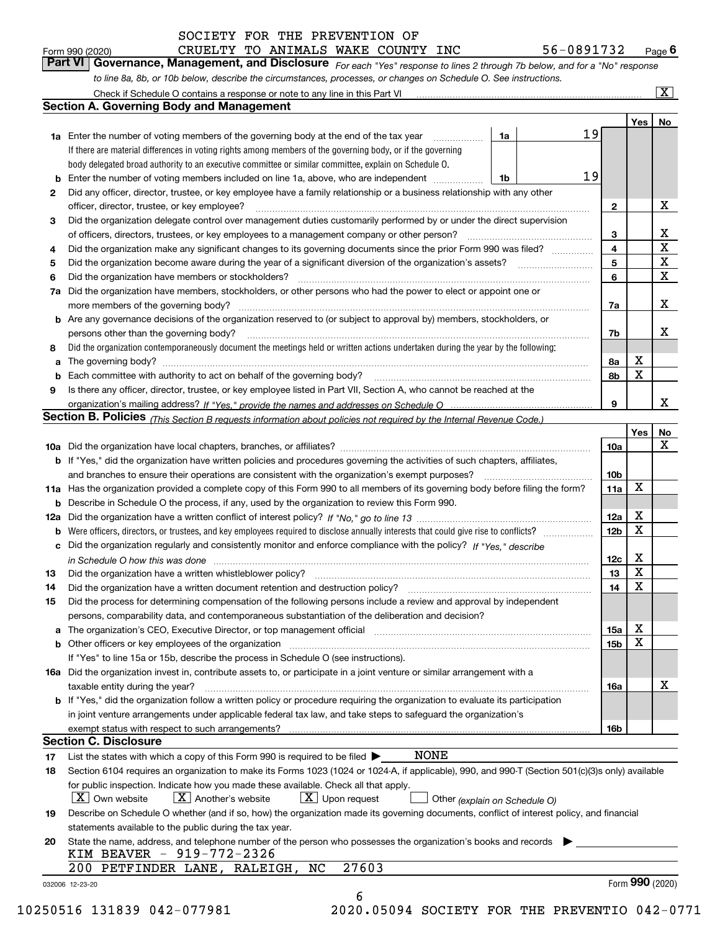| Form 990 (202 |  |
|---------------|--|

| Form 990 (2020) | CRUELTY TO ANIMALS WAKE COUNTY INC |  |  | 56-0891732                                                                                                                  | $P_{\text{aqe}}$ 6 |
|-----------------|------------------------------------|--|--|-----------------------------------------------------------------------------------------------------------------------------|--------------------|
|                 |                                    |  |  | Part VI Governance, Management, and Disclosure For each "Yes" response to lines 2 through 7b below, and for a "No" response |                    |
|                 |                                    |  |  | to line 8a, 8b, or 10b below, describe the circumstances, processes, or changes on Schedule O. See instructions.            |                    |

|    |                                                                                                                                                                                                                                |    |  |  |                        | Yes <sub>1</sub> | No                                                 |  |  |  |  |  |  |
|----|--------------------------------------------------------------------------------------------------------------------------------------------------------------------------------------------------------------------------------|----|--|--|------------------------|------------------|----------------------------------------------------|--|--|--|--|--|--|
|    | <b>1a</b> Enter the number of voting members of the governing body at the end of the tax year                                                                                                                                  | 1a |  |  | 19                     |                  |                                                    |  |  |  |  |  |  |
|    | If there are material differences in voting rights among members of the governing body, or if the governing                                                                                                                    |    |  |  |                        |                  |                                                    |  |  |  |  |  |  |
|    | body delegated broad authority to an executive committee or similar committee, explain on Schedule O.                                                                                                                          |    |  |  |                        |                  |                                                    |  |  |  |  |  |  |
| b  | Enter the number of voting members included on line 1a, above, who are independent <i>manumum</i>                                                                                                                              | 1b |  |  | 19                     |                  |                                                    |  |  |  |  |  |  |
| 2  | Did any officer, director, trustee, or key employee have a family relationship or a business relationship with any other                                                                                                       |    |  |  |                        |                  |                                                    |  |  |  |  |  |  |
|    | officer, director, trustee, or key employee?                                                                                                                                                                                   |    |  |  | $\mathbf{2}$           |                  | X                                                  |  |  |  |  |  |  |
| 3  | Did the organization delegate control over management duties customarily performed by or under the direct supervision                                                                                                          |    |  |  |                        |                  |                                                    |  |  |  |  |  |  |
|    |                                                                                                                                                                                                                                |    |  |  | 3                      |                  | $\mathbf{X}$                                       |  |  |  |  |  |  |
| 4  | Did the organization make any significant changes to its governing documents since the prior Form 990 was filed?                                                                                                               |    |  |  | 4                      |                  | $\overline{\texttt{x}}$                            |  |  |  |  |  |  |
| 5  |                                                                                                                                                                                                                                |    |  |  | 5                      |                  | $\overline{\mathbf{x}}$<br>$\overline{\mathbf{x}}$ |  |  |  |  |  |  |
| 6  | Did the organization have members or stockholders?                                                                                                                                                                             |    |  |  |                        |                  |                                                    |  |  |  |  |  |  |
| 7a | Did the organization have members, stockholders, or other persons who had the power to elect or appoint one or                                                                                                                 |    |  |  |                        |                  |                                                    |  |  |  |  |  |  |
|    |                                                                                                                                                                                                                                |    |  |  | 7a                     |                  | X                                                  |  |  |  |  |  |  |
|    | <b>b</b> Are any governance decisions of the organization reserved to (or subject to approval by) members, stockholders, or                                                                                                    |    |  |  |                        |                  |                                                    |  |  |  |  |  |  |
|    | persons other than the governing body?                                                                                                                                                                                         |    |  |  | 7b                     |                  | X                                                  |  |  |  |  |  |  |
| 8  | Did the organization contemporaneously document the meetings held or written actions undertaken during the year by the following:                                                                                              |    |  |  |                        |                  |                                                    |  |  |  |  |  |  |
| a  |                                                                                                                                                                                                                                |    |  |  | 8а                     | X                |                                                    |  |  |  |  |  |  |
|    |                                                                                                                                                                                                                                |    |  |  | 8b                     | X                |                                                    |  |  |  |  |  |  |
| 9  | Is there any officer, director, trustee, or key employee listed in Part VII, Section A, who cannot be reached at the                                                                                                           |    |  |  |                        |                  |                                                    |  |  |  |  |  |  |
|    |                                                                                                                                                                                                                                |    |  |  | 9                      |                  | X                                                  |  |  |  |  |  |  |
|    | Section B. Policies <sub>(This</sub> Section B requests information about policies not required by the Internal Revenue Code.)                                                                                                 |    |  |  |                        |                  |                                                    |  |  |  |  |  |  |
|    |                                                                                                                                                                                                                                |    |  |  |                        | Yes              | No                                                 |  |  |  |  |  |  |
|    |                                                                                                                                                                                                                                |    |  |  | 10a                    |                  | X                                                  |  |  |  |  |  |  |
|    | <b>b</b> If "Yes," did the organization have written policies and procedures governing the activities of such chapters, affiliates,                                                                                            |    |  |  |                        |                  |                                                    |  |  |  |  |  |  |
|    |                                                                                                                                                                                                                                |    |  |  | 10 <sub>b</sub>        |                  |                                                    |  |  |  |  |  |  |
|    | 11a Has the organization provided a complete copy of this Form 990 to all members of its governing body before filing the form?                                                                                                |    |  |  | 11a                    | X                |                                                    |  |  |  |  |  |  |
|    | <b>b</b> Describe in Schedule O the process, if any, used by the organization to review this Form 990.                                                                                                                         |    |  |  |                        |                  |                                                    |  |  |  |  |  |  |
|    |                                                                                                                                                                                                                                |    |  |  | 12a                    | X                |                                                    |  |  |  |  |  |  |
| b  |                                                                                                                                                                                                                                |    |  |  | 12 <sub>b</sub>        | X                |                                                    |  |  |  |  |  |  |
|    | c Did the organization regularly and consistently monitor and enforce compliance with the policy? If "Yes," describe                                                                                                           |    |  |  |                        |                  |                                                    |  |  |  |  |  |  |
|    | in Schedule O how this was done measured and the control of the control of the state of the control of the control of the control of the control of the control of the control of the control of the control of the control of |    |  |  | 12c                    | X<br>$\mathbf x$ |                                                    |  |  |  |  |  |  |
| 13 |                                                                                                                                                                                                                                |    |  |  | 13                     | X                |                                                    |  |  |  |  |  |  |
| 14 |                                                                                                                                                                                                                                |    |  |  | 14                     |                  |                                                    |  |  |  |  |  |  |
| 15 | Did the process for determining compensation of the following persons include a review and approval by independent                                                                                                             |    |  |  |                        |                  |                                                    |  |  |  |  |  |  |
|    | persons, comparability data, and contemporaneous substantiation of the deliberation and decision?                                                                                                                              |    |  |  |                        | х                |                                                    |  |  |  |  |  |  |
|    | a The organization's CEO, Executive Director, or top management official manufactured content content of the organization's CEO, Executive Director, or top management official manufactured content of the state of the state |    |  |  | 15a<br>15 <sub>b</sub> | X                |                                                    |  |  |  |  |  |  |
|    |                                                                                                                                                                                                                                |    |  |  |                        |                  |                                                    |  |  |  |  |  |  |
|    | If "Yes" to line 15a or 15b, describe the process in Schedule O (see instructions).                                                                                                                                            |    |  |  |                        |                  |                                                    |  |  |  |  |  |  |
|    | 16a Did the organization invest in, contribute assets to, or participate in a joint venture or similar arrangement with a<br>taxable entity during the year?                                                                   |    |  |  |                        |                  | X                                                  |  |  |  |  |  |  |
|    | b If "Yes," did the organization follow a written policy or procedure requiring the organization to evaluate its participation                                                                                                 |    |  |  | 16a                    |                  |                                                    |  |  |  |  |  |  |
|    | in joint venture arrangements under applicable federal tax law, and take steps to safeguard the organization's                                                                                                                 |    |  |  |                        |                  |                                                    |  |  |  |  |  |  |
|    |                                                                                                                                                                                                                                |    |  |  | 16b                    |                  |                                                    |  |  |  |  |  |  |
|    | <b>Section C. Disclosure</b>                                                                                                                                                                                                   |    |  |  |                        |                  |                                                    |  |  |  |  |  |  |
| 17 | <b>NONE</b><br>List the states with which a copy of this Form 990 is required to be filed $\blacktriangleright$                                                                                                                |    |  |  |                        |                  |                                                    |  |  |  |  |  |  |
| 18 | Section 6104 requires an organization to make its Forms 1023 (1024 or 1024-A, if applicable), 990, and 990-T (Section 501(c)(3)s only) available                                                                               |    |  |  |                        |                  |                                                    |  |  |  |  |  |  |
|    | for public inspection. Indicate how you made these available. Check all that apply.                                                                                                                                            |    |  |  |                        |                  |                                                    |  |  |  |  |  |  |
|    | $\lfloor x \rfloor$ Upon request<br>$ X $ Own website<br>$ X $ Another's website<br>Other (explain on Schedule O)                                                                                                              |    |  |  |                        |                  |                                                    |  |  |  |  |  |  |
| 19 | Describe on Schedule O whether (and if so, how) the organization made its governing documents, conflict of interest policy, and financial                                                                                      |    |  |  |                        |                  |                                                    |  |  |  |  |  |  |
|    | statements available to the public during the tax year.                                                                                                                                                                        |    |  |  |                        |                  |                                                    |  |  |  |  |  |  |
| 20 | State the name, address, and telephone number of the person who possesses the organization's books and records                                                                                                                 |    |  |  |                        |                  |                                                    |  |  |  |  |  |  |
|    | KIM BEAVER - 919-772-2326                                                                                                                                                                                                      |    |  |  |                        |                  |                                                    |  |  |  |  |  |  |
|    | 27603<br>200 PETFINDER LANE, RALEIGH, NC                                                                                                                                                                                       |    |  |  |                        |                  |                                                    |  |  |  |  |  |  |
|    |                                                                                                                                                                                                                                |    |  |  |                        |                  | Form 990 (2020)                                    |  |  |  |  |  |  |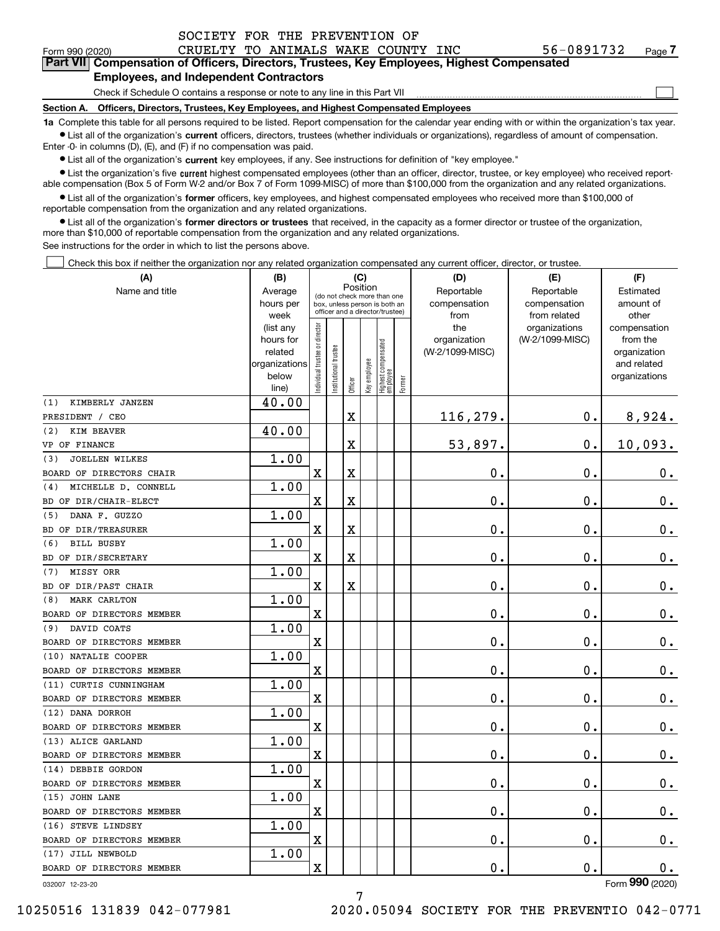$_{\rm Form}$   $_{990}$   $_{(2020)}$   $_{\rm CRUELTY}$  to animals wake COUNTY INC  $_{\rm 56-0891732}$   $_{\rm Page}$ **7Part VII Compensation of Officers, Directors, Trustees, Key Employees, Highest Compensated**

#### **Employees, and Independent Contractors**

Check if Schedule O contains a response or note to any line in this Part VII

**Section A. Officers, Directors, Trustees, Key Employees, and Highest Compensated Employees**

**1a**  Complete this table for all persons required to be listed. Report compensation for the calendar year ending with or within the organization's tax year. **•** List all of the organization's current officers, directors, trustees (whether individuals or organizations), regardless of amount of compensation.

Enter -0- in columns (D), (E), and (F) if no compensation was paid.

 $\bullet$  List all of the organization's  $\,$ current key employees, if any. See instructions for definition of "key employee."

• List the organization's five current highest compensated employees (other than an officer, director, trustee, or key employee) who received report-■ List the organization's five current highest compensated employees (other than an officer, director, trustee, or key employee) who received report-<br>able compensation (Box 5 of Form W-2 and/or Box 7 of Form 1099-MISC) of

**•** List all of the organization's former officers, key employees, and highest compensated employees who received more than \$100,000 of reportable compensation from the organization and any related organizations.

**former directors or trustees**  ¥ List all of the organization's that received, in the capacity as a former director or trustee of the organization, more than \$10,000 of reportable compensation from the organization and any related organizations.

See instructions for the order in which to list the persons above.

Check this box if neither the organization nor any related organization compensated any current officer, director, or trustee.  $\mathcal{L}^{\text{max}}$ 

| (A)                          | (B)                      |                                         |                                 |                         | (C)          |                                 |        | (D)             | (E)             | (F)                          |
|------------------------------|--------------------------|-----------------------------------------|---------------------------------|-------------------------|--------------|---------------------------------|--------|-----------------|-----------------|------------------------------|
| Name and title               | Average                  | Position<br>(do not check more than one |                                 |                         |              |                                 |        | Reportable      | Reportable      | Estimated                    |
|                              | hours per                |                                         | box, unless person is both an   |                         |              |                                 |        | compensation    | compensation    | amount of                    |
|                              | week                     |                                         | officer and a director/trustee) |                         |              |                                 |        | from            | from related    | other                        |
|                              | (list any                |                                         |                                 |                         |              |                                 |        | the             | organizations   | compensation                 |
|                              | hours for                |                                         |                                 |                         |              |                                 |        | organization    | (W-2/1099-MISC) | from the                     |
|                              | related<br>organizations |                                         |                                 |                         |              |                                 |        | (W-2/1099-MISC) |                 | organization                 |
|                              | below                    |                                         |                                 |                         |              |                                 |        |                 |                 | and related<br>organizations |
|                              | line)                    | ndividual trustee or director           | Institutional trustee           | Officer                 | Key employee | Highest compensated<br>employee | Former |                 |                 |                              |
| KIMBERLY JANZEN<br>(1)       | 40.00                    |                                         |                                 |                         |              |                                 |        |                 |                 |                              |
| PRESIDENT / CEO              |                          |                                         |                                 | $\mathbf X$             |              |                                 |        | 116,279.        | 0.              | 8,924.                       |
| KIM BEAVER<br>(2)            | 40.00                    |                                         |                                 |                         |              |                                 |        |                 |                 |                              |
| VP OF FINANCE                |                          |                                         |                                 | X                       |              |                                 |        | 53,897.         | 0.              | 10,093.                      |
| <b>JOELLEN WILKES</b><br>(3) | 1.00                     |                                         |                                 |                         |              |                                 |        |                 |                 |                              |
| BOARD OF DIRECTORS CHAIR     |                          | X                                       |                                 | $\overline{\textbf{X}}$ |              |                                 |        | 0.              | ο.              | 0.                           |
| MICHELLE D. CONNELL<br>(4)   | 1.00                     |                                         |                                 |                         |              |                                 |        |                 |                 |                              |
| BD OF DIR/CHAIR-ELECT        |                          | $\mathbf X$                             |                                 | $\overline{\textbf{X}}$ |              |                                 |        | $\mathbf 0$ .   | 0.              | $0_{.}$                      |
| DANA F. GUZZO<br>(5)         | 1.00                     |                                         |                                 |                         |              |                                 |        |                 |                 |                              |
| BD OF DIR/TREASURER          |                          | $\mathbf X$                             |                                 | $\overline{\textbf{X}}$ |              |                                 |        | $\mathbf 0$ .   | $\mathbf 0$ .   | 0.                           |
| <b>BILL BUSBY</b><br>(6)     | 1.00                     |                                         |                                 |                         |              |                                 |        |                 |                 |                              |
| BD OF DIR/SECRETARY          |                          | $\mathbf X$                             |                                 | $\mathbf X$             |              |                                 |        | $\mathbf 0$ .   | $\mathbf 0$ .   | $\mathbf 0$ .                |
| MISSY ORR<br>(7)             | 1.00                     |                                         |                                 |                         |              |                                 |        |                 |                 |                              |
| BD OF DIR/PAST CHAIR         |                          | $\mathbf X$                             |                                 | $\mathbf x$             |              |                                 |        | $\mathbf 0$ .   | 0.              | 0.                           |
| MARK CARLTON<br>(8)          | 1.00                     |                                         |                                 |                         |              |                                 |        |                 |                 |                              |
| BOARD OF DIRECTORS MEMBER    |                          | $\mathbf X$                             |                                 |                         |              |                                 |        | $\mathbf 0$ .   | $\mathbf 0$ .   | $0_{.}$                      |
| DAVID COATS<br>(9)           | 1.00                     |                                         |                                 |                         |              |                                 |        |                 |                 |                              |
| BOARD OF DIRECTORS MEMBER    |                          | $\overline{\mathbf{X}}$                 |                                 |                         |              |                                 |        | $\mathbf 0$ .   | 0.              | $\mathbf 0$ .                |
| (10) NATALIE COOPER          | 1.00                     |                                         |                                 |                         |              |                                 |        |                 |                 |                              |
| BOARD OF DIRECTORS MEMBER    |                          | X                                       |                                 |                         |              |                                 |        | Ο.              | 0.              | $0_{.}$                      |
| (11) CURTIS CUNNINGHAM       | 1.00                     |                                         |                                 |                         |              |                                 |        |                 |                 |                              |
| BOARD OF DIRECTORS MEMBER    |                          | $\mathbf X$                             |                                 |                         |              |                                 |        | $\mathbf 0$ .   | 0.              | $0_{.}$                      |
| (12) DANA DORROH             | 1.00                     |                                         |                                 |                         |              |                                 |        |                 |                 |                              |
| BOARD OF DIRECTORS MEMBER    |                          | $\overline{\mathbf{X}}$                 |                                 |                         |              |                                 |        | $\mathbf 0$ .   | $\mathbf 0$ .   | 0.                           |
| (13) ALICE GARLAND           | 1.00                     |                                         |                                 |                         |              |                                 |        |                 |                 |                              |
| BOARD OF DIRECTORS MEMBER    |                          | $\mathbf X$                             |                                 |                         |              |                                 |        | $\mathbf 0$ .   | $\mathbf 0$ .   | 0.                           |
| (14) DEBBIE GORDON           | 1.00                     |                                         |                                 |                         |              |                                 |        |                 |                 |                              |
| BOARD OF DIRECTORS MEMBER    |                          | $\mathbf X$                             |                                 |                         |              |                                 |        | $\mathbf 0$ .   | 0.              | $\mathbf 0$ .                |
| (15) JOHN LANE               | 1.00                     |                                         |                                 |                         |              |                                 |        |                 |                 |                              |
| BOARD OF DIRECTORS MEMBER    |                          | $\mathbf X$                             |                                 |                         |              |                                 |        | $\mathbf 0$ .   | $\mathbf 0$ .   | $0_{.}$                      |
| (16) STEVE LINDSEY           | 1.00                     |                                         |                                 |                         |              |                                 |        |                 |                 |                              |
| BOARD OF DIRECTORS MEMBER    |                          | $\overline{\mathbf{X}}$                 |                                 |                         |              |                                 |        | $\mathbf 0$ .   | 0.              | $\mathbf 0$ .                |
| (17) JILL NEWBOLD            | 1.00                     |                                         |                                 |                         |              |                                 |        |                 |                 |                              |
| BOARD OF DIRECTORS MEMBER    |                          | $\overline{\mathbf{X}}$                 |                                 |                         |              |                                 |        | $0$ .           | 0.              | 0.                           |
| 032007 12-23-20              |                          |                                         |                                 |                         |              |                                 |        |                 |                 | Form 990 (2020)              |

7

 $\mathcal{L}^{\text{max}}$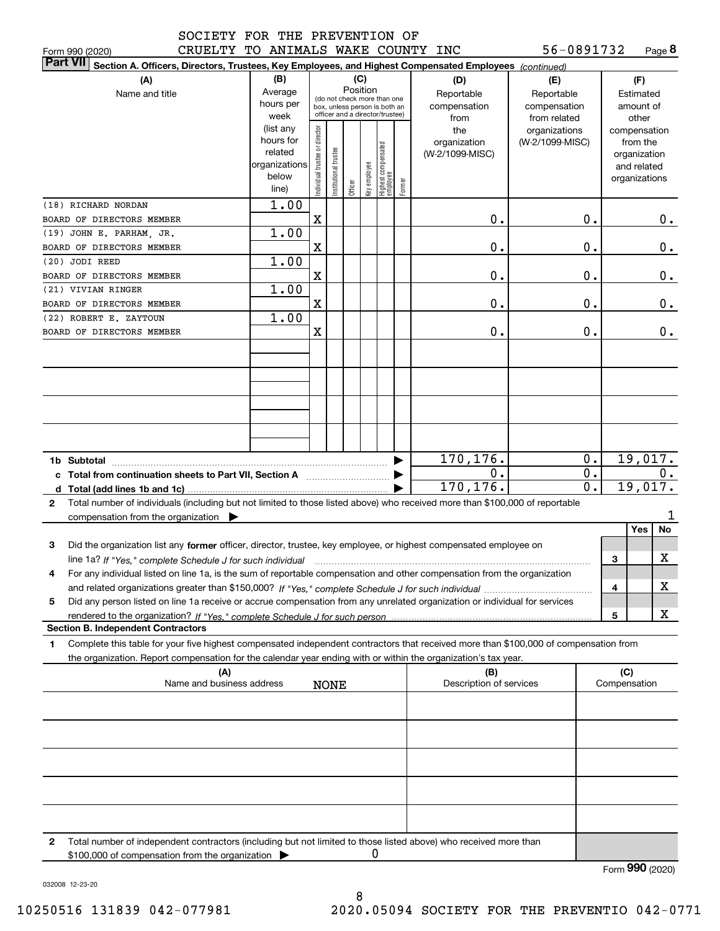|  | וחמחמו חמם <sub>י</sub> |  |
|--|-------------------------|--|

Form 990 (2020) CRUELTY TO ANIMALS WAKE COUNTY INC 56-0891732 Page **8** 

| <b>Part VII</b><br>Section A. Officers, Directors, Trustees, Key Employees, and Highest Compensated Employees (continued)                 |                   |                                |                                                                  |         |              |                                 |        |                                |                               |                     |                       |    |
|-------------------------------------------------------------------------------------------------------------------------------------------|-------------------|--------------------------------|------------------------------------------------------------------|---------|--------------|---------------------------------|--------|--------------------------------|-------------------------------|---------------------|-----------------------|----|
| (A)                                                                                                                                       | (B)               |                                |                                                                  |         | (C)          |                                 |        | (D)                            | (E)                           |                     | (F)                   |    |
| Name and title                                                                                                                            | Average           |                                | (do not check more than one                                      |         | Position     |                                 |        | Reportable                     | Reportable                    |                     | Estimated             |    |
|                                                                                                                                           | hours per<br>week |                                | box, unless person is both an<br>officer and a director/trustee) |         |              |                                 |        | compensation                   | compensation                  |                     | amount of             |    |
|                                                                                                                                           | (list any         |                                |                                                                  |         |              |                                 |        | from<br>the                    | from related<br>organizations |                     | other<br>compensation |    |
|                                                                                                                                           | hours for         |                                |                                                                  |         |              |                                 |        | organization                   | (W-2/1099-MISC)               |                     | from the              |    |
|                                                                                                                                           | related           |                                |                                                                  |         |              |                                 |        | (W-2/1099-MISC)                |                               |                     | organization          |    |
|                                                                                                                                           | organizations     |                                |                                                                  |         |              |                                 |        |                                |                               |                     | and related           |    |
|                                                                                                                                           | below<br>line)    | Individual trustee or director | nstitutional trustee                                             | Officer | key employee | Highest compensated<br>employee | Former |                                |                               |                     | organizations         |    |
| (18) RICHARD NORDAN                                                                                                                       | 1.00              |                                |                                                                  |         |              |                                 |        |                                |                               |                     |                       |    |
| BOARD OF DIRECTORS MEMBER                                                                                                                 |                   | Χ                              |                                                                  |         |              |                                 |        | 0.                             | 0.                            |                     |                       | 0. |
| (19) JOHN E. PARHAM, JR.                                                                                                                  | 1.00              |                                |                                                                  |         |              |                                 |        |                                |                               |                     |                       |    |
| BOARD OF DIRECTORS MEMBER                                                                                                                 |                   | X                              |                                                                  |         |              |                                 |        | Ο.                             | 0.                            |                     |                       | 0. |
| (20) JODI REED                                                                                                                            | 1.00              |                                |                                                                  |         |              |                                 |        |                                |                               |                     |                       |    |
| BOARD OF DIRECTORS MEMBER                                                                                                                 |                   | X                              |                                                                  |         |              |                                 |        | Ο.                             | 0.                            |                     |                       | 0. |
| (21) VIVIAN RINGER                                                                                                                        | 1.00              |                                |                                                                  |         |              |                                 |        |                                |                               |                     |                       |    |
| BOARD OF DIRECTORS MEMBER                                                                                                                 |                   | X                              |                                                                  |         |              |                                 |        | Ο.                             | 0.                            |                     |                       | 0. |
| (22) ROBERT E. ZAYTOUN                                                                                                                    | 1.00              |                                |                                                                  |         |              |                                 |        |                                |                               |                     |                       |    |
| BOARD OF DIRECTORS MEMBER                                                                                                                 |                   | X                              |                                                                  |         |              |                                 |        | Ο.                             | 0.                            |                     |                       | 0. |
|                                                                                                                                           |                   |                                |                                                                  |         |              |                                 |        |                                |                               |                     |                       |    |
|                                                                                                                                           |                   |                                |                                                                  |         |              |                                 |        |                                |                               |                     |                       |    |
|                                                                                                                                           |                   |                                |                                                                  |         |              |                                 |        |                                |                               |                     |                       |    |
|                                                                                                                                           |                   |                                |                                                                  |         |              |                                 |        |                                |                               |                     |                       |    |
|                                                                                                                                           |                   |                                |                                                                  |         |              |                                 |        |                                |                               |                     |                       |    |
|                                                                                                                                           |                   |                                |                                                                  |         |              |                                 |        |                                |                               |                     |                       |    |
|                                                                                                                                           |                   |                                |                                                                  |         |              |                                 |        |                                |                               |                     |                       |    |
|                                                                                                                                           |                   |                                |                                                                  |         |              |                                 |        |                                | 0.                            |                     |                       |    |
| 1b Subtotal                                                                                                                               |                   |                                |                                                                  |         |              |                                 |        | 170,176.<br>0.                 | $\overline{0}$ .              |                     | 19,017.               | 0. |
| c Total from continuation sheets to Part VII, Section A manufactor continues                                                              |                   |                                |                                                                  |         |              |                                 |        | 170,176.                       | $\overline{0}$ .              |                     | 19,017.               |    |
| Total number of individuals (including but not limited to those listed above) who received more than \$100,000 of reportable<br>2         |                   |                                |                                                                  |         |              |                                 |        |                                |                               |                     |                       |    |
| compensation from the organization $\blacktriangleright$                                                                                  |                   |                                |                                                                  |         |              |                                 |        |                                |                               |                     |                       |    |
|                                                                                                                                           |                   |                                |                                                                  |         |              |                                 |        |                                |                               |                     | Yes                   | No |
| Did the organization list any former officer, director, trustee, key employee, or highest compensated employee on<br>з                    |                   |                                |                                                                  |         |              |                                 |        |                                |                               |                     |                       |    |
| line 1a? If "Yes," complete Schedule J for such individual                                                                                |                   |                                |                                                                  |         |              |                                 |        |                                |                               | 3                   |                       | х  |
| For any individual listed on line 1a, is the sum of reportable compensation and other compensation from the organization<br>4             |                   |                                |                                                                  |         |              |                                 |        |                                |                               |                     |                       |    |
|                                                                                                                                           |                   |                                |                                                                  |         |              |                                 |        |                                |                               | 4                   |                       | X  |
| Did any person listed on line 1a receive or accrue compensation from any unrelated organization or individual for services<br>5           |                   |                                |                                                                  |         |              |                                 |        |                                |                               |                     |                       |    |
|                                                                                                                                           |                   |                                |                                                                  |         |              |                                 |        |                                |                               | 5                   |                       | X  |
| <b>Section B. Independent Contractors</b>                                                                                                 |                   |                                |                                                                  |         |              |                                 |        |                                |                               |                     |                       |    |
| Complete this table for your five highest compensated independent contractors that received more than \$100,000 of compensation from<br>1 |                   |                                |                                                                  |         |              |                                 |        |                                |                               |                     |                       |    |
| the organization. Report compensation for the calendar year ending with or within the organization's tax year.                            |                   |                                |                                                                  |         |              |                                 |        |                                |                               |                     |                       |    |
| (A)<br>Name and business address                                                                                                          |                   |                                |                                                                  |         |              |                                 |        | (B)<br>Description of services |                               | (C)<br>Compensation |                       |    |
|                                                                                                                                           |                   |                                | <b>NONE</b>                                                      |         |              |                                 |        |                                |                               |                     |                       |    |
|                                                                                                                                           |                   |                                |                                                                  |         |              |                                 |        |                                |                               |                     |                       |    |
|                                                                                                                                           |                   |                                |                                                                  |         |              |                                 |        |                                |                               |                     |                       |    |
|                                                                                                                                           |                   |                                |                                                                  |         |              |                                 |        |                                |                               |                     |                       |    |
|                                                                                                                                           |                   |                                |                                                                  |         |              |                                 |        |                                |                               |                     |                       |    |
|                                                                                                                                           |                   |                                |                                                                  |         |              |                                 |        |                                |                               |                     |                       |    |
|                                                                                                                                           |                   |                                |                                                                  |         |              |                                 |        |                                |                               |                     |                       |    |
|                                                                                                                                           |                   |                                |                                                                  |         |              |                                 |        |                                |                               |                     |                       |    |
|                                                                                                                                           |                   |                                |                                                                  |         |              |                                 |        |                                |                               |                     |                       |    |
|                                                                                                                                           |                   |                                |                                                                  |         |              |                                 |        |                                |                               |                     |                       |    |
| 2<br>Total number of independent contractors (including but not limited to those listed above) who received more than                     |                   |                                |                                                                  |         |              |                                 |        |                                |                               |                     |                       |    |
| \$100,000 of compensation from the organization                                                                                           |                   |                                |                                                                  |         | 0            |                                 |        |                                |                               |                     |                       |    |
|                                                                                                                                           |                   |                                |                                                                  |         |              |                                 |        |                                |                               | Form 990 (2020)     |                       |    |

032008 12-23-20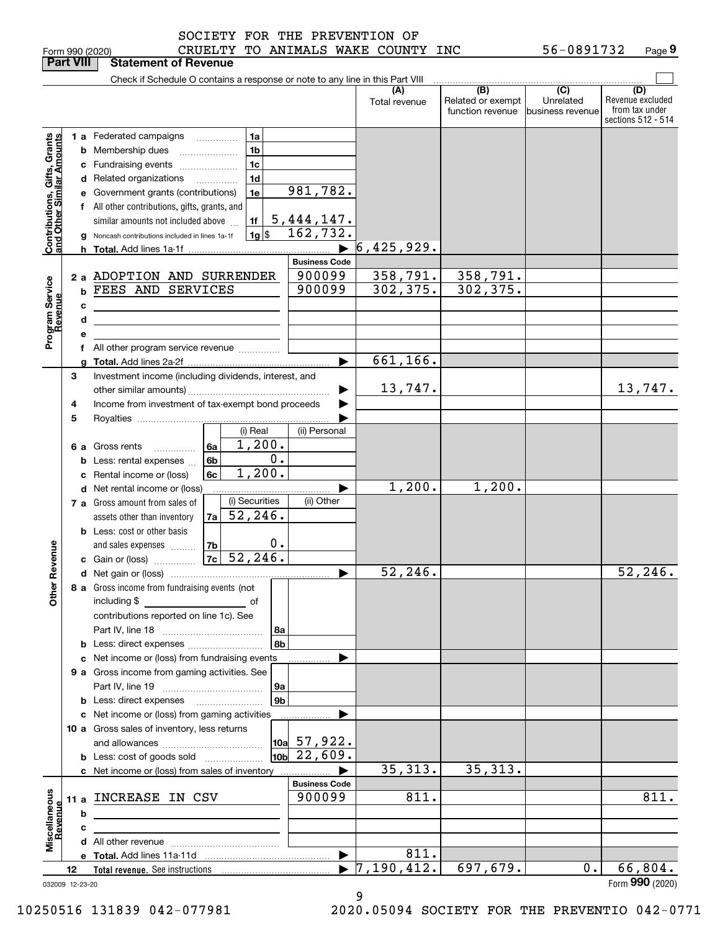| Form 990 (2020 |  |
|----------------|--|

#### Form 990 (2020) CRUELTY TO ANIMALS WAKE COUNTY INC 56-0891732 Page SOCIETY FOR THE PREVENTION OF

|                                                           | <b>Part VIII</b> |   | <b>Statement of Revenue</b>                                                                                                                                                 |    |                                                          |                                                                    |                                  |                                              |                                                 |                                                                 |
|-----------------------------------------------------------|------------------|---|-----------------------------------------------------------------------------------------------------------------------------------------------------------------------------|----|----------------------------------------------------------|--------------------------------------------------------------------|----------------------------------|----------------------------------------------|-------------------------------------------------|-----------------------------------------------------------------|
|                                                           |                  |   | Check if Schedule O contains a response or note to any line in this Part VIII                                                                                               |    |                                                          |                                                                    |                                  |                                              |                                                 |                                                                 |
|                                                           |                  |   |                                                                                                                                                                             |    |                                                          |                                                                    | (A)<br>Total revenue             | (B)<br>Related or exempt<br>function revenue | $\overline{C}$<br>Unrelated<br>business revenue | (D)<br>Revenue excluded<br>from tax under<br>sections 512 - 514 |
|                                                           |                  |   | <b>1 a</b> Federated campaigns<br><b>b</b> Membership dues<br>c Fundraising events<br>d Related organizations<br>.                                                          |    | 1a<br>1 <sub>b</sub><br>1 <sub>c</sub><br>1 <sub>d</sub> |                                                                    |                                  |                                              |                                                 |                                                                 |
| Contributions, Gifts, Grants<br>and Other Similar Amounts |                  |   | e Government grants (contributions)<br>f All other contributions, gifts, grants, and<br>similar amounts not included above<br>Noncash contributions included in lines 1a-1f |    | 1e<br>1f<br>$1g$ \$                                      | 981,782.<br>$\frac{5,444,147.}{162,732.}$<br>$\blacktriangleright$ | 6,425,929.                       |                                              |                                                 |                                                                 |
|                                                           |                  |   |                                                                                                                                                                             |    |                                                          | <b>Business Code</b>                                               |                                  |                                              |                                                 |                                                                 |
|                                                           |                  |   | 2 a ADOPTION AND SURRENDER                                                                                                                                                  |    |                                                          | 900099                                                             | 358,791.                         | 358,791.                                     |                                                 |                                                                 |
|                                                           |                  | b | FEES AND SERVICES                                                                                                                                                           |    |                                                          | 900099                                                             | 302, 375.                        | 302, 375.                                    |                                                 |                                                                 |
|                                                           |                  | с |                                                                                                                                                                             |    |                                                          |                                                                    |                                  |                                              |                                                 |                                                                 |
|                                                           |                  |   |                                                                                                                                                                             |    |                                                          |                                                                    |                                  |                                              |                                                 |                                                                 |
|                                                           |                  | d | <u> 1989 - Johann Barbara, martin amerikan basar dan berasal dalam basar dalam basar dalam basar dalam basar dala</u>                                                       |    |                                                          |                                                                    |                                  |                                              |                                                 |                                                                 |
| Program Service<br>Revenue                                |                  | е |                                                                                                                                                                             |    |                                                          |                                                                    |                                  |                                              |                                                 |                                                                 |
|                                                           |                  |   | f All other program service revenue                                                                                                                                         |    |                                                          |                                                                    |                                  |                                              |                                                 |                                                                 |
|                                                           |                  |   |                                                                                                                                                                             |    |                                                          | ▶                                                                  | 661, 166.                        |                                              |                                                 |                                                                 |
|                                                           | 3                |   | Investment income (including dividends, interest, and                                                                                                                       |    |                                                          |                                                                    |                                  |                                              |                                                 |                                                                 |
|                                                           |                  |   |                                                                                                                                                                             |    |                                                          |                                                                    | 13,747.                          |                                              |                                                 | 13,747.                                                         |
|                                                           | 4                |   | Income from investment of tax-exempt bond proceeds                                                                                                                          |    |                                                          |                                                                    |                                  |                                              |                                                 |                                                                 |
|                                                           | 5                |   |                                                                                                                                                                             |    |                                                          |                                                                    |                                  |                                              |                                                 |                                                                 |
|                                                           |                  |   |                                                                                                                                                                             |    | (i) Real                                                 | (ii) Personal                                                      |                                  |                                              |                                                 |                                                                 |
|                                                           |                  |   | 6 a Gross rents<br>.                                                                                                                                                        | 6a | 1,200.                                                   |                                                                    |                                  |                                              |                                                 |                                                                 |
|                                                           |                  |   | Less: rental expenses                                                                                                                                                       | 6b | 0.                                                       |                                                                    |                                  |                                              |                                                 |                                                                 |
|                                                           |                  | b | c Rental income or (loss)                                                                                                                                                   | 6c | 1,200.                                                   |                                                                    |                                  |                                              |                                                 |                                                                 |
|                                                           |                  |   | d Net rental income or (loss)                                                                                                                                               |    |                                                          |                                                                    | 1,200.                           | 1,200.                                       |                                                 |                                                                 |
|                                                           |                  |   | 7 a Gross amount from sales of                                                                                                                                              |    | (i) Securities                                           | (ii) Other                                                         |                                  |                                              |                                                 |                                                                 |
|                                                           |                  |   | assets other than inventory                                                                                                                                                 | 7a | 52, 246.                                                 |                                                                    |                                  |                                              |                                                 |                                                                 |
|                                                           |                  |   |                                                                                                                                                                             |    |                                                          |                                                                    |                                  |                                              |                                                 |                                                                 |
|                                                           |                  |   | <b>b</b> Less: cost or other basis                                                                                                                                          |    | 0.                                                       |                                                                    |                                  |                                              |                                                 |                                                                 |
|                                                           |                  |   | and sales expenses                                                                                                                                                          | 7b | $7c$ 52, 246.                                            |                                                                    |                                  |                                              |                                                 |                                                                 |
| Revenue                                                   |                  |   | c Gain or (loss)                                                                                                                                                            |    |                                                          |                                                                    |                                  |                                              |                                                 |                                                                 |
|                                                           |                  |   |                                                                                                                                                                             |    |                                                          | ▶                                                                  | 52, 246.                         |                                              |                                                 | 52, 246.                                                        |
| Other                                                     |                  |   | 8 a Gross income from fundraising events (not                                                                                                                               |    |                                                          |                                                                    |                                  |                                              |                                                 |                                                                 |
|                                                           |                  |   | including \$                                                                                                                                                                |    |                                                          |                                                                    |                                  |                                              |                                                 |                                                                 |
|                                                           |                  |   | contributions reported on line 1c). See                                                                                                                                     |    |                                                          |                                                                    |                                  |                                              |                                                 |                                                                 |
|                                                           |                  |   |                                                                                                                                                                             |    | 8а                                                       |                                                                    |                                  |                                              |                                                 |                                                                 |
|                                                           |                  |   |                                                                                                                                                                             |    | 8b                                                       |                                                                    |                                  |                                              |                                                 |                                                                 |
|                                                           |                  |   | c Net income or (loss) from fundraising events                                                                                                                              |    |                                                          |                                                                    |                                  |                                              |                                                 |                                                                 |
|                                                           |                  |   | 9 a Gross income from gaming activities. See                                                                                                                                |    |                                                          |                                                                    |                                  |                                              |                                                 |                                                                 |
|                                                           |                  |   |                                                                                                                                                                             |    | 9а                                                       |                                                                    |                                  |                                              |                                                 |                                                                 |
|                                                           |                  |   | <b>b</b> Less: direct expenses <b>manually</b>                                                                                                                              |    | 9 <sub>b</sub>                                           |                                                                    |                                  |                                              |                                                 |                                                                 |
|                                                           |                  |   | c Net income or (loss) from gaming activities                                                                                                                               |    |                                                          | ▶<br>.                                                             |                                  |                                              |                                                 |                                                                 |
|                                                           |                  |   | 10 a Gross sales of inventory, less returns                                                                                                                                 |    |                                                          |                                                                    |                                  |                                              |                                                 |                                                                 |
|                                                           |                  |   |                                                                                                                                                                             |    |                                                          | $\vert$ 10a 57,922.                                                |                                  |                                              |                                                 |                                                                 |
|                                                           |                  |   | <b>b</b> Less: cost of goods sold                                                                                                                                           |    |                                                          | $\overline{10b}$ 22,609.                                           |                                  |                                              |                                                 |                                                                 |
|                                                           |                  |   | c Net income or (loss) from sales of inventory                                                                                                                              |    |                                                          | ▶                                                                  | 35,313.                          | 35,313.                                      |                                                 |                                                                 |
|                                                           |                  |   |                                                                                                                                                                             |    |                                                          | <b>Business Code</b>                                               |                                  |                                              |                                                 |                                                                 |
|                                                           |                  |   | 11 a INCREASE IN CSV                                                                                                                                                        |    |                                                          | 900099                                                             | 811.                             |                                              |                                                 | 811.                                                            |
|                                                           |                  |   |                                                                                                                                                                             |    |                                                          |                                                                    |                                  |                                              |                                                 |                                                                 |
|                                                           |                  | b |                                                                                                                                                                             |    |                                                          |                                                                    |                                  |                                              |                                                 |                                                                 |
|                                                           |                  | c |                                                                                                                                                                             |    |                                                          |                                                                    |                                  |                                              |                                                 |                                                                 |
| Miscellaneous<br>Revenue                                  |                  |   |                                                                                                                                                                             |    |                                                          |                                                                    | 811.                             |                                              |                                                 |                                                                 |
|                                                           |                  |   |                                                                                                                                                                             |    |                                                          | $\blacktriangleright$                                              | $\blacktriangleright$ 7,190,412. | 697, 679.                                    | $0$ .                                           | 66,804.                                                         |
|                                                           | 12               |   |                                                                                                                                                                             |    |                                                          |                                                                    |                                  |                                              |                                                 |                                                                 |
| 032009 12-23-20                                           |                  |   |                                                                                                                                                                             |    |                                                          |                                                                    | a                                |                                              |                                                 | Form 990 (2020)                                                 |

9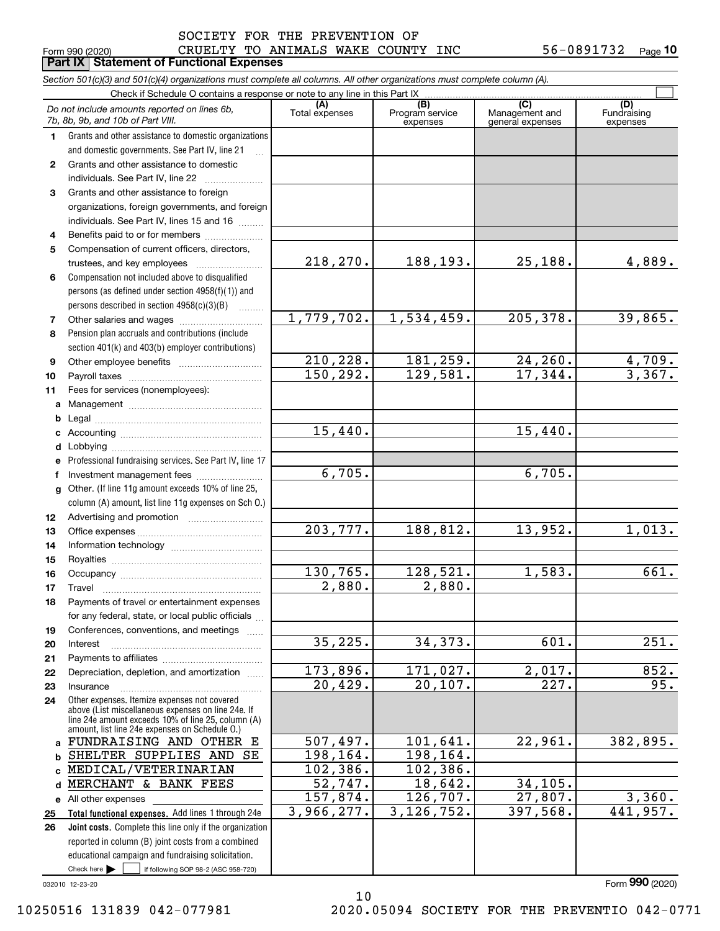#### $_{\rm Form}$   $_{990}$  (2020) CRUELTY TO ANIMALS WAKE COUNTY INC  $_{\rm 56-0891732}$   $_{\rm Page}$ **Part IX Statement of Functional Expenses** SOCIETY FOR THE PREVENTION OF

|    | Section 501(c)(3) and 501(c)(4) organizations must complete all columns. All other organizations must complete column (A).                                                                                 |                       |                                    |                                           |                                |
|----|------------------------------------------------------------------------------------------------------------------------------------------------------------------------------------------------------------|-----------------------|------------------------------------|-------------------------------------------|--------------------------------|
|    | Check if Schedule O contains a response or note to any line in this Part IX                                                                                                                                |                       |                                    |                                           |                                |
|    | Do not include amounts reported on lines 6b,<br>7b, 8b, 9b, and 10b of Part VIII.                                                                                                                          | (A)<br>Total expenses | (B)<br>Program service<br>expenses | (C)<br>Management and<br>general expenses | (D)<br>Fundraising<br>expenses |
| 1. | Grants and other assistance to domestic organizations                                                                                                                                                      |                       |                                    |                                           |                                |
|    | and domestic governments. See Part IV, line 21                                                                                                                                                             |                       |                                    |                                           |                                |
| 2  | Grants and other assistance to domestic                                                                                                                                                                    |                       |                                    |                                           |                                |
|    | individuals. See Part IV, line 22                                                                                                                                                                          |                       |                                    |                                           |                                |
| 3  | Grants and other assistance to foreign                                                                                                                                                                     |                       |                                    |                                           |                                |
|    | organizations, foreign governments, and foreign                                                                                                                                                            |                       |                                    |                                           |                                |
|    | individuals. See Part IV, lines 15 and 16                                                                                                                                                                  |                       |                                    |                                           |                                |
| 4  | Benefits paid to or for members                                                                                                                                                                            |                       |                                    |                                           |                                |
| 5  | Compensation of current officers, directors,                                                                                                                                                               |                       |                                    |                                           |                                |
|    |                                                                                                                                                                                                            | 218,270.              | 188, 193.                          | 25, 188.                                  | 4,889.                         |
| 6  | Compensation not included above to disqualified                                                                                                                                                            |                       |                                    |                                           |                                |
|    | persons (as defined under section 4958(f)(1)) and                                                                                                                                                          |                       |                                    |                                           |                                |
|    | persons described in section 4958(c)(3)(B)<br>.                                                                                                                                                            |                       |                                    |                                           |                                |
| 7  |                                                                                                                                                                                                            | 1,779,702.            | 1,534,459.                         | 205, 378.                                 | 39,865.                        |
| 8  | Pension plan accruals and contributions (include                                                                                                                                                           |                       |                                    |                                           |                                |
|    | section 401(k) and 403(b) employer contributions)                                                                                                                                                          |                       |                                    |                                           |                                |
| 9  |                                                                                                                                                                                                            | 210,228.              | 181,259.                           | $\frac{24,260}{17,344}$ .                 | $\frac{4,709}{3,367}$          |
| 10 |                                                                                                                                                                                                            | 150, 292.             | 129,581.                           |                                           |                                |
| 11 | Fees for services (nonemployees):                                                                                                                                                                          |                       |                                    |                                           |                                |
| a  |                                                                                                                                                                                                            |                       |                                    |                                           |                                |
| b  |                                                                                                                                                                                                            |                       |                                    |                                           |                                |
|    |                                                                                                                                                                                                            | 15,440.               |                                    | 15,440.                                   |                                |
| d  |                                                                                                                                                                                                            |                       |                                    |                                           |                                |
|    | Professional fundraising services. See Part IV, line 17                                                                                                                                                    | 6,705.                |                                    | 6,705.                                    |                                |
| f  | Investment management fees                                                                                                                                                                                 |                       |                                    |                                           |                                |
| g  | Other. (If line 11g amount exceeds 10% of line 25,<br>column (A) amount, list line 11g expenses on Sch O.)                                                                                                 |                       |                                    |                                           |                                |
| 12 |                                                                                                                                                                                                            |                       |                                    |                                           |                                |
| 13 |                                                                                                                                                                                                            | 203,777.              | 188,812.                           | 13,952.                                   | 1,013.                         |
| 14 |                                                                                                                                                                                                            |                       |                                    |                                           |                                |
| 15 |                                                                                                                                                                                                            |                       |                                    |                                           |                                |
| 16 |                                                                                                                                                                                                            | 130,765.              | 128,521.                           | 1,583.                                    | $\overline{661}$ .             |
| 17 |                                                                                                                                                                                                            | 2,880.                | 2,880.                             |                                           |                                |
| 18 | Payments of travel or entertainment expenses                                                                                                                                                               |                       |                                    |                                           |                                |
|    | for any federal, state, or local public officials                                                                                                                                                          |                       |                                    |                                           |                                |
| 19 | Conferences, conventions, and meetings                                                                                                                                                                     |                       |                                    |                                           |                                |
| 20 | Interest                                                                                                                                                                                                   | 35,225.               | 34, 373.                           | 601.                                      | $\overline{251}$ .             |
| 21 |                                                                                                                                                                                                            |                       |                                    |                                           |                                |
| 22 | Depreciation, depletion, and amortization                                                                                                                                                                  | 173,896.              | 171,027.                           | 2,017.                                    | 852.                           |
| 23 | Insurance                                                                                                                                                                                                  | 20,429.               | 20,107.                            | $\overline{227}$ .                        | 95.                            |
| 24 | Other expenses. Itemize expenses not covered<br>above (List miscellaneous expenses on line 24e. If<br>line 24e amount exceeds 10% of line 25, column (A)<br>amount, list line 24e expenses on Schedule O.) |                       |                                    |                                           |                                |
| a  | FUNDRAISING AND OTHER E                                                                                                                                                                                    | 507,497.              | 101,641.                           | 22,961.                                   | 382,895.                       |
| b  | SHELTER SUPPLIES AND SE                                                                                                                                                                                    | 198, 164.             | 198,164.                           |                                           |                                |
| C. | MEDICAL/VETERINARIAN                                                                                                                                                                                       | 102, 386.             | 102, 386.                          |                                           |                                |
| d  | MERCHANT & BANK FEES                                                                                                                                                                                       | 52,747.               | 18,642.                            | 34, 105.                                  |                                |
| е  | All other expenses                                                                                                                                                                                         | 157,874.              | 126, 707.                          | 27,807.                                   | 3,360.                         |
| 25 | Total functional expenses. Add lines 1 through 24e                                                                                                                                                         | 3,966,277.            | 3, 126, 752.                       | 397,568.                                  | 441,957.                       |
| 26 | Joint costs. Complete this line only if the organization                                                                                                                                                   |                       |                                    |                                           |                                |
|    | reported in column (B) joint costs from a combined                                                                                                                                                         |                       |                                    |                                           |                                |
|    | educational campaign and fundraising solicitation.                                                                                                                                                         |                       |                                    |                                           |                                |
|    | Check here $\blacktriangleright$<br>if following SOP 98-2 (ASC 958-720)                                                                                                                                    |                       |                                    |                                           |                                |

032010 12-23-20

Form (2020) **990**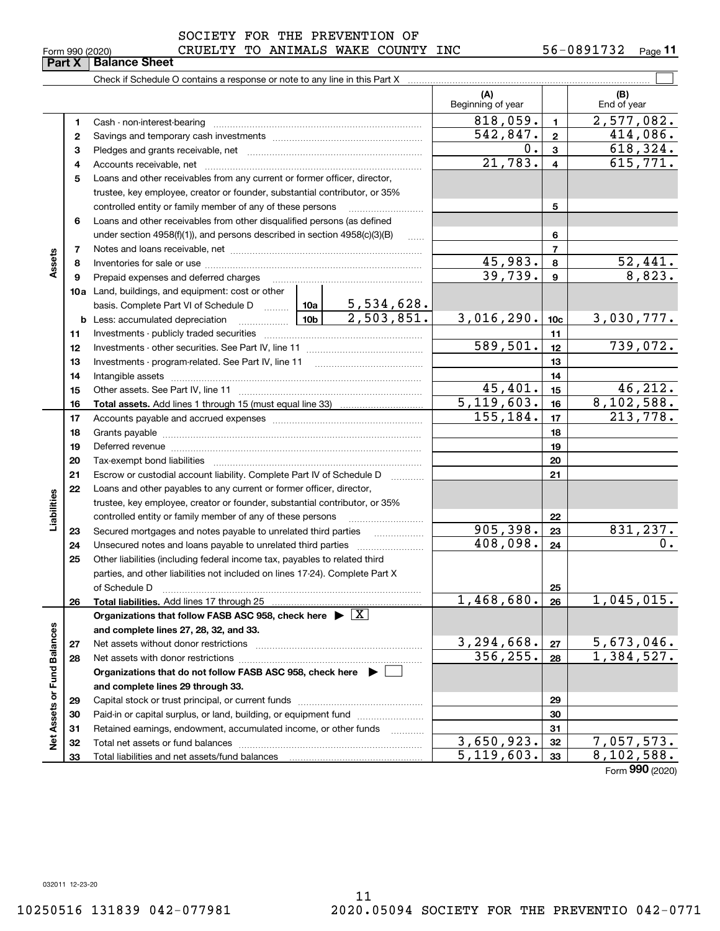|                 | SOCIETY FOR THE PREVENTION OF    |  |  |     |            |         |
|-----------------|----------------------------------|--|--|-----|------------|---------|
| Form 990 (2020) | CRUELTY TO ANIMALS WAKE COUNTY I |  |  | INC | 56-0891732 | Page 11 |

|                             |              |                                                                                                                                                                                                                                                                                                                                                                                                                                                      |  |            | (A)<br>Beginning of year |                     | (B)<br>End of year       |  |  |  |  |
|-----------------------------|--------------|------------------------------------------------------------------------------------------------------------------------------------------------------------------------------------------------------------------------------------------------------------------------------------------------------------------------------------------------------------------------------------------------------------------------------------------------------|--|------------|--------------------------|---------------------|--------------------------|--|--|--|--|
|                             | 1            |                                                                                                                                                                                                                                                                                                                                                                                                                                                      |  |            | 818,059.                 | $\mathbf{1}$        | 2,577,082.               |  |  |  |  |
|                             | $\mathbf{2}$ |                                                                                                                                                                                                                                                                                                                                                                                                                                                      |  |            | 542,847.                 | $\mathbf{2}$        | 414,086.                 |  |  |  |  |
|                             | 3            |                                                                                                                                                                                                                                                                                                                                                                                                                                                      |  | 0.         | 3                        | 618,324.            |                          |  |  |  |  |
|                             | 4            |                                                                                                                                                                                                                                                                                                                                                                                                                                                      |  |            | 21,783.                  | $\overline{4}$      | 615,771.                 |  |  |  |  |
|                             | 5            | Loans and other receivables from any current or former officer, director,                                                                                                                                                                                                                                                                                                                                                                            |  |            |                          |                     |                          |  |  |  |  |
|                             |              | trustee, key employee, creator or founder, substantial contributor, or 35%                                                                                                                                                                                                                                                                                                                                                                           |  |            |                          |                     |                          |  |  |  |  |
|                             |              | controlled entity or family member of any of these persons                                                                                                                                                                                                                                                                                                                                                                                           |  |            |                          | 5                   |                          |  |  |  |  |
|                             | 6            | Loans and other receivables from other disqualified persons (as defined                                                                                                                                                                                                                                                                                                                                                                              |  |            |                          |                     |                          |  |  |  |  |
|                             |              | under section 4958(f)(1)), and persons described in section 4958(c)(3)(B)                                                                                                                                                                                                                                                                                                                                                                            |  |            |                          | 6                   |                          |  |  |  |  |
|                             | 7            |                                                                                                                                                                                                                                                                                                                                                                                                                                                      |  |            | 45,983.                  | $\overline{7}$<br>8 |                          |  |  |  |  |
| Assets                      | 8            |                                                                                                                                                                                                                                                                                                                                                                                                                                                      |  |            |                          |                     |                          |  |  |  |  |
|                             | 9            | Prepaid expenses and deferred charges                                                                                                                                                                                                                                                                                                                                                                                                                |  |            | 39,739.                  | $\boldsymbol{9}$    | $\frac{52,441.}{8,823.}$ |  |  |  |  |
|                             |              | 10a Land, buildings, and equipment: cost or other                                                                                                                                                                                                                                                                                                                                                                                                    |  |            |                          |                     |                          |  |  |  |  |
|                             |              | basis. Complete Part VI of Schedule D    10a   5,534,628.                                                                                                                                                                                                                                                                                                                                                                                            |  |            |                          |                     |                          |  |  |  |  |
|                             |              | $\frac{1}{10b}$<br><b>b</b> Less: accumulated depreciation                                                                                                                                                                                                                                                                                                                                                                                           |  | 2,503,851. | 3,016,290.               | 10 <sub>c</sub>     | <u>3,030,777.</u>        |  |  |  |  |
|                             | 11           |                                                                                                                                                                                                                                                                                                                                                                                                                                                      |  |            | 589,501.                 | 11                  | 739,072.                 |  |  |  |  |
|                             | 12           |                                                                                                                                                                                                                                                                                                                                                                                                                                                      |  |            |                          | 12                  |                          |  |  |  |  |
|                             | 13           |                                                                                                                                                                                                                                                                                                                                                                                                                                                      |  |            |                          | 13                  |                          |  |  |  |  |
|                             | 14<br>15     |                                                                                                                                                                                                                                                                                                                                                                                                                                                      |  |            | 45,401.                  | 14<br>15            | 46,212.                  |  |  |  |  |
|                             | 16           |                                                                                                                                                                                                                                                                                                                                                                                                                                                      |  |            | 5, 119, 603.             | 16                  | 8,102,588.               |  |  |  |  |
|                             | 17           |                                                                                                                                                                                                                                                                                                                                                                                                                                                      |  |            | 155, 184.                | 17                  | 213,778.                 |  |  |  |  |
|                             | 18           |                                                                                                                                                                                                                                                                                                                                                                                                                                                      |  |            |                          | 18                  |                          |  |  |  |  |
|                             | 19           | Deferred revenue manual contracts and contracts are contracted and contract and contract are contracted and contract are contracted and contract are contracted and contract are contracted and contract are contracted and co                                                                                                                                                                                                                       |  |            |                          | 19                  |                          |  |  |  |  |
|                             | 20           |                                                                                                                                                                                                                                                                                                                                                                                                                                                      |  | 20         |                          |                     |                          |  |  |  |  |
|                             | 21           | Escrow or custodial account liability. Complete Part IV of Schedule D                                                                                                                                                                                                                                                                                                                                                                                |  |            |                          | 21                  |                          |  |  |  |  |
|                             | 22           | Loans and other payables to any current or former officer, director,                                                                                                                                                                                                                                                                                                                                                                                 |  |            |                          |                     |                          |  |  |  |  |
| Liabilities                 |              | trustee, key employee, creator or founder, substantial contributor, or 35%                                                                                                                                                                                                                                                                                                                                                                           |  |            |                          |                     |                          |  |  |  |  |
|                             |              | controlled entity or family member of any of these persons                                                                                                                                                                                                                                                                                                                                                                                           |  |            | 22                       |                     |                          |  |  |  |  |
|                             | 23           | Secured mortgages and notes payable to unrelated third parties                                                                                                                                                                                                                                                                                                                                                                                       |  |            | 905,398.                 | 23                  | 831,237.                 |  |  |  |  |
|                             | 24           | Unsecured notes and loans payable to unrelated third parties                                                                                                                                                                                                                                                                                                                                                                                         |  |            | 408,098.                 | 24                  | 0.                       |  |  |  |  |
|                             | 25           | Other liabilities (including federal income tax, payables to related third                                                                                                                                                                                                                                                                                                                                                                           |  |            |                          |                     |                          |  |  |  |  |
|                             |              | parties, and other liabilities not included on lines 17-24). Complete Part X                                                                                                                                                                                                                                                                                                                                                                         |  |            |                          |                     |                          |  |  |  |  |
|                             |              | of Schedule D<br>$\begin{minipage}{0.5\textwidth} \begin{tabular}{ c c c c } \hline \multicolumn{1}{ c }{p} & \multicolumn{1}{ c }{p} & \multicolumn{1}{ c }{p} & \multicolumn{1}{ c }{p} & \multicolumn{1}{ c }{p} & \multicolumn{1}{ c }{p} & \multicolumn{1}{ c }{p} & \multicolumn{1}{ c }{p} & \multicolumn{1}{ c }{p} & \multicolumn{1}{ c }{p} & \multicolumn{1}{ c }{p} & \multicolumn{1}{ c }{p} & \multicolumn{1}{ c }{p} & \multicolumn{$ |  |            |                          | 25                  |                          |  |  |  |  |
|                             | 26           |                                                                                                                                                                                                                                                                                                                                                                                                                                                      |  |            | 1,468,680.               | 26                  | 1,045,015.               |  |  |  |  |
|                             |              | Organizations that follow FASB ASC 958, check here $\blacktriangleright \boxed{X}$                                                                                                                                                                                                                                                                                                                                                                   |  |            |                          |                     |                          |  |  |  |  |
|                             |              | and complete lines 27, 28, 32, and 33.                                                                                                                                                                                                                                                                                                                                                                                                               |  |            | 3,294,668.               |                     |                          |  |  |  |  |
|                             | 27           |                                                                                                                                                                                                                                                                                                                                                                                                                                                      |  |            | 356, 255.                | 27                  | 5,673,046.<br>1,384,527. |  |  |  |  |
|                             | 28           | Organizations that do not follow FASB ASC 958, check here $\blacktriangleright$                                                                                                                                                                                                                                                                                                                                                                      |  |            |                          | 28                  |                          |  |  |  |  |
|                             |              | and complete lines 29 through 33.                                                                                                                                                                                                                                                                                                                                                                                                                    |  |            |                          |                     |                          |  |  |  |  |
|                             | 29           |                                                                                                                                                                                                                                                                                                                                                                                                                                                      |  |            | 29                       |                     |                          |  |  |  |  |
|                             | 30           | Paid-in or capital surplus, or land, building, or equipment fund                                                                                                                                                                                                                                                                                                                                                                                     |  |            |                          | 30                  |                          |  |  |  |  |
|                             | 31           | Retained earnings, endowment, accumulated income, or other funds                                                                                                                                                                                                                                                                                                                                                                                     |  |            |                          | 31                  |                          |  |  |  |  |
| Net Assets or Fund Balances | 32           |                                                                                                                                                                                                                                                                                                                                                                                                                                                      |  | 3,650,923. | 32                       | 7,057,573.          |                          |  |  |  |  |
|                             | 33           |                                                                                                                                                                                                                                                                                                                                                                                                                                                      |  |            | 5, 119, 603.             | 33                  | 8,102,588.               |  |  |  |  |
|                             |              |                                                                                                                                                                                                                                                                                                                                                                                                                                                      |  |            |                          |                     | Form 990 (2020)          |  |  |  |  |
|                             |              |                                                                                                                                                                                                                                                                                                                                                                                                                                                      |  |            |                          |                     |                          |  |  |  |  |

**Part X Balance Sheet**

 $\overline{\phantom{a}}$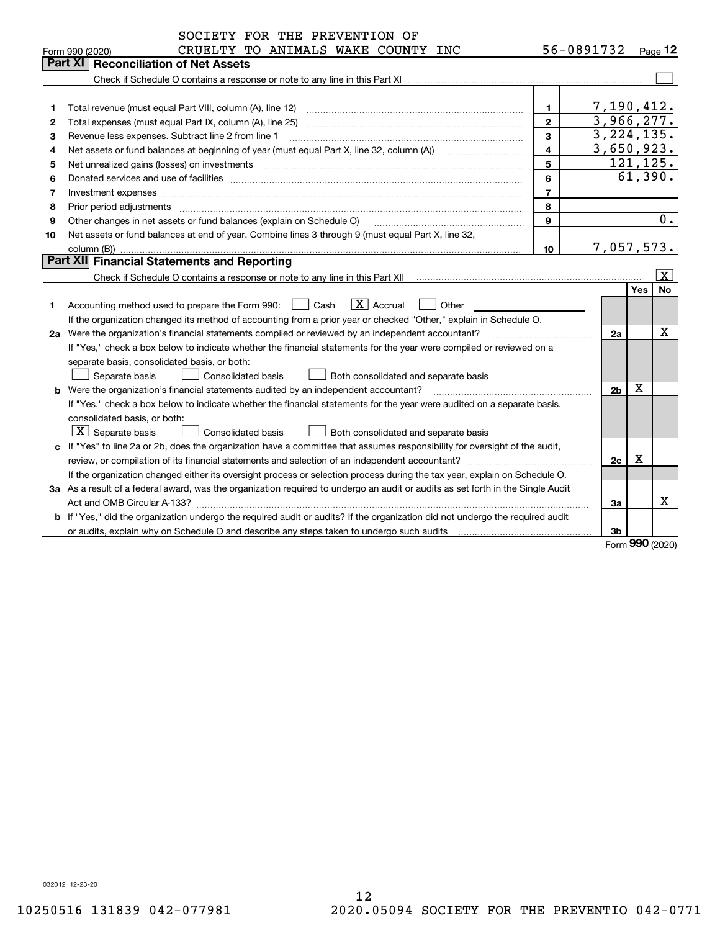| 56-0891732<br>CRUELTY TO ANIMALS WAKE COUNTY INC<br>Page $12$<br>Form 990 (2020)<br>Part XI<br><b>Reconciliation of Net Assets</b><br>7,190,412.<br>Total revenue (must equal Part VIII, column (A), line 12)<br>1<br>1<br>3,966,277.<br>$\mathbf{2}$<br>Total expenses (must equal Part IX, column (A), line 25)<br>2<br>3, 224, 135.<br>3<br>з<br>Revenue less expenses. Subtract line 2 from line 1<br>3,650,923.<br>4<br>4<br>121, 125.<br>5<br>Net unrealized gains (losses) on investments<br>5<br>61,390.<br>6<br>6<br>$\overline{7}$<br>7<br>Investment expenses www.communication.com/www.communication.com/www.communication.com/www.com<br>8<br>8<br>Prior period adjustments<br>$\overline{0}$ .<br>Other changes in net assets or fund balances (explain on Schedule O)<br>9<br>9<br>Net assets or fund balances at end of year. Combine lines 3 through 9 (must equal Part X, line 32,<br>10<br>7,057,573.<br>10<br>column (B))<br><b>Part XII</b> Financial Statements and Reporting<br>$\overline{\mathbf{x}}$<br>No<br>Yes<br>$ X $ Accrual<br>Accounting method used to prepare the Form 990: <u>[16</u> ] Cash<br>Other<br>1<br>If the organization changed its method of accounting from a prior year or checked "Other," explain in Schedule O.<br>x<br>2a Were the organization's financial statements compiled or reviewed by an independent accountant?<br>2a<br>If "Yes," check a box below to indicate whether the financial statements for the year were compiled or reviewed on a<br>separate basis, consolidated basis, or both:<br>Both consolidated and separate basis<br>Separate basis<br><b>Consolidated basis</b><br>X<br><b>b</b> Were the organization's financial statements audited by an independent accountant?<br>2 <sub>b</sub><br>If "Yes," check a box below to indicate whether the financial statements for the year were audited on a separate basis,<br>consolidated basis, or both:<br>$\lfloor x \rfloor$ Separate basis<br><b>Consolidated basis</b><br>Both consolidated and separate basis<br>c If "Yes" to line 2a or 2b, does the organization have a committee that assumes responsibility for oversight of the audit,<br>Χ<br>2c<br>If the organization changed either its oversight process or selection process during the tax year, explain on Schedule O. | SOCIETY FOR THE PREVENTION OF |  |  |
|-------------------------------------------------------------------------------------------------------------------------------------------------------------------------------------------------------------------------------------------------------------------------------------------------------------------------------------------------------------------------------------------------------------------------------------------------------------------------------------------------------------------------------------------------------------------------------------------------------------------------------------------------------------------------------------------------------------------------------------------------------------------------------------------------------------------------------------------------------------------------------------------------------------------------------------------------------------------------------------------------------------------------------------------------------------------------------------------------------------------------------------------------------------------------------------------------------------------------------------------------------------------------------------------------------------------------------------------------------------------------------------------------------------------------------------------------------------------------------------------------------------------------------------------------------------------------------------------------------------------------------------------------------------------------------------------------------------------------------------------------------------------------------------------------------------------------------------------------------------------------------------------------------------------------------------------------------------------------------------------------------------------------------------------------------------------------------------------------------------------------------------------------------------------------------------------------------------------------------------------------------------------------------------------------------------------------|-------------------------------|--|--|
|                                                                                                                                                                                                                                                                                                                                                                                                                                                                                                                                                                                                                                                                                                                                                                                                                                                                                                                                                                                                                                                                                                                                                                                                                                                                                                                                                                                                                                                                                                                                                                                                                                                                                                                                                                                                                                                                                                                                                                                                                                                                                                                                                                                                                                                                                                                         |                               |  |  |
|                                                                                                                                                                                                                                                                                                                                                                                                                                                                                                                                                                                                                                                                                                                                                                                                                                                                                                                                                                                                                                                                                                                                                                                                                                                                                                                                                                                                                                                                                                                                                                                                                                                                                                                                                                                                                                                                                                                                                                                                                                                                                                                                                                                                                                                                                                                         |                               |  |  |
|                                                                                                                                                                                                                                                                                                                                                                                                                                                                                                                                                                                                                                                                                                                                                                                                                                                                                                                                                                                                                                                                                                                                                                                                                                                                                                                                                                                                                                                                                                                                                                                                                                                                                                                                                                                                                                                                                                                                                                                                                                                                                                                                                                                                                                                                                                                         |                               |  |  |
|                                                                                                                                                                                                                                                                                                                                                                                                                                                                                                                                                                                                                                                                                                                                                                                                                                                                                                                                                                                                                                                                                                                                                                                                                                                                                                                                                                                                                                                                                                                                                                                                                                                                                                                                                                                                                                                                                                                                                                                                                                                                                                                                                                                                                                                                                                                         |                               |  |  |
|                                                                                                                                                                                                                                                                                                                                                                                                                                                                                                                                                                                                                                                                                                                                                                                                                                                                                                                                                                                                                                                                                                                                                                                                                                                                                                                                                                                                                                                                                                                                                                                                                                                                                                                                                                                                                                                                                                                                                                                                                                                                                                                                                                                                                                                                                                                         |                               |  |  |
|                                                                                                                                                                                                                                                                                                                                                                                                                                                                                                                                                                                                                                                                                                                                                                                                                                                                                                                                                                                                                                                                                                                                                                                                                                                                                                                                                                                                                                                                                                                                                                                                                                                                                                                                                                                                                                                                                                                                                                                                                                                                                                                                                                                                                                                                                                                         |                               |  |  |
|                                                                                                                                                                                                                                                                                                                                                                                                                                                                                                                                                                                                                                                                                                                                                                                                                                                                                                                                                                                                                                                                                                                                                                                                                                                                                                                                                                                                                                                                                                                                                                                                                                                                                                                                                                                                                                                                                                                                                                                                                                                                                                                                                                                                                                                                                                                         |                               |  |  |
|                                                                                                                                                                                                                                                                                                                                                                                                                                                                                                                                                                                                                                                                                                                                                                                                                                                                                                                                                                                                                                                                                                                                                                                                                                                                                                                                                                                                                                                                                                                                                                                                                                                                                                                                                                                                                                                                                                                                                                                                                                                                                                                                                                                                                                                                                                                         |                               |  |  |
|                                                                                                                                                                                                                                                                                                                                                                                                                                                                                                                                                                                                                                                                                                                                                                                                                                                                                                                                                                                                                                                                                                                                                                                                                                                                                                                                                                                                                                                                                                                                                                                                                                                                                                                                                                                                                                                                                                                                                                                                                                                                                                                                                                                                                                                                                                                         |                               |  |  |
|                                                                                                                                                                                                                                                                                                                                                                                                                                                                                                                                                                                                                                                                                                                                                                                                                                                                                                                                                                                                                                                                                                                                                                                                                                                                                                                                                                                                                                                                                                                                                                                                                                                                                                                                                                                                                                                                                                                                                                                                                                                                                                                                                                                                                                                                                                                         |                               |  |  |
|                                                                                                                                                                                                                                                                                                                                                                                                                                                                                                                                                                                                                                                                                                                                                                                                                                                                                                                                                                                                                                                                                                                                                                                                                                                                                                                                                                                                                                                                                                                                                                                                                                                                                                                                                                                                                                                                                                                                                                                                                                                                                                                                                                                                                                                                                                                         |                               |  |  |
|                                                                                                                                                                                                                                                                                                                                                                                                                                                                                                                                                                                                                                                                                                                                                                                                                                                                                                                                                                                                                                                                                                                                                                                                                                                                                                                                                                                                                                                                                                                                                                                                                                                                                                                                                                                                                                                                                                                                                                                                                                                                                                                                                                                                                                                                                                                         |                               |  |  |
|                                                                                                                                                                                                                                                                                                                                                                                                                                                                                                                                                                                                                                                                                                                                                                                                                                                                                                                                                                                                                                                                                                                                                                                                                                                                                                                                                                                                                                                                                                                                                                                                                                                                                                                                                                                                                                                                                                                                                                                                                                                                                                                                                                                                                                                                                                                         |                               |  |  |
|                                                                                                                                                                                                                                                                                                                                                                                                                                                                                                                                                                                                                                                                                                                                                                                                                                                                                                                                                                                                                                                                                                                                                                                                                                                                                                                                                                                                                                                                                                                                                                                                                                                                                                                                                                                                                                                                                                                                                                                                                                                                                                                                                                                                                                                                                                                         |                               |  |  |
|                                                                                                                                                                                                                                                                                                                                                                                                                                                                                                                                                                                                                                                                                                                                                                                                                                                                                                                                                                                                                                                                                                                                                                                                                                                                                                                                                                                                                                                                                                                                                                                                                                                                                                                                                                                                                                                                                                                                                                                                                                                                                                                                                                                                                                                                                                                         |                               |  |  |
|                                                                                                                                                                                                                                                                                                                                                                                                                                                                                                                                                                                                                                                                                                                                                                                                                                                                                                                                                                                                                                                                                                                                                                                                                                                                                                                                                                                                                                                                                                                                                                                                                                                                                                                                                                                                                                                                                                                                                                                                                                                                                                                                                                                                                                                                                                                         |                               |  |  |
|                                                                                                                                                                                                                                                                                                                                                                                                                                                                                                                                                                                                                                                                                                                                                                                                                                                                                                                                                                                                                                                                                                                                                                                                                                                                                                                                                                                                                                                                                                                                                                                                                                                                                                                                                                                                                                                                                                                                                                                                                                                                                                                                                                                                                                                                                                                         |                               |  |  |
|                                                                                                                                                                                                                                                                                                                                                                                                                                                                                                                                                                                                                                                                                                                                                                                                                                                                                                                                                                                                                                                                                                                                                                                                                                                                                                                                                                                                                                                                                                                                                                                                                                                                                                                                                                                                                                                                                                                                                                                                                                                                                                                                                                                                                                                                                                                         |                               |  |  |
|                                                                                                                                                                                                                                                                                                                                                                                                                                                                                                                                                                                                                                                                                                                                                                                                                                                                                                                                                                                                                                                                                                                                                                                                                                                                                                                                                                                                                                                                                                                                                                                                                                                                                                                                                                                                                                                                                                                                                                                                                                                                                                                                                                                                                                                                                                                         |                               |  |  |
|                                                                                                                                                                                                                                                                                                                                                                                                                                                                                                                                                                                                                                                                                                                                                                                                                                                                                                                                                                                                                                                                                                                                                                                                                                                                                                                                                                                                                                                                                                                                                                                                                                                                                                                                                                                                                                                                                                                                                                                                                                                                                                                                                                                                                                                                                                                         |                               |  |  |
|                                                                                                                                                                                                                                                                                                                                                                                                                                                                                                                                                                                                                                                                                                                                                                                                                                                                                                                                                                                                                                                                                                                                                                                                                                                                                                                                                                                                                                                                                                                                                                                                                                                                                                                                                                                                                                                                                                                                                                                                                                                                                                                                                                                                                                                                                                                         |                               |  |  |
|                                                                                                                                                                                                                                                                                                                                                                                                                                                                                                                                                                                                                                                                                                                                                                                                                                                                                                                                                                                                                                                                                                                                                                                                                                                                                                                                                                                                                                                                                                                                                                                                                                                                                                                                                                                                                                                                                                                                                                                                                                                                                                                                                                                                                                                                                                                         |                               |  |  |
|                                                                                                                                                                                                                                                                                                                                                                                                                                                                                                                                                                                                                                                                                                                                                                                                                                                                                                                                                                                                                                                                                                                                                                                                                                                                                                                                                                                                                                                                                                                                                                                                                                                                                                                                                                                                                                                                                                                                                                                                                                                                                                                                                                                                                                                                                                                         |                               |  |  |
|                                                                                                                                                                                                                                                                                                                                                                                                                                                                                                                                                                                                                                                                                                                                                                                                                                                                                                                                                                                                                                                                                                                                                                                                                                                                                                                                                                                                                                                                                                                                                                                                                                                                                                                                                                                                                                                                                                                                                                                                                                                                                                                                                                                                                                                                                                                         |                               |  |  |
|                                                                                                                                                                                                                                                                                                                                                                                                                                                                                                                                                                                                                                                                                                                                                                                                                                                                                                                                                                                                                                                                                                                                                                                                                                                                                                                                                                                                                                                                                                                                                                                                                                                                                                                                                                                                                                                                                                                                                                                                                                                                                                                                                                                                                                                                                                                         |                               |  |  |
|                                                                                                                                                                                                                                                                                                                                                                                                                                                                                                                                                                                                                                                                                                                                                                                                                                                                                                                                                                                                                                                                                                                                                                                                                                                                                                                                                                                                                                                                                                                                                                                                                                                                                                                                                                                                                                                                                                                                                                                                                                                                                                                                                                                                                                                                                                                         |                               |  |  |
|                                                                                                                                                                                                                                                                                                                                                                                                                                                                                                                                                                                                                                                                                                                                                                                                                                                                                                                                                                                                                                                                                                                                                                                                                                                                                                                                                                                                                                                                                                                                                                                                                                                                                                                                                                                                                                                                                                                                                                                                                                                                                                                                                                                                                                                                                                                         |                               |  |  |
|                                                                                                                                                                                                                                                                                                                                                                                                                                                                                                                                                                                                                                                                                                                                                                                                                                                                                                                                                                                                                                                                                                                                                                                                                                                                                                                                                                                                                                                                                                                                                                                                                                                                                                                                                                                                                                                                                                                                                                                                                                                                                                                                                                                                                                                                                                                         |                               |  |  |
|                                                                                                                                                                                                                                                                                                                                                                                                                                                                                                                                                                                                                                                                                                                                                                                                                                                                                                                                                                                                                                                                                                                                                                                                                                                                                                                                                                                                                                                                                                                                                                                                                                                                                                                                                                                                                                                                                                                                                                                                                                                                                                                                                                                                                                                                                                                         |                               |  |  |
|                                                                                                                                                                                                                                                                                                                                                                                                                                                                                                                                                                                                                                                                                                                                                                                                                                                                                                                                                                                                                                                                                                                                                                                                                                                                                                                                                                                                                                                                                                                                                                                                                                                                                                                                                                                                                                                                                                                                                                                                                                                                                                                                                                                                                                                                                                                         |                               |  |  |
|                                                                                                                                                                                                                                                                                                                                                                                                                                                                                                                                                                                                                                                                                                                                                                                                                                                                                                                                                                                                                                                                                                                                                                                                                                                                                                                                                                                                                                                                                                                                                                                                                                                                                                                                                                                                                                                                                                                                                                                                                                                                                                                                                                                                                                                                                                                         |                               |  |  |
| 3a As a result of a federal award, was the organization required to undergo an audit or audits as set forth in the Single Audit                                                                                                                                                                                                                                                                                                                                                                                                                                                                                                                                                                                                                                                                                                                                                                                                                                                                                                                                                                                                                                                                                                                                                                                                                                                                                                                                                                                                                                                                                                                                                                                                                                                                                                                                                                                                                                                                                                                                                                                                                                                                                                                                                                                         |                               |  |  |
| X.<br>Act and OMB Circular A-133?<br>За                                                                                                                                                                                                                                                                                                                                                                                                                                                                                                                                                                                                                                                                                                                                                                                                                                                                                                                                                                                                                                                                                                                                                                                                                                                                                                                                                                                                                                                                                                                                                                                                                                                                                                                                                                                                                                                                                                                                                                                                                                                                                                                                                                                                                                                                                 |                               |  |  |
| b If "Yes," did the organization undergo the required audit or audits? If the organization did not undergo the required audit                                                                                                                                                                                                                                                                                                                                                                                                                                                                                                                                                                                                                                                                                                                                                                                                                                                                                                                                                                                                                                                                                                                                                                                                                                                                                                                                                                                                                                                                                                                                                                                                                                                                                                                                                                                                                                                                                                                                                                                                                                                                                                                                                                                           |                               |  |  |
| 3b<br>990 $(202)$                                                                                                                                                                                                                                                                                                                                                                                                                                                                                                                                                                                                                                                                                                                                                                                                                                                                                                                                                                                                                                                                                                                                                                                                                                                                                                                                                                                                                                                                                                                                                                                                                                                                                                                                                                                                                                                                                                                                                                                                                                                                                                                                                                                                                                                                                                       |                               |  |  |

Form (2020) **990**

032012 12-23-20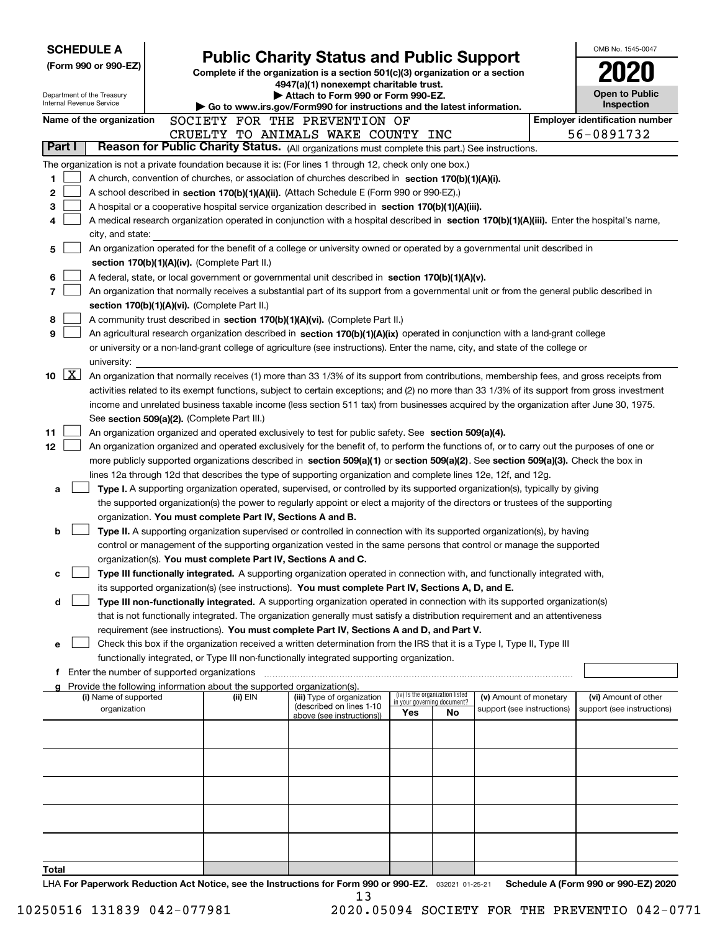| <b>SCHEDULE A</b>                                      |                                                                                                                                                                                                                                                           |                                                                                                                         |                                 |  |                        |  | OMB No. 1545-0047                     |  |  |  |  |  |
|--------------------------------------------------------|-----------------------------------------------------------------------------------------------------------------------------------------------------------------------------------------------------------------------------------------------------------|-------------------------------------------------------------------------------------------------------------------------|---------------------------------|--|------------------------|--|---------------------------------------|--|--|--|--|--|
| (Form 990 or 990-EZ)                                   |                                                                                                                                                                                                                                                           | <b>Public Charity Status and Public Support</b>                                                                         |                                 |  |                        |  |                                       |  |  |  |  |  |
|                                                        |                                                                                                                                                                                                                                                           | Complete if the organization is a section 501(c)(3) organization or a section<br>4947(a)(1) nonexempt charitable trust. |                                 |  |                        |  |                                       |  |  |  |  |  |
| Department of the Treasury<br>Internal Revenue Service |                                                                                                                                                                                                                                                           | Attach to Form 990 or Form 990-EZ.                                                                                      |                                 |  |                        |  | <b>Open to Public</b><br>Inspection   |  |  |  |  |  |
| Name of the organization                               | SOCIETY FOR THE PREVENTION OF                                                                                                                                                                                                                             | Go to www.irs.gov/Form990 for instructions and the latest information.                                                  |                                 |  |                        |  | <b>Employer identification number</b> |  |  |  |  |  |
|                                                        | CRUELTY TO ANIMALS WAKE COUNTY INC                                                                                                                                                                                                                        |                                                                                                                         |                                 |  |                        |  | 56-0891732                            |  |  |  |  |  |
| Part I                                                 | Reason for Public Charity Status. (All organizations must complete this part.) See instructions.                                                                                                                                                          |                                                                                                                         |                                 |  |                        |  |                                       |  |  |  |  |  |
|                                                        | The organization is not a private foundation because it is: (For lines 1 through 12, check only one box.)                                                                                                                                                 |                                                                                                                         |                                 |  |                        |  |                                       |  |  |  |  |  |
| 1                                                      | A church, convention of churches, or association of churches described in section 170(b)(1)(A)(i).                                                                                                                                                        |                                                                                                                         |                                 |  |                        |  |                                       |  |  |  |  |  |
| 2                                                      | A school described in section 170(b)(1)(A)(ii). (Attach Schedule E (Form 990 or 990-EZ).)                                                                                                                                                                 |                                                                                                                         |                                 |  |                        |  |                                       |  |  |  |  |  |
| 3                                                      | A hospital or a cooperative hospital service organization described in section $170(b)(1)(A)(iii)$ .<br>A medical research organization operated in conjunction with a hospital described in section 170(b)(1)(A)(iii). Enter the hospital's name,        |                                                                                                                         |                                 |  |                        |  |                                       |  |  |  |  |  |
| 4                                                      |                                                                                                                                                                                                                                                           |                                                                                                                         |                                 |  |                        |  |                                       |  |  |  |  |  |
| city, and state:<br>5                                  | An organization operated for the benefit of a college or university owned or operated by a governmental unit described in                                                                                                                                 |                                                                                                                         |                                 |  |                        |  |                                       |  |  |  |  |  |
|                                                        | section 170(b)(1)(A)(iv). (Complete Part II.)                                                                                                                                                                                                             |                                                                                                                         |                                 |  |                        |  |                                       |  |  |  |  |  |
| 6                                                      | A federal, state, or local government or governmental unit described in section 170(b)(1)(A)(v).                                                                                                                                                          |                                                                                                                         |                                 |  |                        |  |                                       |  |  |  |  |  |
| 7                                                      | An organization that normally receives a substantial part of its support from a governmental unit or from the general public described in                                                                                                                 |                                                                                                                         |                                 |  |                        |  |                                       |  |  |  |  |  |
|                                                        | section 170(b)(1)(A)(vi). (Complete Part II.)                                                                                                                                                                                                             |                                                                                                                         |                                 |  |                        |  |                                       |  |  |  |  |  |
| 8                                                      | A community trust described in section 170(b)(1)(A)(vi). (Complete Part II.)                                                                                                                                                                              |                                                                                                                         |                                 |  |                        |  |                                       |  |  |  |  |  |
| 9                                                      | An agricultural research organization described in section 170(b)(1)(A)(ix) operated in conjunction with a land-grant college                                                                                                                             |                                                                                                                         |                                 |  |                        |  |                                       |  |  |  |  |  |
|                                                        | or university or a non-land-grant college of agriculture (see instructions). Enter the name, city, and state of the college or                                                                                                                            |                                                                                                                         |                                 |  |                        |  |                                       |  |  |  |  |  |
| university:<br>$10 \quad \boxed{X}$                    | An organization that normally receives (1) more than 33 1/3% of its support from contributions, membership fees, and gross receipts from                                                                                                                  |                                                                                                                         |                                 |  |                        |  |                                       |  |  |  |  |  |
|                                                        | activities related to its exempt functions, subject to certain exceptions; and (2) no more than 33 1/3% of its support from gross investment                                                                                                              |                                                                                                                         |                                 |  |                        |  |                                       |  |  |  |  |  |
|                                                        | income and unrelated business taxable income (less section 511 tax) from businesses acquired by the organization after June 30, 1975.                                                                                                                     |                                                                                                                         |                                 |  |                        |  |                                       |  |  |  |  |  |
|                                                        | See section 509(a)(2). (Complete Part III.)                                                                                                                                                                                                               |                                                                                                                         |                                 |  |                        |  |                                       |  |  |  |  |  |
| 11                                                     | An organization organized and operated exclusively to test for public safety. See section 509(a)(4).                                                                                                                                                      |                                                                                                                         |                                 |  |                        |  |                                       |  |  |  |  |  |
| 12                                                     | An organization organized and operated exclusively for the benefit of, to perform the functions of, or to carry out the purposes of one or                                                                                                                |                                                                                                                         |                                 |  |                        |  |                                       |  |  |  |  |  |
|                                                        | more publicly supported organizations described in section 509(a)(1) or section 509(a)(2). See section 509(a)(3). Check the box in                                                                                                                        |                                                                                                                         |                                 |  |                        |  |                                       |  |  |  |  |  |
|                                                        | lines 12a through 12d that describes the type of supporting organization and complete lines 12e, 12f, and 12g.<br>Type I. A supporting organization operated, supervised, or controlled by its supported organization(s), typically by giving             |                                                                                                                         |                                 |  |                        |  |                                       |  |  |  |  |  |
| a                                                      | the supported organization(s) the power to regularly appoint or elect a majority of the directors or trustees of the supporting                                                                                                                           |                                                                                                                         |                                 |  |                        |  |                                       |  |  |  |  |  |
|                                                        | organization. You must complete Part IV, Sections A and B.                                                                                                                                                                                                |                                                                                                                         |                                 |  |                        |  |                                       |  |  |  |  |  |
| b                                                      | Type II. A supporting organization supervised or controlled in connection with its supported organization(s), by having                                                                                                                                   |                                                                                                                         |                                 |  |                        |  |                                       |  |  |  |  |  |
|                                                        | control or management of the supporting organization vested in the same persons that control or manage the supported                                                                                                                                      |                                                                                                                         |                                 |  |                        |  |                                       |  |  |  |  |  |
|                                                        | organization(s). You must complete Part IV, Sections A and C.                                                                                                                                                                                             |                                                                                                                         |                                 |  |                        |  |                                       |  |  |  |  |  |
| c                                                      | Type III functionally integrated. A supporting organization operated in connection with, and functionally integrated with,                                                                                                                                |                                                                                                                         |                                 |  |                        |  |                                       |  |  |  |  |  |
|                                                        | its supported organization(s) (see instructions). You must complete Part IV, Sections A, D, and E.                                                                                                                                                        |                                                                                                                         |                                 |  |                        |  |                                       |  |  |  |  |  |
| d                                                      | Type III non-functionally integrated. A supporting organization operated in connection with its supported organization(s)<br>that is not functionally integrated. The organization generally must satisfy a distribution requirement and an attentiveness |                                                                                                                         |                                 |  |                        |  |                                       |  |  |  |  |  |
|                                                        | requirement (see instructions). You must complete Part IV, Sections A and D, and Part V.                                                                                                                                                                  |                                                                                                                         |                                 |  |                        |  |                                       |  |  |  |  |  |
| е                                                      | Check this box if the organization received a written determination from the IRS that it is a Type I, Type II, Type III                                                                                                                                   |                                                                                                                         |                                 |  |                        |  |                                       |  |  |  |  |  |
|                                                        | functionally integrated, or Type III non-functionally integrated supporting organization.                                                                                                                                                                 |                                                                                                                         |                                 |  |                        |  |                                       |  |  |  |  |  |
| f.                                                     | Enter the number of supported organizations                                                                                                                                                                                                               |                                                                                                                         |                                 |  |                        |  |                                       |  |  |  |  |  |
| (i) Name of supported                                  | Provide the following information about the supported organization(s).<br>(ii) EIN                                                                                                                                                                        | (iii) Type of organization                                                                                              | (iv) Is the organization listed |  | (v) Amount of monetary |  | (vi) Amount of other                  |  |  |  |  |  |
| organization                                           | in your governing document?<br>(described on lines 1-10)<br>support (see instructions)<br>support (see instructions)<br>No<br>Yes                                                                                                                         |                                                                                                                         |                                 |  |                        |  |                                       |  |  |  |  |  |
|                                                        |                                                                                                                                                                                                                                                           | above (see instructions))                                                                                               |                                 |  |                        |  |                                       |  |  |  |  |  |
|                                                        |                                                                                                                                                                                                                                                           |                                                                                                                         |                                 |  |                        |  |                                       |  |  |  |  |  |
|                                                        |                                                                                                                                                                                                                                                           |                                                                                                                         |                                 |  |                        |  |                                       |  |  |  |  |  |
|                                                        |                                                                                                                                                                                                                                                           |                                                                                                                         |                                 |  |                        |  |                                       |  |  |  |  |  |
|                                                        |                                                                                                                                                                                                                                                           |                                                                                                                         |                                 |  |                        |  |                                       |  |  |  |  |  |
|                                                        |                                                                                                                                                                                                                                                           |                                                                                                                         |                                 |  |                        |  |                                       |  |  |  |  |  |
|                                                        |                                                                                                                                                                                                                                                           |                                                                                                                         |                                 |  |                        |  |                                       |  |  |  |  |  |
|                                                        |                                                                                                                                                                                                                                                           |                                                                                                                         |                                 |  |                        |  |                                       |  |  |  |  |  |
|                                                        |                                                                                                                                                                                                                                                           |                                                                                                                         |                                 |  |                        |  |                                       |  |  |  |  |  |
| Total                                                  |                                                                                                                                                                                                                                                           |                                                                                                                         |                                 |  |                        |  |                                       |  |  |  |  |  |
|                                                        | ric Deduction, Act Nation, and the Instructions for Form 000 or 000 F7                                                                                                                                                                                    |                                                                                                                         |                                 |  |                        |  | Cahadula A (Faum 000 av 000 EZ) 0000  |  |  |  |  |  |

LHA For Paperwork Reduction Act Notice, see the Instructions for Form 990 or 990-EZ. <sub>032021</sub> o1-25-21 Schedule A (Form 990 or 990-EZ) 2020 13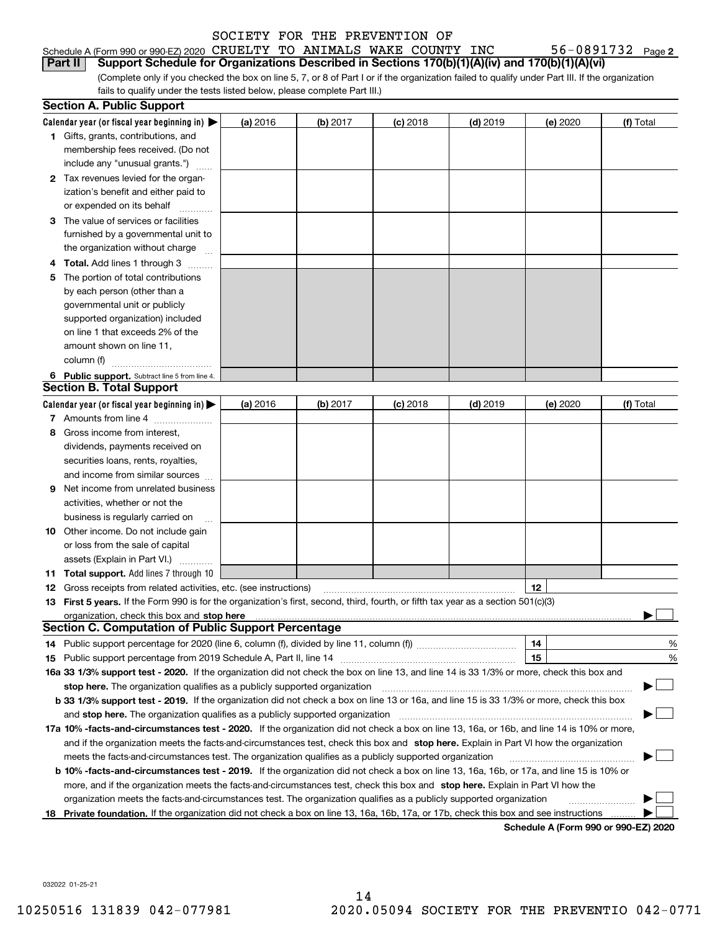| Schedule A (Form 990 or 990-EZ) 2020 CRUELTY TO ANIMALS WAKE COUNTY INC                                |  |  |  | 56-0891732 $_{Page 2}$                                                                                                                          |  |
|--------------------------------------------------------------------------------------------------------|--|--|--|-------------------------------------------------------------------------------------------------------------------------------------------------|--|
| Part II Support Schedule for Organizations Described in Sections 170(b)(1)(A)(iv) and 170(b)(1)(A)(vi) |  |  |  |                                                                                                                                                 |  |
|                                                                                                        |  |  |  | (Complete only if you checked the box on line 5, 7, or 8 of Part I or if the organization failed to qualify under Part III. If the organization |  |

fails to qualify under the tests listed below, please complete Part III.)

|    | <b>Section A. Public Support</b>                                                                                                                                                                                              |          |            |            |            |          |                                      |
|----|-------------------------------------------------------------------------------------------------------------------------------------------------------------------------------------------------------------------------------|----------|------------|------------|------------|----------|--------------------------------------|
|    | Calendar year (or fiscal year beginning in) $\blacktriangleright$                                                                                                                                                             | (a) 2016 | $(b)$ 2017 | $(c)$ 2018 | $(d)$ 2019 | (e) 2020 | (f) Total                            |
|    | <b>1</b> Gifts, grants, contributions, and                                                                                                                                                                                    |          |            |            |            |          |                                      |
|    | membership fees received. (Do not                                                                                                                                                                                             |          |            |            |            |          |                                      |
|    | include any "unusual grants.")                                                                                                                                                                                                |          |            |            |            |          |                                      |
|    | 2 Tax revenues levied for the organ-                                                                                                                                                                                          |          |            |            |            |          |                                      |
|    | ization's benefit and either paid to                                                                                                                                                                                          |          |            |            |            |          |                                      |
|    | or expended on its behalf                                                                                                                                                                                                     |          |            |            |            |          |                                      |
|    | 3 The value of services or facilities                                                                                                                                                                                         |          |            |            |            |          |                                      |
|    | furnished by a governmental unit to                                                                                                                                                                                           |          |            |            |            |          |                                      |
|    | the organization without charge                                                                                                                                                                                               |          |            |            |            |          |                                      |
|    | <b>4 Total.</b> Add lines 1 through 3                                                                                                                                                                                         |          |            |            |            |          |                                      |
| 5. | The portion of total contributions                                                                                                                                                                                            |          |            |            |            |          |                                      |
|    | by each person (other than a                                                                                                                                                                                                  |          |            |            |            |          |                                      |
|    | governmental unit or publicly                                                                                                                                                                                                 |          |            |            |            |          |                                      |
|    | supported organization) included                                                                                                                                                                                              |          |            |            |            |          |                                      |
|    | on line 1 that exceeds 2% of the                                                                                                                                                                                              |          |            |            |            |          |                                      |
|    | amount shown on line 11,                                                                                                                                                                                                      |          |            |            |            |          |                                      |
|    | column (f)                                                                                                                                                                                                                    |          |            |            |            |          |                                      |
|    | 6 Public support. Subtract line 5 from line 4.                                                                                                                                                                                |          |            |            |            |          |                                      |
|    | <b>Section B. Total Support</b>                                                                                                                                                                                               |          |            |            |            |          |                                      |
|    | Calendar year (or fiscal year beginning in) $\blacktriangleright$                                                                                                                                                             | (a) 2016 | (b) 2017   | $(c)$ 2018 | $(d)$ 2019 | (e) 2020 | (f) Total                            |
|    | 7 Amounts from line 4                                                                                                                                                                                                         |          |            |            |            |          |                                      |
| 8  | Gross income from interest,                                                                                                                                                                                                   |          |            |            |            |          |                                      |
|    | dividends, payments received on                                                                                                                                                                                               |          |            |            |            |          |                                      |
|    | securities loans, rents, royalties,                                                                                                                                                                                           |          |            |            |            |          |                                      |
|    | and income from similar sources                                                                                                                                                                                               |          |            |            |            |          |                                      |
| 9  | Net income from unrelated business                                                                                                                                                                                            |          |            |            |            |          |                                      |
|    | activities, whether or not the                                                                                                                                                                                                |          |            |            |            |          |                                      |
|    | business is regularly carried on                                                                                                                                                                                              |          |            |            |            |          |                                      |
|    | <b>10</b> Other income. Do not include gain                                                                                                                                                                                   |          |            |            |            |          |                                      |
|    | or loss from the sale of capital                                                                                                                                                                                              |          |            |            |            |          |                                      |
|    | assets (Explain in Part VI.)                                                                                                                                                                                                  |          |            |            |            |          |                                      |
|    | 11 Total support. Add lines 7 through 10                                                                                                                                                                                      |          |            |            |            |          |                                      |
|    | <b>12</b> Gross receipts from related activities, etc. (see instructions)                                                                                                                                                     |          |            |            |            | 12       |                                      |
|    | 13 First 5 years. If the Form 990 is for the organization's first, second, third, fourth, or fifth tax year as a section 501(c)(3)                                                                                            |          |            |            |            |          |                                      |
|    | organization, check this box and stop here manufactured and state and state and state and state and state and stop here and stop here are all and state and state and state and state and state and state and state and state |          |            |            |            |          |                                      |
|    | <b>Section C. Computation of Public Support Percentage</b>                                                                                                                                                                    |          |            |            |            |          |                                      |
|    | 14 Public support percentage for 2020 (line 6, column (f), divided by line 11, column (f) <i>mummumumum</i>                                                                                                                   |          |            |            |            | 14       | %                                    |
|    |                                                                                                                                                                                                                               |          |            |            |            | 15       | %                                    |
|    | 16a 33 1/3% support test - 2020. If the organization did not check the box on line 13, and line 14 is 33 1/3% or more, check this box and                                                                                     |          |            |            |            |          |                                      |
|    | stop here. The organization qualifies as a publicly supported organization                                                                                                                                                    |          |            |            |            |          |                                      |
|    | b 33 1/3% support test - 2019. If the organization did not check a box on line 13 or 16a, and line 15 is 33 1/3% or more, check this box                                                                                      |          |            |            |            |          |                                      |
|    | and stop here. The organization qualifies as a publicly supported organization                                                                                                                                                |          |            |            |            |          |                                      |
|    | 17a 10% -facts-and-circumstances test - 2020. If the organization did not check a box on line 13, 16a, or 16b, and line 14 is 10% or more,                                                                                    |          |            |            |            |          |                                      |
|    | and if the organization meets the facts-and-circumstances test, check this box and stop here. Explain in Part VI how the organization                                                                                         |          |            |            |            |          |                                      |
|    | meets the facts-and-circumstances test. The organization qualifies as a publicly supported organization                                                                                                                       |          |            |            |            |          |                                      |
|    | <b>b 10% -facts-and-circumstances test - 2019.</b> If the organization did not check a box on line 13, 16a, 16b, or 17a, and line 15 is 10% or                                                                                |          |            |            |            |          |                                      |
|    | more, and if the organization meets the facts-and-circumstances test, check this box and stop here. Explain in Part VI how the                                                                                                |          |            |            |            |          |                                      |
|    | organization meets the facts-and-circumstances test. The organization qualifies as a publicly supported organization                                                                                                          |          |            |            |            |          |                                      |
|    | 18 Private foundation. If the organization did not check a box on line 13, 16a, 16b, 17a, or 17b, check this box and see instructions                                                                                         |          |            |            |            |          |                                      |
|    |                                                                                                                                                                                                                               |          |            |            |            |          | Schedule A (Form 990 or 990-F7) 2020 |

**Schedule A (Form 990 or 990-EZ) 2020**

032022 01-25-21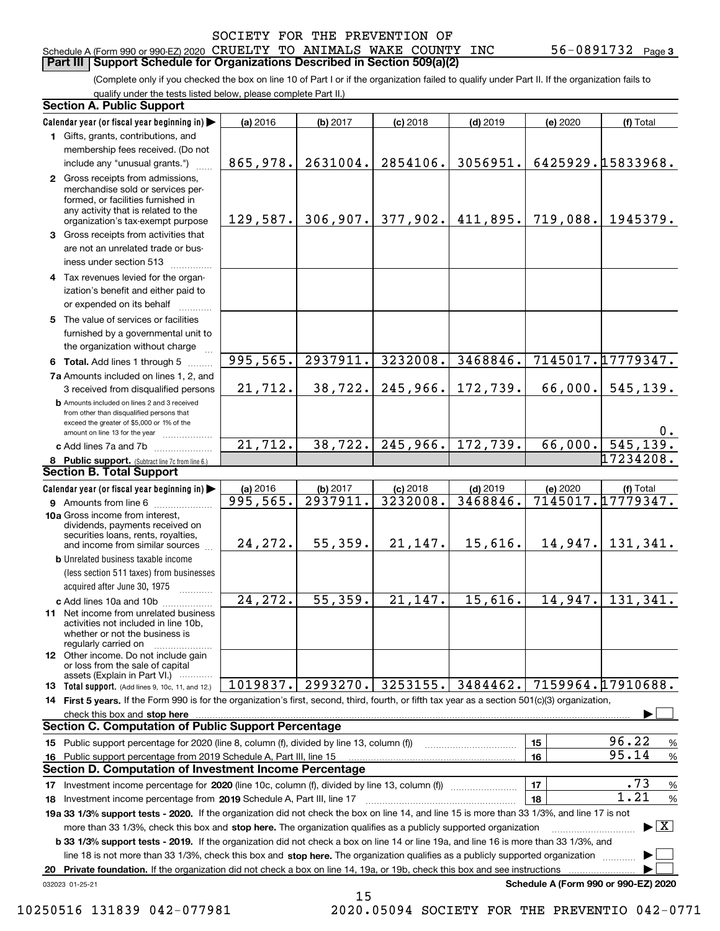#### Schedule A (Form 990 or 990-EZ) 2020 CRUELTY TO ANIMALS WAKE COUNTY INC 56–0891732 Page<br>LPart III LSupport Schedule for Organizations Described in Section 509(a)(2) **Part III** | Support Schedule for Organizations Described in Section 509(a)(2)

(Complete only if you checked the box on line 10 of Part I or if the organization failed to qualify under Part II. If the organization fails to qualify under the tests listed below, please complete Part II.)

| <b>Section A. Public Support</b>                                                                                                                                                                                                                          |                       |          |                       |            |          |                                      |
|-----------------------------------------------------------------------------------------------------------------------------------------------------------------------------------------------------------------------------------------------------------|-----------------------|----------|-----------------------|------------|----------|--------------------------------------|
| Calendar year (or fiscal year beginning in)                                                                                                                                                                                                               | (a) 2016              | (b) 2017 | $(c)$ 2018            | $(d)$ 2019 | (e) 2020 | (f) Total                            |
| 1 Gifts, grants, contributions, and                                                                                                                                                                                                                       |                       |          |                       |            |          |                                      |
| membership fees received. (Do not                                                                                                                                                                                                                         |                       |          |                       |            |          |                                      |
| include any "unusual grants.")                                                                                                                                                                                                                            | 865,978.              | 2631004. | 2854106.              | 3056951.   |          | 6425929.15833968.                    |
| 2 Gross receipts from admissions,<br>merchandise sold or services per-<br>formed, or facilities furnished in<br>any activity that is related to the<br>organization's tax-exempt purpose                                                                  | 129,587.              |          | $306, 907.$ 377, 902. | 411,895.   | 719,088. | 1945379.                             |
| 3 Gross receipts from activities that<br>are not an unrelated trade or bus-<br>iness under section 513                                                                                                                                                    |                       |          |                       |            |          |                                      |
| 4 Tax revenues levied for the organ-<br>ization's benefit and either paid to<br>or expended on its behalf                                                                                                                                                 |                       |          |                       |            |          |                                      |
| 5 The value of services or facilities<br>furnished by a governmental unit to<br>the organization without charge                                                                                                                                           |                       |          |                       |            |          |                                      |
| 6 Total. Add lines 1 through 5                                                                                                                                                                                                                            | 995,565.              | 2937911. | 3232008.              | 3468846.   |          | 7145017.17779347.                    |
| 7a Amounts included on lines 1, 2, and<br>3 received from disqualified persons                                                                                                                                                                            | 21,712.               | 38,722.  | 245,966.              | 172,739.   | 66,000.  | 545, 139.                            |
| <b>b</b> Amounts included on lines 2 and 3 received<br>from other than disqualified persons that<br>exceed the greater of \$5,000 or 1% of the<br>amount on line 13 for the year                                                                          |                       |          |                       |            |          | $0$ .                                |
| c Add lines 7a and 7b                                                                                                                                                                                                                                     | 21,712.               | 38, 722. | 245,966.              | 172,739.   | 66,000.  | 545, 139.                            |
| 8 Public support. (Subtract line 7c from line 6.)                                                                                                                                                                                                         |                       |          |                       |            |          | 17234208.                            |
| <b>Section B. Total Support</b>                                                                                                                                                                                                                           |                       |          |                       |            |          |                                      |
| Calendar year (or fiscal year beginning in)                                                                                                                                                                                                               | (a) 2016              | (b) 2017 | $(c)$ 2018            | $(d)$ 2019 | (e) 2020 | (f) Total                            |
| <b>9</b> Amounts from line 6                                                                                                                                                                                                                              | 995,565.              | 2937911. | 3232008.              | 3468846.   |          | 7145017.17779347.                    |
| 10a Gross income from interest,<br>dividends, payments received on<br>securities loans, rents, royalties,<br>and income from similar sources                                                                                                              | 24, 272.              | 55,359.  | 21,147.               | 15,616.    |          | $14,947.$ 131, 341.                  |
| <b>b</b> Unrelated business taxable income                                                                                                                                                                                                                |                       |          |                       |            |          |                                      |
| (less section 511 taxes) from businesses<br>acquired after June 30, 1975                                                                                                                                                                                  |                       |          |                       |            |          |                                      |
| c Add lines 10a and 10b                                                                                                                                                                                                                                   | $\overline{24,272}$ . | 55,359.  | 21,147.               | 15,616.    | 14,947.  | 131,341.                             |
| 11 Net income from unrelated business<br>activities not included in line 10b,<br>whether or not the business is<br>regularly carried on                                                                                                                   |                       |          |                       |            |          |                                      |
| <b>12</b> Other income. Do not include gain<br>or loss from the sale of capital<br>assets (Explain in Part VI.)                                                                                                                                           |                       |          |                       |            |          |                                      |
| 13 Total support. (Add lines 9, 10c, 11, and 12.)                                                                                                                                                                                                         | 1019837.              | 2993270. | 3253155.              | 3484462.   |          | 7159964.17910688.                    |
| 14 First 5 years. If the Form 990 is for the organization's first, second, third, fourth, or fifth tax year as a section 501(c)(3) organization,                                                                                                          |                       |          |                       |            |          |                                      |
|                                                                                                                                                                                                                                                           |                       |          |                       |            |          |                                      |
| <b>Section C. Computation of Public Support Percentage</b>                                                                                                                                                                                                |                       |          |                       |            |          |                                      |
| 15 Public support percentage for 2020 (line 8, column (f), divided by line 13, column (f))                                                                                                                                                                |                       |          |                       |            | 15       | 96.22<br>$\%$                        |
| 16 Public support percentage from 2019 Schedule A, Part III, line 15                                                                                                                                                                                      |                       |          |                       |            | 16       | 95.14<br>$\%$                        |
| <b>Section D. Computation of Investment Income Percentage</b>                                                                                                                                                                                             |                       |          |                       |            |          |                                      |
|                                                                                                                                                                                                                                                           |                       |          |                       |            | 17       | .73<br>%<br>1.21                     |
| <b>18</b> Investment income percentage from <b>2019</b> Schedule A, Part III, line 17                                                                                                                                                                     |                       |          |                       |            | 18       | $\%$                                 |
| 19a 33 1/3% support tests - 2020. If the organization did not check the box on line 14, and line 15 is more than 33 1/3%, and line 17 is not                                                                                                              |                       |          |                       |            |          | $\blacktriangleright$ $\vert$ X      |
| more than 33 1/3%, check this box and stop here. The organization qualifies as a publicly supported organization<br>b 33 1/3% support tests - 2019. If the organization did not check a box on line 14 or line 19a, and line 16 is more than 33 1/3%, and |                       |          |                       |            |          |                                      |
| line 18 is not more than 33 1/3%, check this box and stop here. The organization qualifies as a publicly supported organization                                                                                                                           |                       |          |                       |            |          |                                      |
| 20 Private foundation. If the organization did not check a box on line 14, 19a, or 19b, check this box and see instructions                                                                                                                               |                       |          |                       |            |          |                                      |
| 032023 01-25-21                                                                                                                                                                                                                                           |                       |          |                       |            |          | Schedule A (Form 990 or 990-EZ) 2020 |

15

10250516 131839 042-077981 2020.05094 SOCIETY FOR THE PREVENTIO 042-0771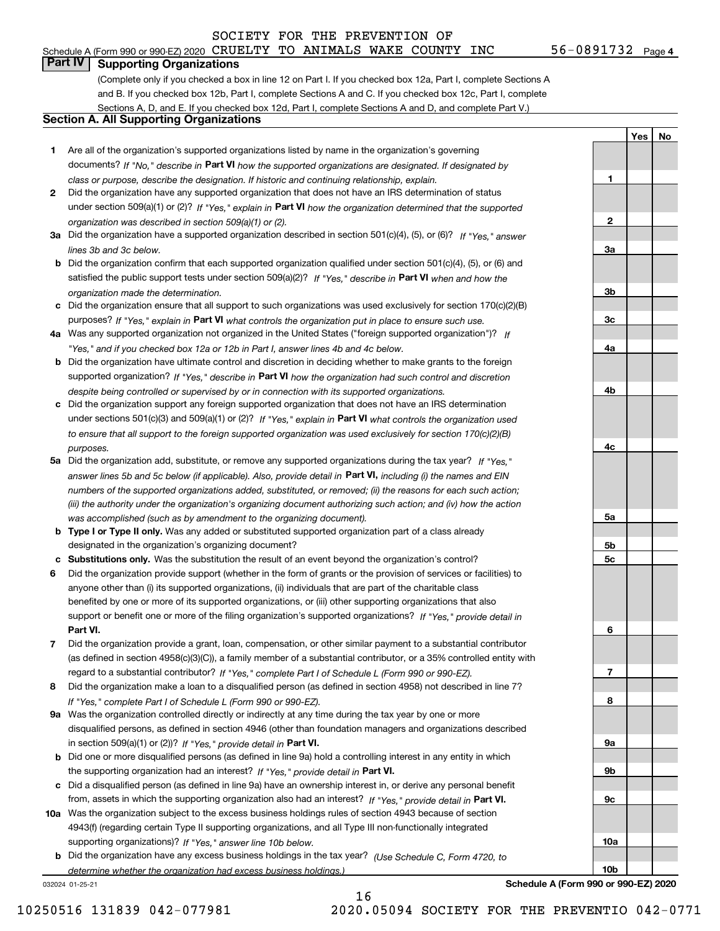## Schedule A (Form 990 or 990-EZ) 2020 CRUELTY TO ANIMALS WAKE COUNTY INC  $$56-0891732$  Page  $\overline{\phantom{0}}$

**1**

**2**

**3a**

**3b**

**3c**

**4a**

**4b**

**4c**

**5a**

**5b5c**

**6**

**7**

**8**

**9a**

**9b**

**9c**

**10a**

**10b**

**Yes No**

### **Part IV Supporting Organizations**

(Complete only if you checked a box in line 12 on Part I. If you checked box 12a, Part I, complete Sections A and B. If you checked box 12b, Part I, complete Sections A and C. If you checked box 12c, Part I, complete Sections A, D, and E. If you checked box 12d, Part I, complete Sections A and D, and complete Part V.)

#### **Section A. All Supporting Organizations**

- **1** Are all of the organization's supported organizations listed by name in the organization's governing documents? If "No," describe in **Part VI** how the supported organizations are designated. If designated by *class or purpose, describe the designation. If historic and continuing relationship, explain.*
- **2** Did the organization have any supported organization that does not have an IRS determination of status under section 509(a)(1) or (2)? If "Yes," explain in Part VI how the organization determined that the supported *organization was described in section 509(a)(1) or (2).*
- **3a** Did the organization have a supported organization described in section 501(c)(4), (5), or (6)? If "Yes," answer *lines 3b and 3c below.*
- **b** Did the organization confirm that each supported organization qualified under section 501(c)(4), (5), or (6) and satisfied the public support tests under section 509(a)(2)? If "Yes," describe in **Part VI** when and how the *organization made the determination.*
- **c**Did the organization ensure that all support to such organizations was used exclusively for section 170(c)(2)(B) purposes? If "Yes," explain in **Part VI** what controls the organization put in place to ensure such use.
- **4a***If* Was any supported organization not organized in the United States ("foreign supported organization")? *"Yes," and if you checked box 12a or 12b in Part I, answer lines 4b and 4c below.*
- **b** Did the organization have ultimate control and discretion in deciding whether to make grants to the foreign supported organization? If "Yes," describe in **Part VI** how the organization had such control and discretion *despite being controlled or supervised by or in connection with its supported organizations.*
- **c** Did the organization support any foreign supported organization that does not have an IRS determination under sections 501(c)(3) and 509(a)(1) or (2)? If "Yes," explain in **Part VI** what controls the organization used *to ensure that all support to the foreign supported organization was used exclusively for section 170(c)(2)(B) purposes.*
- **5a** Did the organization add, substitute, or remove any supported organizations during the tax year? If "Yes," answer lines 5b and 5c below (if applicable). Also, provide detail in **Part VI,** including (i) the names and EIN *numbers of the supported organizations added, substituted, or removed; (ii) the reasons for each such action; (iii) the authority under the organization's organizing document authorizing such action; and (iv) how the action was accomplished (such as by amendment to the organizing document).*
- **b** Type I or Type II only. Was any added or substituted supported organization part of a class already designated in the organization's organizing document?
- **cSubstitutions only.**  Was the substitution the result of an event beyond the organization's control?
- **6** Did the organization provide support (whether in the form of grants or the provision of services or facilities) to **Part VI.** *If "Yes," provide detail in* support or benefit one or more of the filing organization's supported organizations? anyone other than (i) its supported organizations, (ii) individuals that are part of the charitable class benefited by one or more of its supported organizations, or (iii) other supporting organizations that also
- **7**Did the organization provide a grant, loan, compensation, or other similar payment to a substantial contributor *If "Yes," complete Part I of Schedule L (Form 990 or 990-EZ).* regard to a substantial contributor? (as defined in section 4958(c)(3)(C)), a family member of a substantial contributor, or a 35% controlled entity with
- **8** Did the organization make a loan to a disqualified person (as defined in section 4958) not described in line 7? *If "Yes," complete Part I of Schedule L (Form 990 or 990-EZ).*
- **9a** Was the organization controlled directly or indirectly at any time during the tax year by one or more in section 509(a)(1) or (2))? If "Yes," *provide detail in* <code>Part VI.</code> disqualified persons, as defined in section 4946 (other than foundation managers and organizations described
- **b** Did one or more disqualified persons (as defined in line 9a) hold a controlling interest in any entity in which the supporting organization had an interest? If "Yes," provide detail in P**art VI**.
- **c**Did a disqualified person (as defined in line 9a) have an ownership interest in, or derive any personal benefit from, assets in which the supporting organization also had an interest? If "Yes," provide detail in P**art VI.**
- **10a** Was the organization subject to the excess business holdings rules of section 4943 because of section supporting organizations)? If "Yes," answer line 10b below. 4943(f) (regarding certain Type II supporting organizations, and all Type III non-functionally integrated
- **b** Did the organization have any excess business holdings in the tax year? (Use Schedule C, Form 4720, to *determine whether the organization had excess business holdings.)*

16

032024 01-25-21

**Schedule A (Form 990 or 990-EZ) 2020**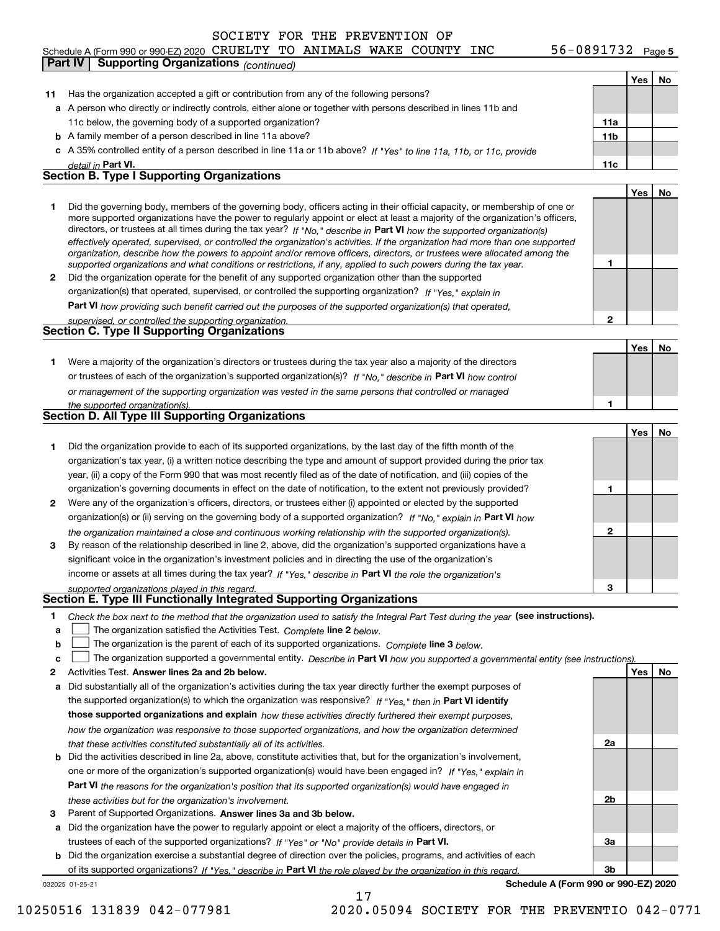## **5** Schedule A (Form 990 or 990-EZ) 2020 Page CRUELTY TO ANIMALS WAKE COUNTY INC 56-0891732 **Part IV Supporting Organizations** *(continued)*

|              |                                                                                                                                                                                                                                              |              | Yes   No |    |
|--------------|----------------------------------------------------------------------------------------------------------------------------------------------------------------------------------------------------------------------------------------------|--------------|----------|----|
| 11           | Has the organization accepted a gift or contribution from any of the following persons?                                                                                                                                                      |              |          |    |
|              | a A person who directly or indirectly controls, either alone or together with persons described in lines 11b and                                                                                                                             |              |          |    |
|              | 11c below, the governing body of a supported organization?                                                                                                                                                                                   | 11a          |          |    |
|              | <b>b</b> A family member of a person described in line 11a above?                                                                                                                                                                            | 11b          |          |    |
|              | c A 35% controlled entity of a person described in line 11a or 11b above? If "Yes" to line 11a, 11b, or 11c, provide                                                                                                                         |              |          |    |
|              | detail in Part VI.                                                                                                                                                                                                                           | 11c          |          |    |
|              | <b>Section B. Type I Supporting Organizations</b>                                                                                                                                                                                            |              |          |    |
|              |                                                                                                                                                                                                                                              |              | Yes      | No |
| 1.           | Did the governing body, members of the governing body, officers acting in their official capacity, or membership of one or                                                                                                                   |              |          |    |
|              | more supported organizations have the power to regularly appoint or elect at least a majority of the organization's officers,                                                                                                                |              |          |    |
|              | directors, or trustees at all times during the tax year? If "No," describe in Part VI how the supported organization(s)                                                                                                                      |              |          |    |
|              | effectively operated, supervised, or controlled the organization's activities. If the organization had more than one supported                                                                                                               |              |          |    |
|              | organization, describe how the powers to appoint and/or remove officers, directors, or trustees were allocated among the<br>supported organizations and what conditions or restrictions, if any, applied to such powers during the tax year. | 1            |          |    |
| $\mathbf{2}$ | Did the organization operate for the benefit of any supported organization other than the supported                                                                                                                                          |              |          |    |
|              | organization(s) that operated, supervised, or controlled the supporting organization? If "Yes," explain in                                                                                                                                   |              |          |    |
|              | Part VI how providing such benefit carried out the purposes of the supported organization(s) that operated,                                                                                                                                  |              |          |    |
|              | supervised, or controlled the supporting organization.                                                                                                                                                                                       | $\mathbf{2}$ |          |    |
|              | <b>Section C. Type II Supporting Organizations</b>                                                                                                                                                                                           |              |          |    |
|              |                                                                                                                                                                                                                                              |              | Yes      | No |
| 1.           | Were a majority of the organization's directors or trustees during the tax year also a majority of the directors                                                                                                                             |              |          |    |
|              | or trustees of each of the organization's supported organization(s)? If "No." describe in Part VI how control                                                                                                                                |              |          |    |
|              | or management of the supporting organization was vested in the same persons that controlled or managed                                                                                                                                       |              |          |    |
|              | the supported organization(s).                                                                                                                                                                                                               | 1            |          |    |
|              | <b>Section D. All Type III Supporting Organizations</b>                                                                                                                                                                                      |              |          |    |
|              |                                                                                                                                                                                                                                              |              | Yes      | No |
| 1            | Did the organization provide to each of its supported organizations, by the last day of the fifth month of the                                                                                                                               |              |          |    |
|              | organization's tax year, (i) a written notice describing the type and amount of support provided during the prior tax                                                                                                                        |              |          |    |
|              | year, (ii) a copy of the Form 990 that was most recently filed as of the date of notification, and (iii) copies of the                                                                                                                       |              |          |    |
|              | organization's governing documents in effect on the date of notification, to the extent not previously provided?                                                                                                                             | 1            |          |    |
| 2            | Were any of the organization's officers, directors, or trustees either (i) appointed or elected by the supported                                                                                                                             |              |          |    |
|              | organization(s) or (ii) serving on the governing body of a supported organization? If "No," explain in Part VI how                                                                                                                           |              |          |    |
|              | the organization maintained a close and continuous working relationship with the supported organization(s).                                                                                                                                  | $\mathbf{2}$ |          |    |
| 3            | By reason of the relationship described in line 2, above, did the organization's supported organizations have a                                                                                                                              |              |          |    |
|              | significant voice in the organization's investment policies and in directing the use of the organization's                                                                                                                                   |              |          |    |
|              | income or assets at all times during the tax year? If "Yes," describe in Part VI the role the organization's                                                                                                                                 |              |          |    |
|              | supported organizations played in this regard.                                                                                                                                                                                               | з            |          |    |
|              | Section E. Type III Functionally Integrated Supporting Organizations                                                                                                                                                                         |              |          |    |
| 1            | Check the box next to the method that the organization used to satisfy the Integral Part Test during the year (see instructions).                                                                                                            |              |          |    |
| a            | The organization satisfied the Activities Test. Complete line 2 below.                                                                                                                                                                       |              |          |    |
| b            | The organization is the parent of each of its supported organizations. Complete line 3 below.                                                                                                                                                |              |          |    |
| c            | The organization supported a governmental entity. Describe in Part VI how you supported a governmental entity (see instructions)                                                                                                             |              |          |    |
| 2            | Activities Test. Answer lines 2a and 2b below.                                                                                                                                                                                               |              | Yes      | No |
| a            | Did substantially all of the organization's activities during the tax year directly further the exempt purposes of                                                                                                                           |              |          |    |
|              | the supported organization(s) to which the organization was responsive? If "Yes," then in Part VI identify                                                                                                                                   |              |          |    |
|              | those supported organizations and explain how these activities directly furthered their exempt purposes,                                                                                                                                     |              |          |    |
|              | how the organization was responsive to those supported organizations, and how the organization determined                                                                                                                                    |              |          |    |
|              | that these activities constituted substantially all of its activities.                                                                                                                                                                       | 2a           |          |    |
|              | <b>b</b> Did the activities described in line 2a, above, constitute activities that, but for the organization's involvement,                                                                                                                 |              |          |    |
|              | one or more of the organization's supported organization(s) would have been engaged in? If "Yes," explain in                                                                                                                                 |              |          |    |
|              | Part VI the reasons for the organization's position that its supported organization(s) would have engaged in                                                                                                                                 |              |          |    |
|              | these activities but for the organization's involvement.                                                                                                                                                                                     | 2b           |          |    |
| з            | Parent of Supported Organizations. Answer lines 3a and 3b below.                                                                                                                                                                             |              |          |    |
|              | a Did the organization have the power to regularly appoint or elect a majority of the officers, directors, or                                                                                                                                |              |          |    |
|              | trustees of each of the supported organizations? If "Yes" or "No" provide details in Part VI.                                                                                                                                                | За           |          |    |
|              | <b>b</b> Did the organization exercise a substantial degree of direction over the policies, programs, and activities of each                                                                                                                 |              |          |    |
|              | of its supported organizations? If "Yes." describe in Part VI the role played by the organization in this regard.                                                                                                                            | 3b           |          |    |
|              | Schedule A (Form 990 or 990-EZ) 2020<br>032025 01-25-21                                                                                                                                                                                      |              |          |    |
|              | 17                                                                                                                                                                                                                                           |              |          |    |

10250516 131839 042-077981 2020.05094 SOCIETY FOR THE PREVENTIO 042-0771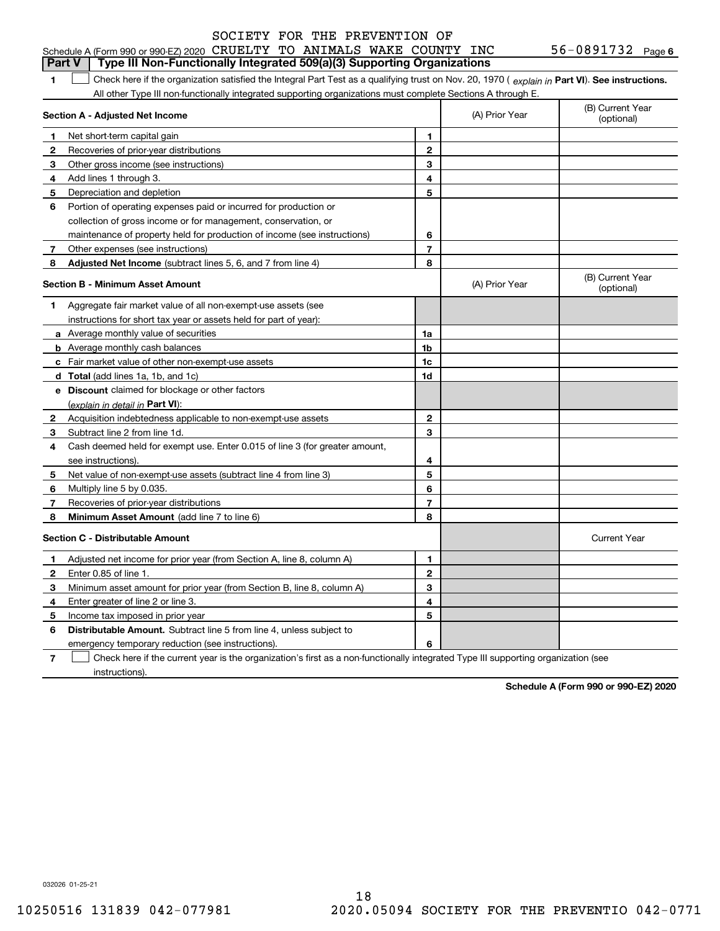#### 56-0891732 Page 6 **1Part VI** Check here if the organization satisfied the Integral Part Test as a qualifying trust on Nov. 20, 1970 ( *explain in* Part **VI**). See instructions. **Section A - Adjusted Net Income 12** Recoveries of prior-year distributions **3** Other gross income (see instructions) **4**Add lines 1 through 3. **56** Portion of operating expenses paid or incurred for production or **7** Other expenses (see instructions) **8** Adjusted Net Income (subtract lines 5, 6, and 7 from line 4) **8 8 1234567Section B - Minimum Asset Amount 1**Aggregate fair market value of all non-exempt-use assets (see **2**Acquisition indebtedness applicable to non-exempt-use assets **3** Subtract line 2 from line 1d. **4**Cash deemed held for exempt use. Enter 0.015 of line 3 (for greater amount, **5** Net value of non-exempt-use assets (subtract line 4 from line 3) **67a** Average monthly value of securities **b** Average monthly cash balances **c**Fair market value of other non-exempt-use assets **dTotal**  (add lines 1a, 1b, and 1c) **eDiscount** claimed for blockage or other factors **1a1b1c1d234567**<u>(explain in detail in **Part VI**):</u> Schedule A (Form 990 or 990-EZ) 2020 CRUELTY TO ANIMALS WAKE COUNTY INC 56–0891732 Page<br>LPart V L. Type III Non-Eunctionally Integrated 509(a)(3) Supporting Organizations All other Type III non-functionally integrated supporting organizations must complete Sections A through E. (B) Current Year (optional)(A) Prior Year Net short-term capital gain Depreciation and depletion collection of gross income or for management, conservation, or maintenance of property held for production of income (see instructions) (B) Current Year (optional)(A) Prior Year instructions for short tax year or assets held for part of year): see instructions). Multiply line 5 by 0.035. Recoveries of prior-year distributions **Part V** Type III Non-Functionally Integrated 509(a)(3) Supporting Organizations  $\mathcal{L}^{\text{max}}$

#### **Section C - Distributable Amount 12**Enter 0.85 of line 1. **34567123456Distributable Amount.** Subtract line 5 from line 4, unless subject to Current Year Adjusted net income for prior year (from Section A, line 8, column A) Minimum asset amount for prior year (from Section B, line 8, column A) Enter greater of line 2 or line 3. Income tax imposed in prior year emergency temporary reduction (see instructions). Check here if the current year is the organization's first as a non-functionally integrated Type III supporting organization (see  $\mathcal{L}^{\text{max}}$

**8**

**Schedule A (Form 990 or 990-EZ) 2020**

032026 01-25-21

**8**

instructions).

**Minimum Asset Amount**  (add line 7 to line 6)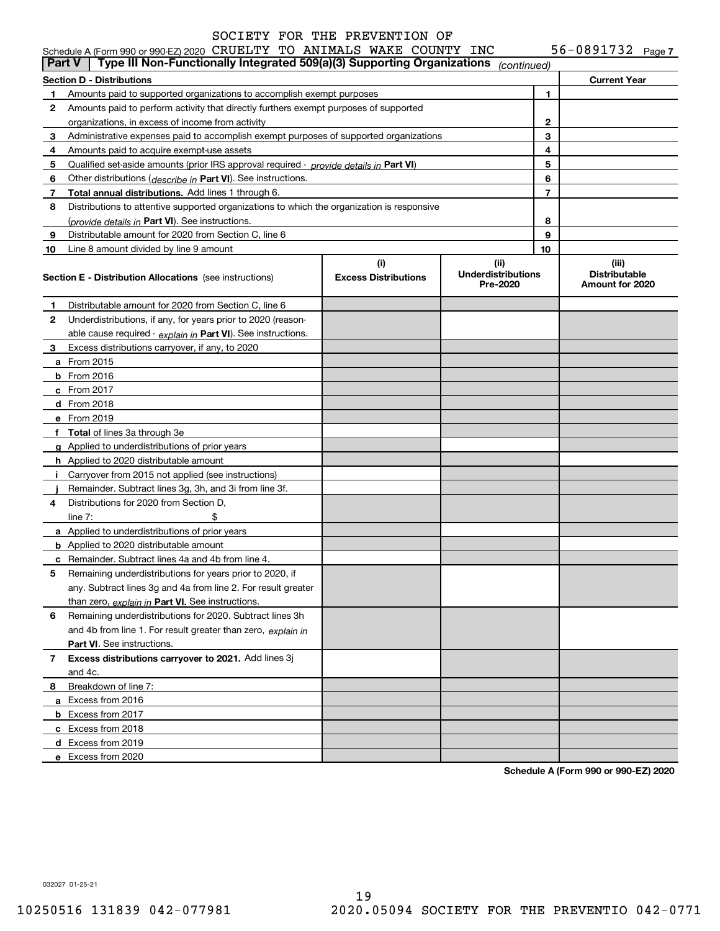56-0891732 Page 7

| <b>Part V</b> | Schedule A (Form 990 or 990-EZ) 2020 CRUELTY TO ANIMALS WAKE COUNTY INC<br>Type III Non-Functionally Integrated 509(a)(3) Supporting Organizations |                                    |                                               |    | 56-0891732 $_{Page 7}$                           |  |
|---------------|----------------------------------------------------------------------------------------------------------------------------------------------------|------------------------------------|-----------------------------------------------|----|--------------------------------------------------|--|
|               |                                                                                                                                                    |                                    | (continued)                                   |    |                                                  |  |
|               | <b>Section D - Distributions</b>                                                                                                                   |                                    |                                               |    | <b>Current Year</b>                              |  |
| 1.            | Amounts paid to supported organizations to accomplish exempt purposes                                                                              |                                    |                                               | 1  |                                                  |  |
| 2             | Amounts paid to perform activity that directly furthers exempt purposes of supported                                                               |                                    |                                               |    |                                                  |  |
|               | organizations, in excess of income from activity                                                                                                   |                                    |                                               | 2  |                                                  |  |
| 3             | Administrative expenses paid to accomplish exempt purposes of supported organizations                                                              |                                    |                                               | 3  |                                                  |  |
| 4             | Amounts paid to acquire exempt-use assets                                                                                                          |                                    |                                               | 4  |                                                  |  |
| 5             | Qualified set-aside amounts (prior IRS approval required - provide details in Part VI)                                                             |                                    |                                               | 5  |                                                  |  |
| 6             | Other distributions (describe in Part VI). See instructions.                                                                                       |                                    |                                               | 6  |                                                  |  |
| 7             | Total annual distributions. Add lines 1 through 6.                                                                                                 |                                    |                                               | 7  |                                                  |  |
| 8             | Distributions to attentive supported organizations to which the organization is responsive                                                         |                                    |                                               |    |                                                  |  |
|               | (provide details in Part VI). See instructions.                                                                                                    |                                    |                                               | 8  |                                                  |  |
| 9             | Distributable amount for 2020 from Section C, line 6                                                                                               |                                    |                                               | 9  |                                                  |  |
| 10            | Line 8 amount divided by line 9 amount                                                                                                             |                                    |                                               | 10 |                                                  |  |
|               | <b>Section E - Distribution Allocations</b> (see instructions)                                                                                     | (i)<br><b>Excess Distributions</b> | (ii)<br><b>Underdistributions</b><br>Pre-2020 |    | (iii)<br><b>Distributable</b><br>Amount for 2020 |  |
| 1             | Distributable amount for 2020 from Section C, line 6                                                                                               |                                    |                                               |    |                                                  |  |
| 2             | Underdistributions, if any, for years prior to 2020 (reason-                                                                                       |                                    |                                               |    |                                                  |  |
|               | able cause required $\cdot$ explain in Part VI). See instructions.                                                                                 |                                    |                                               |    |                                                  |  |
| З.            | Excess distributions carryover, if any, to 2020                                                                                                    |                                    |                                               |    |                                                  |  |
|               | <b>a</b> From 2015                                                                                                                                 |                                    |                                               |    |                                                  |  |
|               | <b>b</b> From 2016                                                                                                                                 |                                    |                                               |    |                                                  |  |
|               | $c$ From 2017                                                                                                                                      |                                    |                                               |    |                                                  |  |
|               | d From 2018                                                                                                                                        |                                    |                                               |    |                                                  |  |
|               | e From 2019                                                                                                                                        |                                    |                                               |    |                                                  |  |
|               | f Total of lines 3a through 3e                                                                                                                     |                                    |                                               |    |                                                  |  |
|               | g Applied to underdistributions of prior years                                                                                                     |                                    |                                               |    |                                                  |  |
|               | <b>h</b> Applied to 2020 distributable amount                                                                                                      |                                    |                                               |    |                                                  |  |
|               | Carryover from 2015 not applied (see instructions)                                                                                                 |                                    |                                               |    |                                                  |  |
|               | Remainder. Subtract lines 3g, 3h, and 3i from line 3f.                                                                                             |                                    |                                               |    |                                                  |  |
| 4             | Distributions for 2020 from Section D.                                                                                                             |                                    |                                               |    |                                                  |  |
|               | \$<br>line $7:$                                                                                                                                    |                                    |                                               |    |                                                  |  |
|               | a Applied to underdistributions of prior years                                                                                                     |                                    |                                               |    |                                                  |  |
|               | <b>b</b> Applied to 2020 distributable amount                                                                                                      |                                    |                                               |    |                                                  |  |
|               | <b>c</b> Remainder. Subtract lines 4a and 4b from line 4.                                                                                          |                                    |                                               |    |                                                  |  |
|               | Remaining underdistributions for years prior to 2020, if                                                                                           |                                    |                                               |    |                                                  |  |
|               | any. Subtract lines 3g and 4a from line 2. For result greater                                                                                      |                                    |                                               |    |                                                  |  |
|               | than zero, explain in Part VI. See instructions.                                                                                                   |                                    |                                               |    |                                                  |  |
| 6             | Remaining underdistributions for 2020. Subtract lines 3h                                                                                           |                                    |                                               |    |                                                  |  |
|               | and 4b from line 1. For result greater than zero, explain in                                                                                       |                                    |                                               |    |                                                  |  |
|               | Part VI. See instructions.                                                                                                                         |                                    |                                               |    |                                                  |  |
| 7             | Excess distributions carryover to 2021. Add lines 3j                                                                                               |                                    |                                               |    |                                                  |  |
|               | and 4c.                                                                                                                                            |                                    |                                               |    |                                                  |  |
| 8             | Breakdown of line 7:                                                                                                                               |                                    |                                               |    |                                                  |  |
|               | a Excess from 2016                                                                                                                                 |                                    |                                               |    |                                                  |  |
|               | <b>b</b> Excess from 2017                                                                                                                          |                                    |                                               |    |                                                  |  |
|               | c Excess from 2018                                                                                                                                 |                                    |                                               |    |                                                  |  |
|               | d Excess from 2019                                                                                                                                 |                                    |                                               |    |                                                  |  |
|               | e Excess from 2020                                                                                                                                 |                                    |                                               |    |                                                  |  |
|               |                                                                                                                                                    |                                    |                                               |    |                                                  |  |

**Schedule A (Form 990 or 990-EZ) 2020**

032027 01-25-21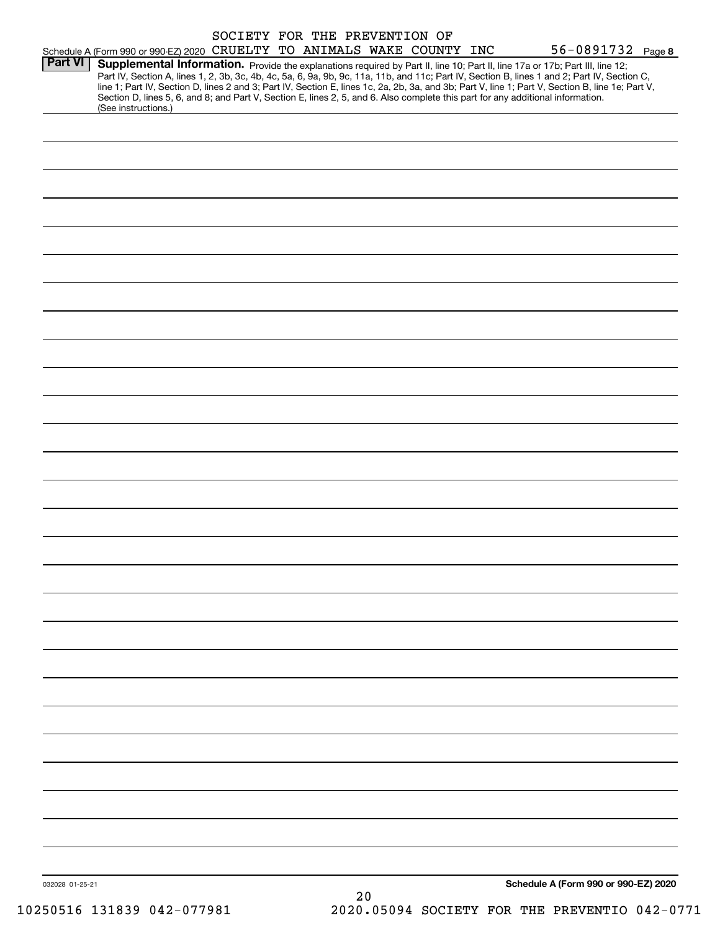|                 |                                                                                                                                                        | SOCIETY FOR THE PREVENTION OF |    |  |                                                                                                                                                                                                                                                                                                                                                                                                                                   |  |
|-----------------|--------------------------------------------------------------------------------------------------------------------------------------------------------|-------------------------------|----|--|-----------------------------------------------------------------------------------------------------------------------------------------------------------------------------------------------------------------------------------------------------------------------------------------------------------------------------------------------------------------------------------------------------------------------------------|--|
|                 | Schedule A (Form 990 or 990-EZ) 2020 CRUELTY TO ANIMALS WAKE COUNTY INC                                                                                |                               |    |  | 56-0891732 Page 8                                                                                                                                                                                                                                                                                                                                                                                                                 |  |
| <b>Part VI</b>  | Section D, lines 5, 6, and 8; and Part V, Section E, lines 2, 5, and 6. Also complete this part for any additional information.<br>(See instructions.) |                               |    |  | Supplemental Information. Provide the explanations required by Part II, line 10; Part II, line 17a or 17b; Part III, line 12;<br>Part IV, Section A, lines 1, 2, 3b, 3c, 4b, 4c, 5a, 6, 9a, 9b, 9c, 11a, 11b, and 11c; Part IV, Section B, lines 1 and 2; Part IV, Section C,<br>line 1; Part IV, Section D, lines 2 and 3; Part IV, Section E, lines 1c, 2a, 2b, 3a, and 3b; Part V, line 1; Part V, Section B, line 1e; Part V, |  |
|                 |                                                                                                                                                        |                               |    |  |                                                                                                                                                                                                                                                                                                                                                                                                                                   |  |
|                 |                                                                                                                                                        |                               |    |  |                                                                                                                                                                                                                                                                                                                                                                                                                                   |  |
|                 |                                                                                                                                                        |                               |    |  |                                                                                                                                                                                                                                                                                                                                                                                                                                   |  |
|                 |                                                                                                                                                        |                               |    |  |                                                                                                                                                                                                                                                                                                                                                                                                                                   |  |
|                 |                                                                                                                                                        |                               |    |  |                                                                                                                                                                                                                                                                                                                                                                                                                                   |  |
|                 |                                                                                                                                                        |                               |    |  |                                                                                                                                                                                                                                                                                                                                                                                                                                   |  |
|                 |                                                                                                                                                        |                               |    |  |                                                                                                                                                                                                                                                                                                                                                                                                                                   |  |
|                 |                                                                                                                                                        |                               |    |  |                                                                                                                                                                                                                                                                                                                                                                                                                                   |  |
|                 |                                                                                                                                                        |                               |    |  |                                                                                                                                                                                                                                                                                                                                                                                                                                   |  |
|                 |                                                                                                                                                        |                               |    |  |                                                                                                                                                                                                                                                                                                                                                                                                                                   |  |
|                 |                                                                                                                                                        |                               |    |  |                                                                                                                                                                                                                                                                                                                                                                                                                                   |  |
|                 |                                                                                                                                                        |                               |    |  |                                                                                                                                                                                                                                                                                                                                                                                                                                   |  |
|                 |                                                                                                                                                        |                               |    |  |                                                                                                                                                                                                                                                                                                                                                                                                                                   |  |
|                 |                                                                                                                                                        |                               |    |  |                                                                                                                                                                                                                                                                                                                                                                                                                                   |  |
|                 |                                                                                                                                                        |                               |    |  |                                                                                                                                                                                                                                                                                                                                                                                                                                   |  |
|                 |                                                                                                                                                        |                               |    |  |                                                                                                                                                                                                                                                                                                                                                                                                                                   |  |
|                 |                                                                                                                                                        |                               |    |  |                                                                                                                                                                                                                                                                                                                                                                                                                                   |  |
|                 |                                                                                                                                                        |                               |    |  |                                                                                                                                                                                                                                                                                                                                                                                                                                   |  |
|                 |                                                                                                                                                        |                               |    |  |                                                                                                                                                                                                                                                                                                                                                                                                                                   |  |
|                 |                                                                                                                                                        |                               |    |  |                                                                                                                                                                                                                                                                                                                                                                                                                                   |  |
|                 |                                                                                                                                                        |                               |    |  |                                                                                                                                                                                                                                                                                                                                                                                                                                   |  |
|                 |                                                                                                                                                        |                               |    |  |                                                                                                                                                                                                                                                                                                                                                                                                                                   |  |
|                 |                                                                                                                                                        |                               |    |  |                                                                                                                                                                                                                                                                                                                                                                                                                                   |  |
|                 |                                                                                                                                                        |                               |    |  |                                                                                                                                                                                                                                                                                                                                                                                                                                   |  |
|                 |                                                                                                                                                        |                               |    |  |                                                                                                                                                                                                                                                                                                                                                                                                                                   |  |
|                 |                                                                                                                                                        |                               |    |  |                                                                                                                                                                                                                                                                                                                                                                                                                                   |  |
|                 |                                                                                                                                                        |                               |    |  |                                                                                                                                                                                                                                                                                                                                                                                                                                   |  |
|                 |                                                                                                                                                        |                               |    |  |                                                                                                                                                                                                                                                                                                                                                                                                                                   |  |
|                 |                                                                                                                                                        |                               |    |  |                                                                                                                                                                                                                                                                                                                                                                                                                                   |  |
|                 |                                                                                                                                                        |                               |    |  |                                                                                                                                                                                                                                                                                                                                                                                                                                   |  |
| 032028 01-25-21 |                                                                                                                                                        |                               | 20 |  | Schedule A (Form 990 or 990-EZ) 2020                                                                                                                                                                                                                                                                                                                                                                                              |  |
|                 |                                                                                                                                                        |                               |    |  |                                                                                                                                                                                                                                                                                                                                                                                                                                   |  |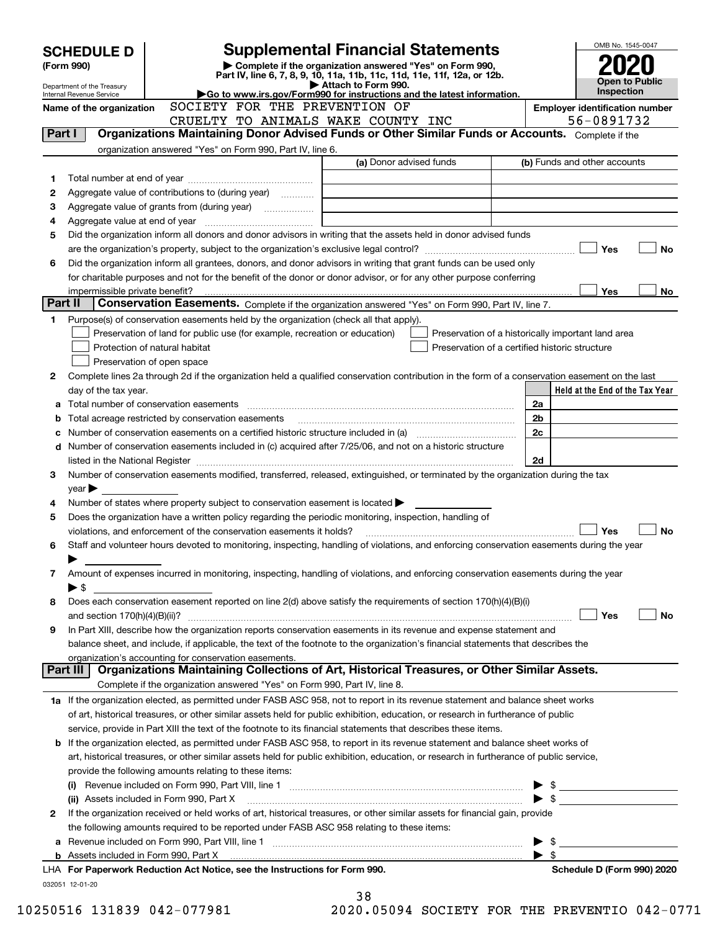|         | <b>SCHEDULE D</b>          |                                                        | <b>Supplemental Financial Statements</b>                                                                                                                                                                                      |                         |                                                    |  |                              |                                                     | OMB No. 1545-0047     |    |
|---------|----------------------------|--------------------------------------------------------|-------------------------------------------------------------------------------------------------------------------------------------------------------------------------------------------------------------------------------|-------------------------|----------------------------------------------------|--|------------------------------|-----------------------------------------------------|-----------------------|----|
|         | (Form 990)                 |                                                        | Complete if the organization answered "Yes" on Form 990,                                                                                                                                                                      |                         |                                                    |  |                              |                                                     |                       |    |
|         | Department of the Treasury |                                                        | Part IV, line 6, 7, 8, 9, 10, 11a, 11b, 11c, 11d, 11e, 11f, 12a, or 12b.                                                                                                                                                      | Attach to Form 990.     |                                                    |  |                              |                                                     | <b>Open to Public</b> |    |
|         | Internal Revenue Service   |                                                        | Go to www.irs.gov/Form990 for instructions and the latest information.<br>SOCIETY FOR THE PREVENTION OF                                                                                                                       |                         |                                                    |  | Inspection                   |                                                     |                       |    |
|         | Name of the organization   |                                                        | CRUELTY TO ANIMALS WAKE COUNTY INC                                                                                                                                                                                            |                         |                                                    |  |                              | <b>Employer identification number</b><br>56-0891732 |                       |    |
| Part I  |                            |                                                        | Organizations Maintaining Donor Advised Funds or Other Similar Funds or Accounts. Complete if the                                                                                                                             |                         |                                                    |  |                              |                                                     |                       |    |
|         |                            |                                                        | organization answered "Yes" on Form 990, Part IV, line 6.                                                                                                                                                                     |                         |                                                    |  |                              |                                                     |                       |    |
|         |                            |                                                        |                                                                                                                                                                                                                               | (a) Donor advised funds |                                                    |  | (b) Funds and other accounts |                                                     |                       |    |
| 1       |                            |                                                        |                                                                                                                                                                                                                               |                         |                                                    |  |                              |                                                     |                       |    |
| 2       |                            |                                                        | Aggregate value of contributions to (during year)                                                                                                                                                                             |                         |                                                    |  |                              |                                                     |                       |    |
| З       |                            |                                                        | Aggregate value of grants from (during year)                                                                                                                                                                                  |                         |                                                    |  |                              |                                                     |                       |    |
| 4       |                            |                                                        |                                                                                                                                                                                                                               |                         |                                                    |  |                              |                                                     |                       |    |
| 5       |                            |                                                        | Did the organization inform all donors and donor advisors in writing that the assets held in donor advised funds                                                                                                              |                         |                                                    |  |                              |                                                     |                       |    |
|         |                            |                                                        |                                                                                                                                                                                                                               |                         |                                                    |  |                              |                                                     | Yes                   | No |
| 6       |                            |                                                        | Did the organization inform all grantees, donors, and donor advisors in writing that grant funds can be used only                                                                                                             |                         |                                                    |  |                              |                                                     |                       |    |
|         |                            |                                                        | for charitable purposes and not for the benefit of the donor or donor advisor, or for any other purpose conferring                                                                                                            |                         |                                                    |  |                              |                                                     |                       |    |
| Part II |                            |                                                        | Conservation Easements. Complete if the organization answered "Yes" on Form 990, Part IV, line 7.                                                                                                                             |                         |                                                    |  |                              |                                                     | Yes                   | No |
| 1       |                            |                                                        | Purpose(s) of conservation easements held by the organization (check all that apply).                                                                                                                                         |                         |                                                    |  |                              |                                                     |                       |    |
|         |                            |                                                        | Preservation of land for public use (for example, recreation or education)                                                                                                                                                    |                         | Preservation of a historically important land area |  |                              |                                                     |                       |    |
|         |                            | Protection of natural habitat                          |                                                                                                                                                                                                                               |                         | Preservation of a certified historic structure     |  |                              |                                                     |                       |    |
|         |                            | Preservation of open space                             |                                                                                                                                                                                                                               |                         |                                                    |  |                              |                                                     |                       |    |
| 2       |                            |                                                        | Complete lines 2a through 2d if the organization held a qualified conservation contribution in the form of a conservation easement on the last                                                                                |                         |                                                    |  |                              |                                                     |                       |    |
|         | day of the tax year.       |                                                        |                                                                                                                                                                                                                               |                         |                                                    |  |                              | Held at the End of the Tax Year                     |                       |    |
| а       |                            |                                                        |                                                                                                                                                                                                                               |                         |                                                    |  | 2a                           |                                                     |                       |    |
| b       |                            | Total acreage restricted by conservation easements     |                                                                                                                                                                                                                               |                         |                                                    |  | 2 <sub>b</sub>               |                                                     |                       |    |
| с       |                            |                                                        |                                                                                                                                                                                                                               |                         |                                                    |  | 2c                           |                                                     |                       |    |
| d       |                            |                                                        | Number of conservation easements included in (c) acquired after 7/25/06, and not on a historic structure                                                                                                                      |                         |                                                    |  |                              |                                                     |                       |    |
|         |                            |                                                        | listed in the National Register [11, 1200] [12] The National Register [11, 1200] [12] The National Register [11, 1200] [12] The National Register [11, 1200] [12] The National Register [11, 1200] [12] The National Register |                         |                                                    |  | 2d                           |                                                     |                       |    |
| 3       |                            |                                                        | Number of conservation easements modified, transferred, released, extinguished, or terminated by the organization during the tax                                                                                              |                         |                                                    |  |                              |                                                     |                       |    |
|         | $\mathsf{year}$            |                                                        |                                                                                                                                                                                                                               |                         |                                                    |  |                              |                                                     |                       |    |
| 4       |                            |                                                        | Number of states where property subject to conservation easement is located $\blacktriangleright$                                                                                                                             |                         |                                                    |  |                              |                                                     |                       |    |
| 5       |                            |                                                        | Does the organization have a written policy regarding the periodic monitoring, inspection, handling of                                                                                                                        |                         |                                                    |  |                              |                                                     |                       |    |
|         |                            |                                                        | violations, and enforcement of the conservation easements it holds?                                                                                                                                                           |                         |                                                    |  |                              |                                                     | Yes                   | No |
| 6       |                            |                                                        | Staff and volunteer hours devoted to monitoring, inspecting, handling of violations, and enforcing conservation easements during the year                                                                                     |                         |                                                    |  |                              |                                                     |                       |    |
| 7       |                            |                                                        | Amount of expenses incurred in monitoring, inspecting, handling of violations, and enforcing conservation easements during the year                                                                                           |                         |                                                    |  |                              |                                                     |                       |    |
|         | $\blacktriangleright$ \$   |                                                        |                                                                                                                                                                                                                               |                         |                                                    |  |                              |                                                     |                       |    |
| 8       |                            |                                                        | Does each conservation easement reported on line 2(d) above satisfy the requirements of section 170(h)(4)(B)(i)                                                                                                               |                         |                                                    |  |                              |                                                     |                       |    |
|         |                            |                                                        |                                                                                                                                                                                                                               |                         |                                                    |  |                              |                                                     | Yes                   | No |
| 9       |                            |                                                        | In Part XIII, describe how the organization reports conservation easements in its revenue and expense statement and                                                                                                           |                         |                                                    |  |                              |                                                     |                       |    |
|         |                            |                                                        | balance sheet, and include, if applicable, the text of the footnote to the organization's financial statements that describes the                                                                                             |                         |                                                    |  |                              |                                                     |                       |    |
|         |                            | organization's accounting for conservation easements.  |                                                                                                                                                                                                                               |                         |                                                    |  |                              |                                                     |                       |    |
|         | Part III I                 |                                                        | Organizations Maintaining Collections of Art, Historical Treasures, or Other Similar Assets.                                                                                                                                  |                         |                                                    |  |                              |                                                     |                       |    |
|         |                            |                                                        | Complete if the organization answered "Yes" on Form 990, Part IV, line 8.                                                                                                                                                     |                         |                                                    |  |                              |                                                     |                       |    |
|         |                            |                                                        | 1a If the organization elected, as permitted under FASB ASC 958, not to report in its revenue statement and balance sheet works                                                                                               |                         |                                                    |  |                              |                                                     |                       |    |
|         |                            |                                                        | of art, historical treasures, or other similar assets held for public exhibition, education, or research in furtherance of public                                                                                             |                         |                                                    |  |                              |                                                     |                       |    |
|         |                            |                                                        | service, provide in Part XIII the text of the footnote to its financial statements that describes these items.                                                                                                                |                         |                                                    |  |                              |                                                     |                       |    |
| b       |                            |                                                        | If the organization elected, as permitted under FASB ASC 958, to report in its revenue statement and balance sheet works of                                                                                                   |                         |                                                    |  |                              |                                                     |                       |    |
|         |                            |                                                        | art, historical treasures, or other similar assets held for public exhibition, education, or research in furtherance of public service,                                                                                       |                         |                                                    |  |                              |                                                     |                       |    |
|         |                            | provide the following amounts relating to these items: |                                                                                                                                                                                                                               |                         |                                                    |  |                              |                                                     |                       |    |
|         |                            |                                                        |                                                                                                                                                                                                                               |                         |                                                    |  |                              | $\frac{1}{2}$                                       |                       |    |
|         |                            | (ii) Assets included in Form 990, Part X               |                                                                                                                                                                                                                               |                         |                                                    |  |                              | $\triangleright$ \$                                 |                       |    |
| 2       |                            |                                                        | If the organization received or held works of art, historical treasures, or other similar assets for financial gain, provide                                                                                                  |                         |                                                    |  |                              |                                                     |                       |    |
|         |                            |                                                        | the following amounts required to be reported under FASB ASC 958 relating to these items:                                                                                                                                     |                         |                                                    |  |                              |                                                     |                       |    |
| а       |                            |                                                        |                                                                                                                                                                                                                               |                         |                                                    |  | $\blacktriangleright$ \$     |                                                     |                       |    |
|         |                            |                                                        | LHA For Paperwork Reduction Act Notice, see the Instructions for Form 990.                                                                                                                                                    |                         |                                                    |  |                              | Schedule D (Form 990) 2020                          |                       |    |
|         | 032051 12-01-20            |                                                        |                                                                                                                                                                                                                               |                         |                                                    |  |                              |                                                     |                       |    |
|         |                            |                                                        |                                                                                                                                                                                                                               | 38                      |                                                    |  |                              |                                                     |                       |    |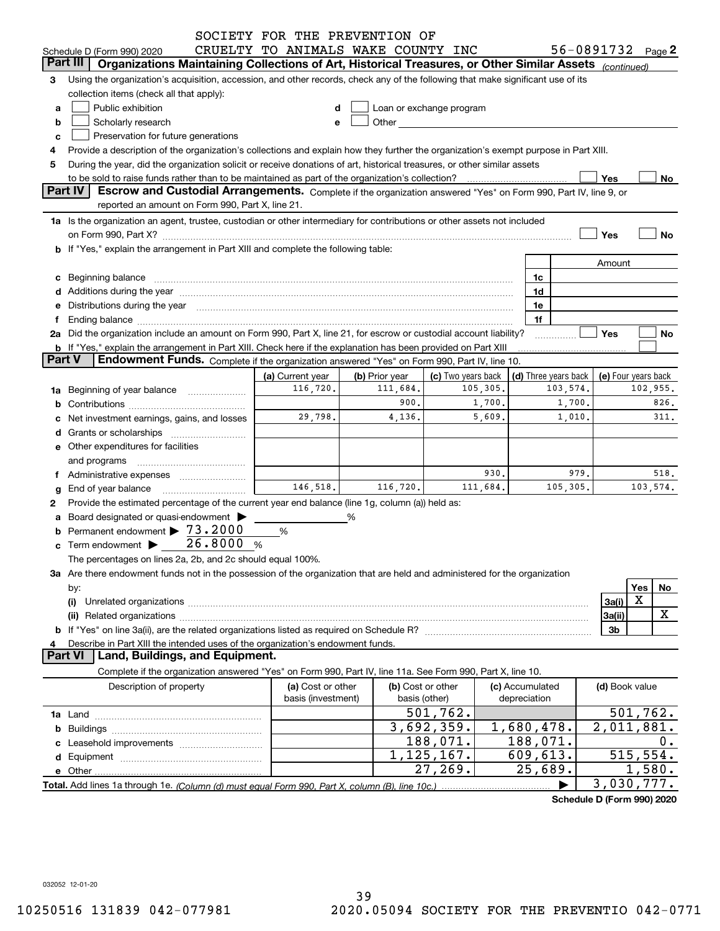|                     |                                                                                                                                                                                                                                | SOCIETY FOR THE PREVENTION OF      |                |                                                                                                                                                                                                                                      |          |                 |                            |                     |          |           |
|---------------------|--------------------------------------------------------------------------------------------------------------------------------------------------------------------------------------------------------------------------------|------------------------------------|----------------|--------------------------------------------------------------------------------------------------------------------------------------------------------------------------------------------------------------------------------------|----------|-----------------|----------------------------|---------------------|----------|-----------|
|                     | Schedule D (Form 990) 2020                                                                                                                                                                                                     | CRUELTY TO ANIMALS WAKE COUNTY INC |                |                                                                                                                                                                                                                                      |          |                 | 56-0891732 Page 2          |                     |          |           |
|                     | Organizations Maintaining Collections of Art, Historical Treasures, or Other Similar Assets (continued)<br>Part III                                                                                                            |                                    |                |                                                                                                                                                                                                                                      |          |                 |                            |                     |          |           |
| 3                   | Using the organization's acquisition, accession, and other records, check any of the following that make significant use of its                                                                                                |                                    |                |                                                                                                                                                                                                                                      |          |                 |                            |                     |          |           |
|                     | collection items (check all that apply):                                                                                                                                                                                       |                                    |                |                                                                                                                                                                                                                                      |          |                 |                            |                     |          |           |
| a                   | Public exhibition                                                                                                                                                                                                              | d                                  |                | Loan or exchange program                                                                                                                                                                                                             |          |                 |                            |                     |          |           |
| b                   | Scholarly research                                                                                                                                                                                                             | е                                  |                | Other <b>contract of the contract of the contract of the contract of the contract of the contract of the contract of the contract of the contract of the contract of the contract of the contract of the contract of the contrac</b> |          |                 |                            |                     |          |           |
| c                   | Preservation for future generations                                                                                                                                                                                            |                                    |                |                                                                                                                                                                                                                                      |          |                 |                            |                     |          |           |
| 4                   | Provide a description of the organization's collections and explain how they further the organization's exempt purpose in Part XIII.                                                                                           |                                    |                |                                                                                                                                                                                                                                      |          |                 |                            |                     |          |           |
| 5                   | During the year, did the organization solicit or receive donations of art, historical treasures, or other similar assets                                                                                                       |                                    |                |                                                                                                                                                                                                                                      |          |                 |                            |                     |          |           |
|                     | to be sold to raise funds rather than to be maintained as part of the organization's collection?                                                                                                                               |                                    |                |                                                                                                                                                                                                                                      |          |                 |                            | Yes                 |          | No.       |
|                     | Part IV<br>Escrow and Custodial Arrangements. Complete if the organization answered "Yes" on Form 990, Part IV, line 9, or                                                                                                     |                                    |                |                                                                                                                                                                                                                                      |          |                 |                            |                     |          |           |
|                     | reported an amount on Form 990, Part X, line 21.                                                                                                                                                                               |                                    |                |                                                                                                                                                                                                                                      |          |                 |                            |                     |          |           |
|                     | 1a Is the organization an agent, trustee, custodian or other intermediary for contributions or other assets not included                                                                                                       |                                    |                |                                                                                                                                                                                                                                      |          |                 |                            |                     |          |           |
|                     | on Form 990, Part X? [11] The Content of the Content of Table 1 and Table 1 and Table 1 and Table 1 and Table 1                                                                                                                |                                    |                |                                                                                                                                                                                                                                      |          |                 |                            | Yes                 |          | <b>No</b> |
|                     | b If "Yes," explain the arrangement in Part XIII and complete the following table:                                                                                                                                             |                                    |                |                                                                                                                                                                                                                                      |          |                 |                            |                     |          |           |
|                     |                                                                                                                                                                                                                                |                                    |                |                                                                                                                                                                                                                                      |          |                 |                            | Amount              |          |           |
| c                   | Beginning balance                                                                                                                                                                                                              |                                    |                |                                                                                                                                                                                                                                      |          | 1c              |                            |                     |          |           |
|                     |                                                                                                                                                                                                                                |                                    |                |                                                                                                                                                                                                                                      |          | 1d              |                            |                     |          |           |
| е                   | Distributions during the year manufactured and continuum and contract the year manufactured and contract the year manufactured and contract the year manufactured and contract the year manufactured and contract the year man |                                    |                |                                                                                                                                                                                                                                      |          | 1e              |                            |                     |          |           |
| f                   |                                                                                                                                                                                                                                |                                    |                |                                                                                                                                                                                                                                      |          | 1f              |                            |                     |          |           |
|                     | 2a Did the organization include an amount on Form 990, Part X, line 21, for escrow or custodial account liability?                                                                                                             |                                    |                |                                                                                                                                                                                                                                      |          |                 |                            | Yes                 |          | No        |
|                     | b If "Yes," explain the arrangement in Part XIII. Check here if the explanation has been provided on Part XIII                                                                                                                 |                                    |                |                                                                                                                                                                                                                                      |          |                 |                            |                     |          |           |
| <b>Part V</b>       | Endowment Funds. Complete if the organization answered "Yes" on Form 990, Part IV, line 10.                                                                                                                                    |                                    |                |                                                                                                                                                                                                                                      |          |                 |                            |                     |          |           |
|                     |                                                                                                                                                                                                                                | (a) Current year                   | (b) Prior year | (c) Two years back                                                                                                                                                                                                                   |          |                 | (d) Three years back       | (e) Four years back |          |           |
| 1a                  | Beginning of year balance                                                                                                                                                                                                      | 116,720.                           | 111,684.       |                                                                                                                                                                                                                                      | 105,305. |                 | 103,574.                   |                     |          | 102,955.  |
| b                   |                                                                                                                                                                                                                                |                                    | 900.           |                                                                                                                                                                                                                                      | 1,700.   |                 | 1,700.                     |                     |          | 826.      |
|                     | Net investment earnings, gains, and losses                                                                                                                                                                                     | 29,798.                            | 4,136.         |                                                                                                                                                                                                                                      | 5,609.   |                 | 1,010.                     |                     |          | 311.      |
|                     |                                                                                                                                                                                                                                |                                    |                |                                                                                                                                                                                                                                      |          |                 |                            |                     |          |           |
|                     |                                                                                                                                                                                                                                |                                    |                |                                                                                                                                                                                                                                      |          |                 |                            |                     |          |           |
|                     | <b>e</b> Other expenditures for facilities                                                                                                                                                                                     |                                    |                |                                                                                                                                                                                                                                      |          |                 |                            |                     |          |           |
|                     | and programs                                                                                                                                                                                                                   |                                    |                |                                                                                                                                                                                                                                      | 930.     |                 | 979.                       |                     |          | 518.      |
| f                   | Administrative expenses                                                                                                                                                                                                        | 146,518.                           | 116,720.       |                                                                                                                                                                                                                                      | 111,684. |                 | 105,305.                   |                     |          | 103,574.  |
| g                   | End of year balance                                                                                                                                                                                                            |                                    |                |                                                                                                                                                                                                                                      |          |                 |                            |                     |          |           |
| 2                   | Provide the estimated percentage of the current year end balance (line 1g, column (a)) held as:                                                                                                                                |                                    |                |                                                                                                                                                                                                                                      |          |                 |                            |                     |          |           |
| a                   | Board designated or quasi-endowment >                                                                                                                                                                                          |                                    | ℅              |                                                                                                                                                                                                                                      |          |                 |                            |                     |          |           |
| b                   | Permanent endowment > 73.2000                                                                                                                                                                                                  | %                                  |                |                                                                                                                                                                                                                                      |          |                 |                            |                     |          |           |
| c                   | 26.8000 %<br>Term endowment >                                                                                                                                                                                                  |                                    |                |                                                                                                                                                                                                                                      |          |                 |                            |                     |          |           |
|                     | The percentages on lines 2a, 2b, and 2c should equal 100%.                                                                                                                                                                     |                                    |                |                                                                                                                                                                                                                                      |          |                 |                            |                     |          |           |
|                     | 3a Are there endowment funds not in the possession of the organization that are held and administered for the organization                                                                                                     |                                    |                |                                                                                                                                                                                                                                      |          |                 |                            |                     |          |           |
|                     | by:                                                                                                                                                                                                                            |                                    |                |                                                                                                                                                                                                                                      |          |                 |                            |                     | Yes<br>X | No        |
|                     | (i)                                                                                                                                                                                                                            |                                    |                |                                                                                                                                                                                                                                      |          |                 |                            | 3a(i)               |          |           |
|                     | (ii)                                                                                                                                                                                                                           |                                    |                |                                                                                                                                                                                                                                      |          |                 |                            | 3a(ii)              |          | X         |
|                     |                                                                                                                                                                                                                                |                                    |                |                                                                                                                                                                                                                                      |          |                 |                            | 3b                  |          |           |
| 4<br><b>Part VI</b> | Describe in Part XIII the intended uses of the organization's endowment funds.<br>Land, Buildings, and Equipment.                                                                                                              |                                    |                |                                                                                                                                                                                                                                      |          |                 |                            |                     |          |           |
|                     |                                                                                                                                                                                                                                |                                    |                |                                                                                                                                                                                                                                      |          |                 |                            |                     |          |           |
|                     | Complete if the organization answered "Yes" on Form 990, Part IV, line 11a. See Form 990, Part X, line 10.                                                                                                                     |                                    |                |                                                                                                                                                                                                                                      |          |                 |                            |                     |          |           |
|                     | Description of property                                                                                                                                                                                                        | (a) Cost or other                  |                | (b) Cost or other                                                                                                                                                                                                                    |          | (c) Accumulated |                            | (d) Book value      |          |           |
|                     |                                                                                                                                                                                                                                | basis (investment)                 |                | basis (other)                                                                                                                                                                                                                        |          | depreciation    |                            |                     |          |           |
|                     |                                                                                                                                                                                                                                |                                    |                | 501,762.                                                                                                                                                                                                                             |          |                 |                            |                     |          | 501,762.  |
|                     |                                                                                                                                                                                                                                |                                    |                | 3,692,359.                                                                                                                                                                                                                           |          | 1,680,478.      |                            | 2,011,881.          |          |           |
|                     |                                                                                                                                                                                                                                |                                    |                | 188,071.                                                                                                                                                                                                                             |          | 188,071.        |                            |                     |          | 0.        |
|                     |                                                                                                                                                                                                                                |                                    |                | 1, 125, 167.                                                                                                                                                                                                                         |          | 609,613.        |                            |                     |          | 515,554.  |
|                     |                                                                                                                                                                                                                                |                                    |                | 27,269.                                                                                                                                                                                                                              |          | 25,689.         |                            |                     |          | 1,580.    |
|                     |                                                                                                                                                                                                                                |                                    |                |                                                                                                                                                                                                                                      |          |                 |                            | 3,030,777.          |          |           |
|                     |                                                                                                                                                                                                                                |                                    |                |                                                                                                                                                                                                                                      |          |                 | Schedule D (Form 990) 2020 |                     |          |           |

032052 12-01-20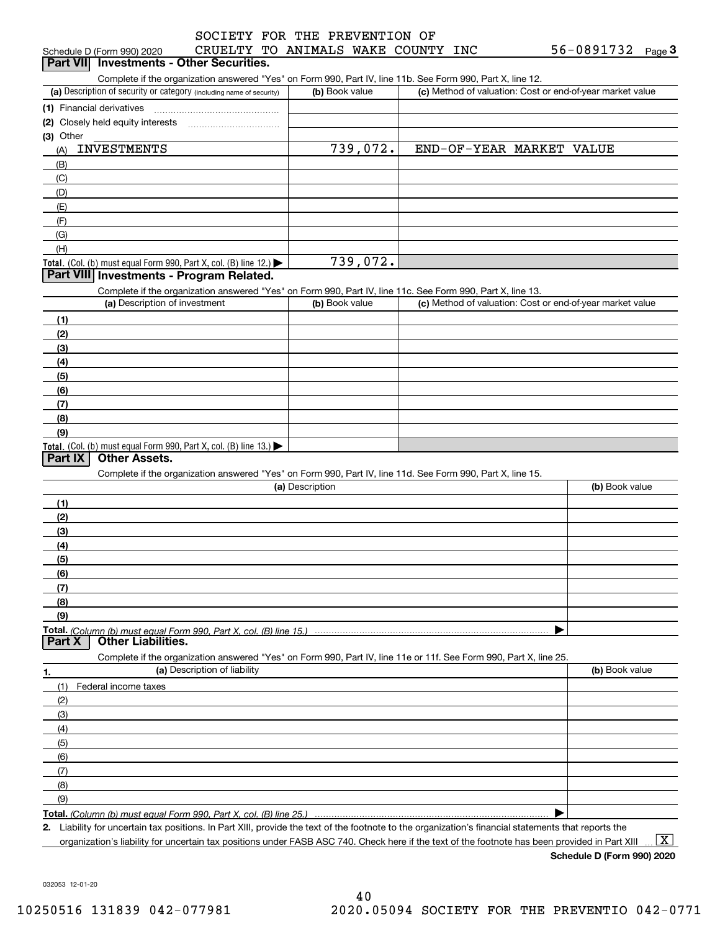| SOCIETY FOR THE PREVENTION OF    |  |  |  |  |
|----------------------------------|--|--|--|--|
| CRUELTY TO ANIMALS WAKE COUNTY I |  |  |  |  |

| Schedule D (Form 990) 2020                                                                                                                                                                                                 | CRUELTY TO ANIMALS WAKE COUNTY INC |  | 56-0891732<br>Page <sup>3</sup>                           |
|----------------------------------------------------------------------------------------------------------------------------------------------------------------------------------------------------------------------------|------------------------------------|--|-----------------------------------------------------------|
| Part VII Investments - Other Securities.                                                                                                                                                                                   |                                    |  |                                                           |
| Complete if the organization answered "Yes" on Form 990, Part IV, line 11b. See Form 990, Part X, line 12.                                                                                                                 |                                    |  |                                                           |
| (a) Description of security or category (including name of security)                                                                                                                                                       | (b) Book value                     |  | (c) Method of valuation: Cost or end-of-year market value |
|                                                                                                                                                                                                                            |                                    |  |                                                           |
| (2) Closely held equity interests [11] [2] Closely held equity interests                                                                                                                                                   |                                    |  |                                                           |
| (3) Other                                                                                                                                                                                                                  |                                    |  |                                                           |
| <b>INVESTMENTS</b><br>(A)                                                                                                                                                                                                  | 739,072.                           |  | END-OF-YEAR MARKET VALUE                                  |
| (B)                                                                                                                                                                                                                        |                                    |  |                                                           |
| (C)                                                                                                                                                                                                                        |                                    |  |                                                           |
| (D)                                                                                                                                                                                                                        |                                    |  |                                                           |
| (E)                                                                                                                                                                                                                        |                                    |  |                                                           |
| (F)                                                                                                                                                                                                                        |                                    |  |                                                           |
| (G)                                                                                                                                                                                                                        |                                    |  |                                                           |
| (H)                                                                                                                                                                                                                        |                                    |  |                                                           |
| Total. (Col. (b) must equal Form 990, Part X, col. (B) line 12.)                                                                                                                                                           | 739,072.                           |  |                                                           |
| Part VIII Investments - Program Related.                                                                                                                                                                                   |                                    |  |                                                           |
| Complete if the organization answered "Yes" on Form 990, Part IV, line 11c. See Form 990, Part X, line 13.                                                                                                                 |                                    |  |                                                           |
| (a) Description of investment                                                                                                                                                                                              | (b) Book value                     |  | (c) Method of valuation: Cost or end-of-year market value |
| (1)                                                                                                                                                                                                                        |                                    |  |                                                           |
| (2)                                                                                                                                                                                                                        |                                    |  |                                                           |
| (3)                                                                                                                                                                                                                        |                                    |  |                                                           |
| (4)                                                                                                                                                                                                                        |                                    |  |                                                           |
| (5)                                                                                                                                                                                                                        |                                    |  |                                                           |
| (6)                                                                                                                                                                                                                        |                                    |  |                                                           |
| (7)                                                                                                                                                                                                                        |                                    |  |                                                           |
| (8)                                                                                                                                                                                                                        |                                    |  |                                                           |
| (9)                                                                                                                                                                                                                        |                                    |  |                                                           |
| Total. (Col. (b) must equal Form 990, Part X, col. (B) line 13.)                                                                                                                                                           |                                    |  |                                                           |
| <b>Other Assets.</b><br>Part IX                                                                                                                                                                                            |                                    |  |                                                           |
| Complete if the organization answered "Yes" on Form 990, Part IV, line 11d. See Form 990, Part X, line 15.                                                                                                                 |                                    |  |                                                           |
|                                                                                                                                                                                                                            | (a) Description                    |  | (b) Book value                                            |
| (1)                                                                                                                                                                                                                        |                                    |  |                                                           |
| (2)                                                                                                                                                                                                                        |                                    |  |                                                           |
| (3)                                                                                                                                                                                                                        |                                    |  |                                                           |
| (4)                                                                                                                                                                                                                        |                                    |  |                                                           |
| (5)                                                                                                                                                                                                                        |                                    |  |                                                           |
| (6)                                                                                                                                                                                                                        |                                    |  |                                                           |
| (7)                                                                                                                                                                                                                        |                                    |  |                                                           |
| (8)                                                                                                                                                                                                                        |                                    |  |                                                           |
| (9)                                                                                                                                                                                                                        |                                    |  |                                                           |
|                                                                                                                                                                                                                            |                                    |  |                                                           |
| <b>Other Liabilities.</b><br>Part X                                                                                                                                                                                        |                                    |  |                                                           |
| Complete if the organization answered "Yes" on Form 990, Part IV, line 11e or 11f. See Form 990, Part X, line 25.                                                                                                          |                                    |  |                                                           |
| (a) Description of liability<br>1.                                                                                                                                                                                         |                                    |  | (b) Book value                                            |
| (1)<br>Federal income taxes                                                                                                                                                                                                |                                    |  |                                                           |
| (2)                                                                                                                                                                                                                        |                                    |  |                                                           |
| (3)                                                                                                                                                                                                                        |                                    |  |                                                           |
| (4)                                                                                                                                                                                                                        |                                    |  |                                                           |
| (5)                                                                                                                                                                                                                        |                                    |  |                                                           |
| (6)                                                                                                                                                                                                                        |                                    |  |                                                           |
| (7)                                                                                                                                                                                                                        |                                    |  |                                                           |
| (8)                                                                                                                                                                                                                        |                                    |  |                                                           |
| (9)                                                                                                                                                                                                                        |                                    |  |                                                           |
|                                                                                                                                                                                                                            |                                    |  |                                                           |
| Total. (Column (b) must equal Form 990. Part X, col. (B) line 25.)<br>2. Liability for uncertain tax positions. In Part XIII, provide the text of the footnote to the organization's financial statements that reports the |                                    |  |                                                           |
|                                                                                                                                                                                                                            |                                    |  |                                                           |

organization's liability for uncertain tax positions under FASB ASC 740. Check here if the text of the footnote has been provided in Part XIII.

**Schedule D (Form 990) 2020**

 $\boxed{\text{X}}$ 

032053 12-01-20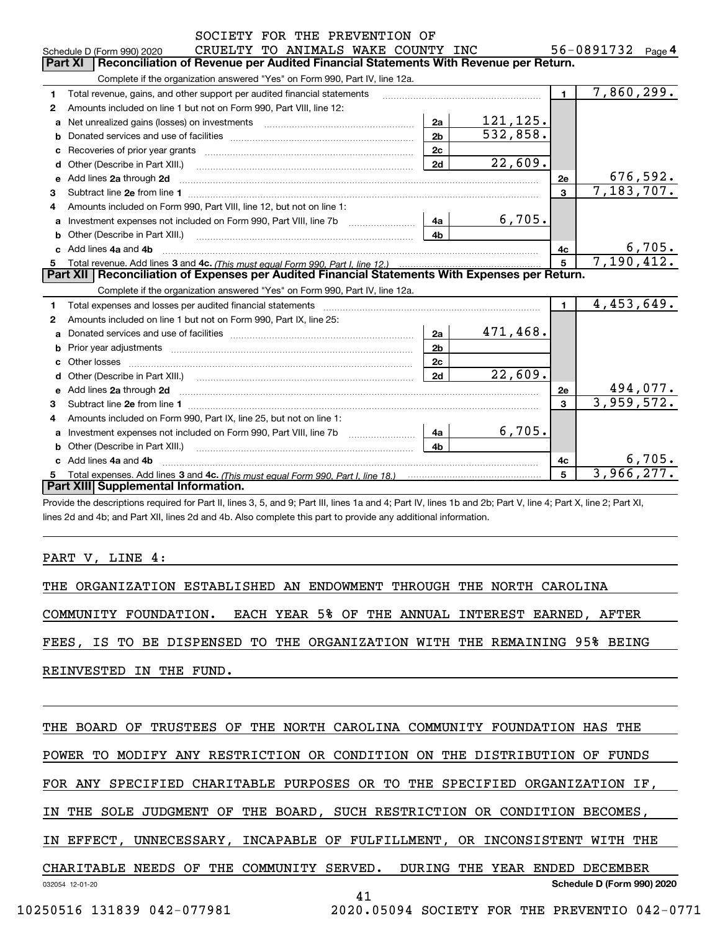|    | SOCIETY FOR THE PREVENTION OF                                                                                                                                                                                                  |                |                        |                |                   |
|----|--------------------------------------------------------------------------------------------------------------------------------------------------------------------------------------------------------------------------------|----------------|------------------------|----------------|-------------------|
|    | CRUELTY TO ANIMALS WAKE COUNTY INC<br>Schedule D (Form 990) 2020                                                                                                                                                               |                |                        |                | 56-0891732 Page 4 |
|    | <b>Part XI</b><br>Reconciliation of Revenue per Audited Financial Statements With Revenue per Return.                                                                                                                          |                |                        |                |                   |
|    | Complete if the organization answered "Yes" on Form 990, Part IV, line 12a.                                                                                                                                                    |                |                        |                |                   |
| 1  | Total revenue, gains, and other support per audited financial statements                                                                                                                                                       |                |                        | $\blacksquare$ | 7,860,299.        |
| 2  | Amounts included on line 1 but not on Form 990, Part VIII, line 12:                                                                                                                                                            |                |                        |                |                   |
| a  |                                                                                                                                                                                                                                | 2a             | 121, 125.              |                |                   |
|    |                                                                                                                                                                                                                                | 2 <sub>b</sub> | 532,858.               |                |                   |
| c  |                                                                                                                                                                                                                                | 2c             |                        |                |                   |
| d  | Other (Describe in Part XIII.) [100] [100] [100] [100] [100] [100] [100] [100] [100] [100] [100] [100] [100] [                                                                                                                 | 2d             | $\overline{22}$ , 609. |                |                   |
| e  | Add lines 2a through 2d                                                                                                                                                                                                        |                |                        | 2е             | 676,592.          |
| 3  |                                                                                                                                                                                                                                |                |                        | $\mathbf{3}$   | 7,183,707.        |
| 4  | Amounts included on Form 990, Part VIII, line 12, but not on line 1:                                                                                                                                                           |                |                        |                |                   |
| a  |                                                                                                                                                                                                                                | 4a             | 6,705.                 |                |                   |
|    |                                                                                                                                                                                                                                | 4 <sub>b</sub> |                        |                |                   |
|    | Add lines 4a and 4b                                                                                                                                                                                                            |                |                        | 4c             | <u>6,705.</u>     |
| 5. |                                                                                                                                                                                                                                |                |                        | $\overline{5}$ | 7,190,412.        |
|    | Part XII   Reconciliation of Expenses per Audited Financial Statements With Expenses per Return.                                                                                                                               |                |                        |                |                   |
|    | Complete if the organization answered "Yes" on Form 990, Part IV, line 12a.                                                                                                                                                    |                |                        |                |                   |
| 1. | Total expenses and losses per audited financial statements [11,11] [11] Total expenses and losses per audited financial statements [11] [11] Total expenses and losses per audited financial statements                        |                |                        | $\blacksquare$ | 4,453,649.        |
| 2  | Amounts included on line 1 but not on Form 990, Part IX, line 25:                                                                                                                                                              |                |                        |                |                   |
| a  |                                                                                                                                                                                                                                | 2a             | 471,468.               |                |                   |
| b  | Prior year adjustments information and continuum and contact the contract of the contract of the contract of the contract of the contract of the contract of the contract of the contract of the contract of the contract of t | 2 <sub>b</sub> |                        |                |                   |
| C. |                                                                                                                                                                                                                                | 2c             |                        |                |                   |
| d  |                                                                                                                                                                                                                                | 2d             | $\overline{22}$ , 609. |                |                   |
|    |                                                                                                                                                                                                                                |                |                        | 2e             | 494,077.          |
| 3  |                                                                                                                                                                                                                                |                |                        | 3              | 3,959,572.        |
| 4  | Amounts included on Form 990, Part IX, line 25, but not on line 1:                                                                                                                                                             |                |                        |                |                   |
| a  |                                                                                                                                                                                                                                | 4a             | 6,705.                 |                |                   |
|    |                                                                                                                                                                                                                                | 4 <sub>b</sub> |                        |                |                   |
|    |                                                                                                                                                                                                                                |                |                        |                | 6,705.            |
|    | c Add lines 4a and 4b                                                                                                                                                                                                          |                |                        | 4с             |                   |
| 5  |                                                                                                                                                                                                                                |                |                        | 5              | 3,966,277.        |
|    | Part XIII Supplemental Information.                                                                                                                                                                                            |                |                        |                |                   |

lines 2d and 4b; and Part XII, lines 2d and 4b. Also complete this part to provide any additional information.

#### PART V, LINE 4:

THE ORGANIZATION ESTABLISHED AN ENDOWMENT THROUGH THE NORTH CAROLINA

COMMUNITY FOUNDATION. EACH YEAR 5% OF THE ANNUAL INTEREST EARNED, AFTER

FEES, IS TO BE DISPENSED TO THE ORGANIZATION WITH THE REMAINING 95% BEING

REINVESTED IN THE FUND.

032054 12-01-20 **Schedule D (Form 990) 2020** THE BOARD OF TRUSTEES OF THE NORTH CAROLINA COMMUNITY FOUNDATION HAS THE POWER TO MODIFY ANY RESTRICTION OR CONDITION ON THE DISTRIBUTION OF FUNDS FOR ANY SPECIFIED CHARITABLE PURPOSES OR TO THE SPECIFIED ORGANIZATION IF, IN THE SOLE JUDGMENT OF THE BOARD, SUCH RESTRICTION OR CONDITION BECOMES, IN EFFECT, UNNECESSARY, INCAPABLE OF FULFILLMENT, OR INCONSISTENT WITH THE CHARITABLE NEEDS OF THE COMMUNITY SERVED. DURING THE YEAR ENDED DECEMBER 41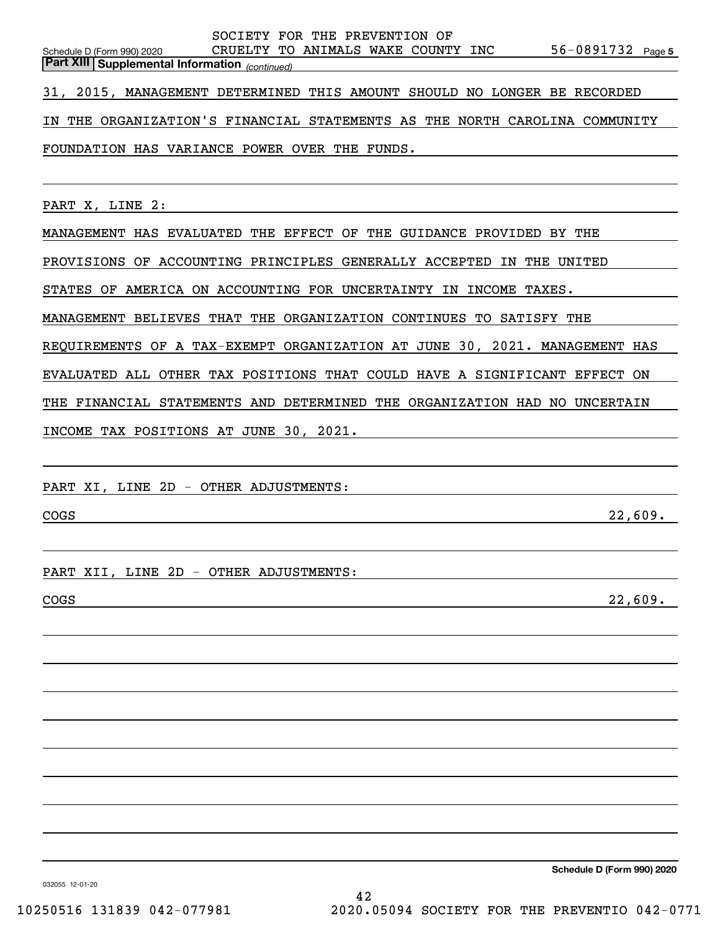| SOCIETY FOR THE PREVENTION OF                                                                                                           |
|-----------------------------------------------------------------------------------------------------------------------------------------|
| 56-0891732 Page 5<br>CRUELTY TO ANIMALS WAKE COUNTY INC<br>Schedule D (Form 990) 2020<br>Part XIII Supplemental Information (continued) |
|                                                                                                                                         |
| 31, 2015, MANAGEMENT DETERMINED THIS AMOUNT SHOULD NO LONGER BE RECORDED                                                                |
| THE ORGANIZATION'S FINANCIAL STATEMENTS AS THE NORTH CAROLINA COMMUNITY<br>IN                                                           |
| FOUNDATION HAS VARIANCE POWER OVER THE FUNDS.                                                                                           |
|                                                                                                                                         |
| PART X, LINE 2:                                                                                                                         |
| MANAGEMENT HAS EVALUATED THE EFFECT OF THE GUIDANCE PROVIDED BY THE                                                                     |
| PROVISIONS OF ACCOUNTING PRINCIPLES GENERALLY ACCEPTED IN THE UNITED                                                                    |
| STATES OF AMERICA ON ACCOUNTING FOR UNCERTAINTY IN INCOME TAXES.                                                                        |
| MANAGEMENT BELIEVES THAT THE ORGANIZATION CONTINUES TO SATISFY THE                                                                      |
| REQUIREMENTS OF A TAX-EXEMPT ORGANIZATION AT JUNE 30, 2021. MANAGEMENT HAS                                                              |
| EVALUATED ALL OTHER TAX POSITIONS THAT COULD HAVE A SIGNIFICANT EFFECT ON                                                               |
| THE FINANCIAL STATEMENTS AND DETERMINED THE ORGANIZATION HAD NO UNCERTAIN                                                               |
| INCOME TAX POSITIONS AT JUNE 30, 2021.                                                                                                  |
|                                                                                                                                         |
| PART XI, LINE 2D - OTHER ADJUSTMENTS:                                                                                                   |
|                                                                                                                                         |
| 22,609.<br>COGS<br><u> 1989 - Johann Stoff, Amerikaansk politiker († 1908)</u>                                                          |
|                                                                                                                                         |
| PART XII, LINE 2D - OTHER ADJUSTMENTS:                                                                                                  |
| 22,609.<br>COGS                                                                                                                         |
|                                                                                                                                         |
|                                                                                                                                         |
|                                                                                                                                         |
|                                                                                                                                         |
|                                                                                                                                         |
|                                                                                                                                         |
|                                                                                                                                         |
|                                                                                                                                         |
|                                                                                                                                         |
|                                                                                                                                         |

**Schedule D (Form 990) 2020**

032055 12-01-20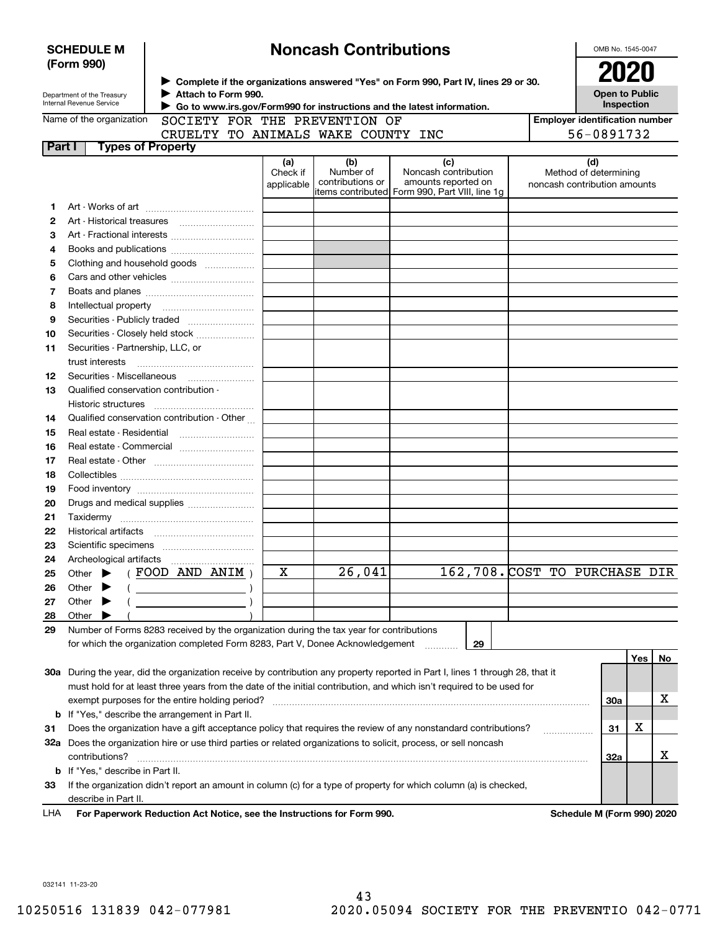|        | <b>SCHEDULE M</b><br>(Form 990)                                                         |                     |                                                                                                                                                                |                               | <b>Noncash Contributions</b>                |                                                                                                                                |            |                                                       | OMB No. 1545-0047 |     |    |
|--------|-----------------------------------------------------------------------------------------|---------------------|----------------------------------------------------------------------------------------------------------------------------------------------------------------|-------------------------------|---------------------------------------------|--------------------------------------------------------------------------------------------------------------------------------|------------|-------------------------------------------------------|-------------------|-----|----|
|        | Department of the Treasury<br>Internal Revenue Service                                  | Attach to Form 990. | ▶ Complete if the organizations answered "Yes" on Form 990, Part IV, lines 29 or 30.<br>Go to www.irs.gov/Form990 for instructions and the latest information. |                               | <b>2020</b><br>Open to Public<br>Inspection |                                                                                                                                |            |                                                       |                   |     |    |
|        | Name of the organization                                                                |                     |                                                                                                                                                                |                               | SOCIETY FOR THE PREVENTION OF               |                                                                                                                                |            | <b>Employer identification number</b>                 |                   |     |    |
|        |                                                                                         |                     |                                                                                                                                                                |                               | CRUELTY TO ANIMALS WAKE COUNTY INC          |                                                                                                                                | 56-0891732 |                                                       |                   |     |    |
| Part I | <b>Types of Property</b>                                                                |                     |                                                                                                                                                                |                               |                                             |                                                                                                                                |            |                                                       |                   |     |    |
|        |                                                                                         |                     |                                                                                                                                                                | (a)<br>Check if<br>applicable | (b)<br>Number of<br>contributions or        | (c)<br>Noncash contribution<br>amounts reported on<br>items contributed Form 990, Part VIII, line 1q                           |            | Method of determining<br>noncash contribution amounts | (d)               |     |    |
| 1      |                                                                                         |                     |                                                                                                                                                                |                               |                                             |                                                                                                                                |            |                                                       |                   |     |    |
| 2      |                                                                                         |                     |                                                                                                                                                                |                               |                                             |                                                                                                                                |            |                                                       |                   |     |    |
| З      |                                                                                         |                     |                                                                                                                                                                |                               |                                             |                                                                                                                                |            |                                                       |                   |     |    |
| 4      |                                                                                         |                     |                                                                                                                                                                |                               |                                             |                                                                                                                                |            |                                                       |                   |     |    |
| 5      | Clothing and household goods                                                            |                     |                                                                                                                                                                |                               |                                             |                                                                                                                                |            |                                                       |                   |     |    |
| 6      |                                                                                         |                     |                                                                                                                                                                |                               |                                             |                                                                                                                                |            |                                                       |                   |     |    |
| 7      |                                                                                         |                     |                                                                                                                                                                |                               |                                             |                                                                                                                                |            |                                                       |                   |     |    |
| 8      |                                                                                         |                     |                                                                                                                                                                |                               |                                             |                                                                                                                                |            |                                                       |                   |     |    |
| 9      |                                                                                         |                     |                                                                                                                                                                |                               |                                             |                                                                                                                                |            |                                                       |                   |     |    |
| 10     | Securities - Closely held stock                                                         |                     |                                                                                                                                                                |                               |                                             |                                                                                                                                |            |                                                       |                   |     |    |
| 11     | Securities - Partnership, LLC, or                                                       |                     |                                                                                                                                                                |                               |                                             |                                                                                                                                |            |                                                       |                   |     |    |
|        | trust interests                                                                         |                     |                                                                                                                                                                |                               |                                             |                                                                                                                                |            |                                                       |                   |     |    |
| 12     |                                                                                         |                     |                                                                                                                                                                |                               |                                             |                                                                                                                                |            |                                                       |                   |     |    |
| 13     | Qualified conservation contribution -                                                   |                     |                                                                                                                                                                |                               |                                             |                                                                                                                                |            |                                                       |                   |     |    |
|        | Historic structures                                                                     |                     |                                                                                                                                                                |                               |                                             |                                                                                                                                |            |                                                       |                   |     |    |
| 14     | Qualified conservation contribution - Other                                             |                     |                                                                                                                                                                |                               |                                             |                                                                                                                                |            |                                                       |                   |     |    |
| 15     | Real estate - Residential                                                               |                     |                                                                                                                                                                |                               |                                             |                                                                                                                                |            |                                                       |                   |     |    |
| 16     | Real estate - Commercial                                                                |                     |                                                                                                                                                                |                               |                                             |                                                                                                                                |            |                                                       |                   |     |    |
| 17     |                                                                                         |                     |                                                                                                                                                                |                               |                                             |                                                                                                                                |            |                                                       |                   |     |    |
| 18     |                                                                                         |                     |                                                                                                                                                                |                               |                                             |                                                                                                                                |            |                                                       |                   |     |    |
| 19     |                                                                                         |                     |                                                                                                                                                                |                               |                                             |                                                                                                                                |            |                                                       |                   |     |    |
| 20     |                                                                                         |                     |                                                                                                                                                                |                               |                                             |                                                                                                                                |            |                                                       |                   |     |    |
| 21     |                                                                                         |                     |                                                                                                                                                                |                               |                                             |                                                                                                                                |            |                                                       |                   |     |    |
| 22     |                                                                                         |                     |                                                                                                                                                                |                               |                                             |                                                                                                                                |            |                                                       |                   |     |    |
| 23     |                                                                                         |                     |                                                                                                                                                                |                               |                                             |                                                                                                                                |            |                                                       |                   |     |    |
| 24     | Archeological artifacts                                                                 |                     |                                                                                                                                                                |                               |                                             |                                                                                                                                |            |                                                       |                   |     |    |
| 25     | Other                                                                                   | FOOD AND ANIM       |                                                                                                                                                                | x                             | 26,041                                      | 162,708. COST TO PURCHASE DIR                                                                                                  |            |                                                       |                   |     |    |
| 26     | Other                                                                                   |                     |                                                                                                                                                                |                               |                                             |                                                                                                                                |            |                                                       |                   |     |    |
| 27     | Other                                                                                   |                     |                                                                                                                                                                |                               |                                             |                                                                                                                                |            |                                                       |                   |     |    |
| 28     | Other                                                                                   |                     |                                                                                                                                                                |                               |                                             |                                                                                                                                |            |                                                       |                   |     |    |
| 29     | Number of Forms 8283 received by the organization during the tax year for contributions |                     |                                                                                                                                                                |                               |                                             |                                                                                                                                |            |                                                       |                   |     |    |
|        | for which the organization completed Form 8283, Part V, Donee Acknowledgement           |                     |                                                                                                                                                                |                               |                                             | 29                                                                                                                             |            |                                                       |                   |     |    |
|        |                                                                                         |                     |                                                                                                                                                                |                               |                                             |                                                                                                                                |            |                                                       |                   | Yes | No |
|        |                                                                                         |                     |                                                                                                                                                                |                               |                                             | 30a During the year, did the organization receive by contribution any property reported in Part I, lines 1 through 28, that it |            |                                                       |                   |     |    |
|        |                                                                                         |                     |                                                                                                                                                                |                               |                                             | must hold for at least three years from the date of the initial contribution, and which isn't required to be used for          |            |                                                       |                   |     |    |
|        | exempt purposes for the entire holding period?                                          |                     |                                                                                                                                                                |                               |                                             |                                                                                                                                |            |                                                       | 30a               |     | х  |
|        | <b>b</b> If "Yes," describe the arrangement in Part II.                                 |                     |                                                                                                                                                                |                               |                                             |                                                                                                                                |            |                                                       |                   |     |    |
| 31     |                                                                                         |                     |                                                                                                                                                                |                               |                                             | Does the organization have a gift acceptance policy that requires the review of any nonstandard contributions?                 |            |                                                       | 31                | х   |    |
|        |                                                                                         |                     |                                                                                                                                                                |                               |                                             | 32a Does the organization hire or use third parties or related organizations to solicit, process, or sell noncash              |            |                                                       |                   |     |    |
|        | contributions?                                                                          |                     |                                                                                                                                                                |                               |                                             |                                                                                                                                |            |                                                       | 32a               |     | х  |
|        | <b>b</b> If "Yes," describe in Part II.                                                 |                     |                                                                                                                                                                |                               |                                             |                                                                                                                                |            |                                                       |                   |     |    |
| 33     |                                                                                         |                     |                                                                                                                                                                |                               |                                             | If the organization didn't report an amount in column (c) for a type of property for which column (a) is checked,              |            |                                                       |                   |     |    |
|        | describe in Part II.                                                                    |                     |                                                                                                                                                                |                               |                                             |                                                                                                                                |            |                                                       |                   |     |    |
| LHA    | For Paperwork Reduction Act Notice, see the Instructions for Form 990.                  |                     |                                                                                                                                                                |                               |                                             |                                                                                                                                |            | Schedule M (Form 990) 2020                            |                   |     |    |

032141 11-23-20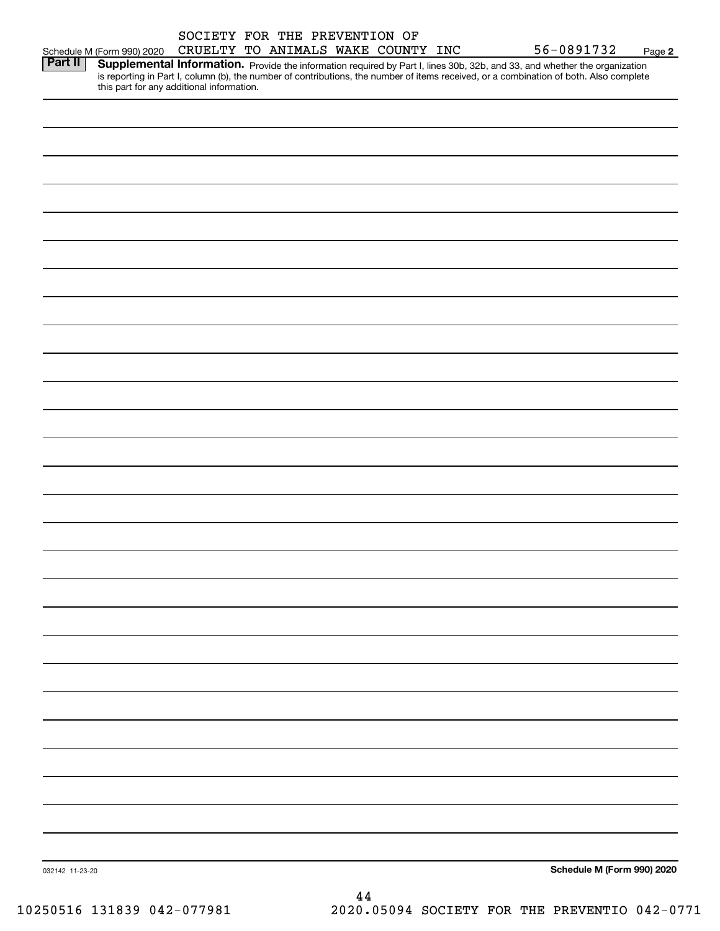|                 |                                                                                                                                                                                     | SOCIETY FOR THE PREVENTION OF      |  |     |  |                            |        |
|-----------------|-------------------------------------------------------------------------------------------------------------------------------------------------------------------------------------|------------------------------------|--|-----|--|----------------------------|--------|
|                 | Schedule M (Form 990) 2020                                                                                                                                                          | CRUELTY TO ANIMALS WAKE COUNTY INC |  |     |  | 56-0891732                 | Page 2 |
| Part II         | Supplemental Information. Provide the information required by Part I, lines 30b, 32b, and 33, and whether the organization                                                          |                                    |  |     |  |                            |        |
|                 | is reporting in Part I, column (b), the number of contributions, the number of items received, or a combination of both. Also complete<br>this part for any additional information. |                                    |  |     |  |                            |        |
|                 |                                                                                                                                                                                     |                                    |  |     |  |                            |        |
|                 |                                                                                                                                                                                     |                                    |  |     |  |                            |        |
|                 |                                                                                                                                                                                     |                                    |  |     |  |                            |        |
|                 |                                                                                                                                                                                     |                                    |  |     |  |                            |        |
|                 |                                                                                                                                                                                     |                                    |  |     |  |                            |        |
|                 |                                                                                                                                                                                     |                                    |  |     |  |                            |        |
|                 |                                                                                                                                                                                     |                                    |  |     |  |                            |        |
|                 |                                                                                                                                                                                     |                                    |  |     |  |                            |        |
|                 |                                                                                                                                                                                     |                                    |  |     |  |                            |        |
|                 |                                                                                                                                                                                     |                                    |  |     |  |                            |        |
|                 |                                                                                                                                                                                     |                                    |  |     |  |                            |        |
|                 |                                                                                                                                                                                     |                                    |  |     |  |                            |        |
|                 |                                                                                                                                                                                     |                                    |  |     |  |                            |        |
|                 |                                                                                                                                                                                     |                                    |  |     |  |                            |        |
|                 |                                                                                                                                                                                     |                                    |  |     |  |                            |        |
|                 |                                                                                                                                                                                     |                                    |  |     |  |                            |        |
|                 |                                                                                                                                                                                     |                                    |  |     |  |                            |        |
|                 |                                                                                                                                                                                     |                                    |  |     |  |                            |        |
|                 |                                                                                                                                                                                     |                                    |  |     |  |                            |        |
|                 |                                                                                                                                                                                     |                                    |  |     |  |                            |        |
|                 |                                                                                                                                                                                     |                                    |  |     |  |                            |        |
|                 |                                                                                                                                                                                     |                                    |  |     |  |                            |        |
|                 |                                                                                                                                                                                     |                                    |  |     |  |                            |        |
|                 |                                                                                                                                                                                     |                                    |  |     |  |                            |        |
|                 |                                                                                                                                                                                     |                                    |  |     |  |                            |        |
|                 |                                                                                                                                                                                     |                                    |  |     |  |                            |        |
|                 |                                                                                                                                                                                     |                                    |  |     |  |                            |        |
|                 |                                                                                                                                                                                     |                                    |  |     |  |                            |        |
|                 |                                                                                                                                                                                     |                                    |  |     |  |                            |        |
|                 |                                                                                                                                                                                     |                                    |  |     |  |                            |        |
|                 |                                                                                                                                                                                     |                                    |  |     |  |                            |        |
|                 |                                                                                                                                                                                     |                                    |  |     |  |                            |        |
|                 |                                                                                                                                                                                     |                                    |  |     |  |                            |        |
|                 |                                                                                                                                                                                     |                                    |  |     |  |                            |        |
|                 |                                                                                                                                                                                     |                                    |  |     |  |                            |        |
|                 |                                                                                                                                                                                     |                                    |  |     |  |                            |        |
|                 |                                                                                                                                                                                     |                                    |  |     |  |                            |        |
|                 |                                                                                                                                                                                     |                                    |  |     |  |                            |        |
|                 |                                                                                                                                                                                     |                                    |  |     |  |                            |        |
|                 |                                                                                                                                                                                     |                                    |  |     |  |                            |        |
|                 |                                                                                                                                                                                     |                                    |  |     |  |                            |        |
|                 |                                                                                                                                                                                     |                                    |  |     |  |                            |        |
|                 |                                                                                                                                                                                     |                                    |  |     |  |                            |        |
|                 |                                                                                                                                                                                     |                                    |  |     |  |                            |        |
|                 |                                                                                                                                                                                     |                                    |  |     |  |                            |        |
|                 |                                                                                                                                                                                     |                                    |  |     |  |                            |        |
|                 |                                                                                                                                                                                     |                                    |  |     |  |                            |        |
|                 |                                                                                                                                                                                     |                                    |  |     |  |                            |        |
|                 |                                                                                                                                                                                     |                                    |  |     |  |                            |        |
|                 |                                                                                                                                                                                     |                                    |  |     |  |                            |        |
|                 |                                                                                                                                                                                     |                                    |  |     |  |                            |        |
|                 |                                                                                                                                                                                     |                                    |  |     |  |                            |        |
|                 |                                                                                                                                                                                     |                                    |  |     |  |                            |        |
|                 |                                                                                                                                                                                     |                                    |  |     |  |                            |        |
|                 |                                                                                                                                                                                     |                                    |  |     |  |                            |        |
|                 |                                                                                                                                                                                     |                                    |  |     |  |                            |        |
|                 |                                                                                                                                                                                     |                                    |  |     |  |                            |        |
| 032142 11-23-20 |                                                                                                                                                                                     |                                    |  |     |  | Schedule M (Form 990) 2020 |        |
|                 |                                                                                                                                                                                     |                                    |  | 1 A |  |                            |        |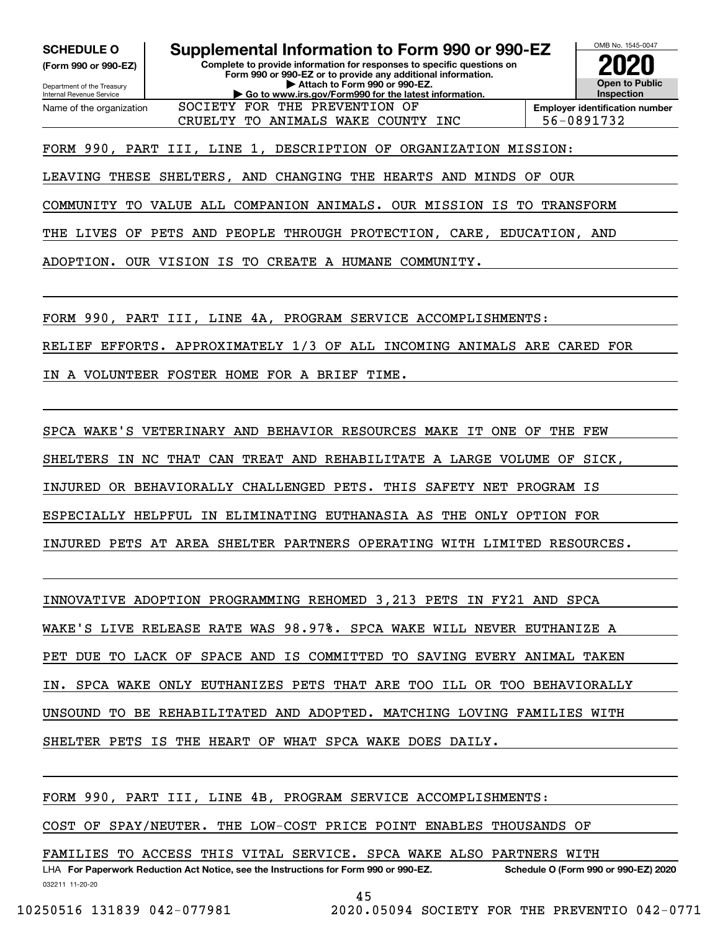**(Form 990 or 990-EZ)**

Department of the Treasury Internal Revenue Service Name of the organization

**SCHEDULE O Supplemental Information to Form 990 or 990-EZ**

**Complete to provide information for responses to specific questions on Form 990 or 990-EZ or to provide any additional information. | Attach to Form 990 or 990-EZ. | Go to www.irs.gov/Form990 for the latest information.**



CRUELTY TO ANIMALS WAKE COUNTY INC  $\vert$  56-0891732

FORM 990, PART III, LINE 1, DESCRIPTION OF ORGANIZATION MISSION:

SOCIETY FOR THE PREVENTION OF

LEAVING THESE SHELTERS, AND CHANGING THE HEARTS AND MINDS OF OUR

COMMUNITY TO VALUE ALL COMPANION ANIMALS. OUR MISSION IS TO TRANSFORM

THE LIVES OF PETS AND PEOPLE THROUGH PROTECTION, CARE, EDUCATION, AND

ADOPTION. OUR VISION IS TO CREATE A HUMANE COMMUNITY.

FORM 990, PART III, LINE 4A, PROGRAM SERVICE ACCOMPLISHMENTS:

RELIEF EFFORTS. APPROXIMATELY 1/3 OF ALL INCOMING ANIMALS ARE CARED FOR

IN A VOLUNTEER FOSTER HOME FOR A BRIEF TIME.

SPCA WAKE'S VETERINARY AND BEHAVIOR RESOURCES MAKE IT ONE OF THE FEW

SHELTERS IN NC THAT CAN TREAT AND REHABILITATE A LARGE VOLUME OF SICK,

INJURED OR BEHAVIORALLY CHALLENGED PETS. THIS SAFETY NET PROGRAM IS

ESPECIALLY HELPFUL IN ELIMINATING EUTHANASIA AS THE ONLY OPTION FOR

INJURED PETS AT AREA SHELTER PARTNERS OPERATING WITH LIMITED RESOURCES.

INNOVATIVE ADOPTION PROGRAMMING REHOMED 3,213 PETS IN FY21 AND SPCA

WAKE'S LIVE RELEASE RATE WAS 98.97%. SPCA WAKE WILL NEVER EUTHANIZE A

PET DUE TO LACK OF SPACE AND IS COMMITTED TO SAVING EVERY ANIMAL TAKEN

IN. SPCA WAKE ONLY EUTHANIZES PETS THAT ARE TOO ILL OR TOO BEHAVIORALLY

UNSOUND TO BE REHABILITATED AND ADOPTED. MATCHING LOVING FAMILIES WITH

SHELTER PETS IS THE HEART OF WHAT SPCA WAKE DOES DAILY.

FORM 990, PART III, LINE 4B, PROGRAM SERVICE ACCOMPLISHMENTS:

COST OF SPAY/NEUTER. THE LOW-COST PRICE POINT ENABLES THOUSANDS OF

FAMILIES TO ACCESS THIS VITAL SERVICE. SPCA WAKE ALSO PARTNERS WITH

032211 11-20-20 LHA For Paperwork Reduction Act Notice, see the Instructions for Form 990 or 990-EZ. Schedule O (Form 990 or 990-EZ) 2020

```
45
```
10250516 131839 042-077981 2020.05094 SOCIETY FOR THE PREVENTIO 042-0771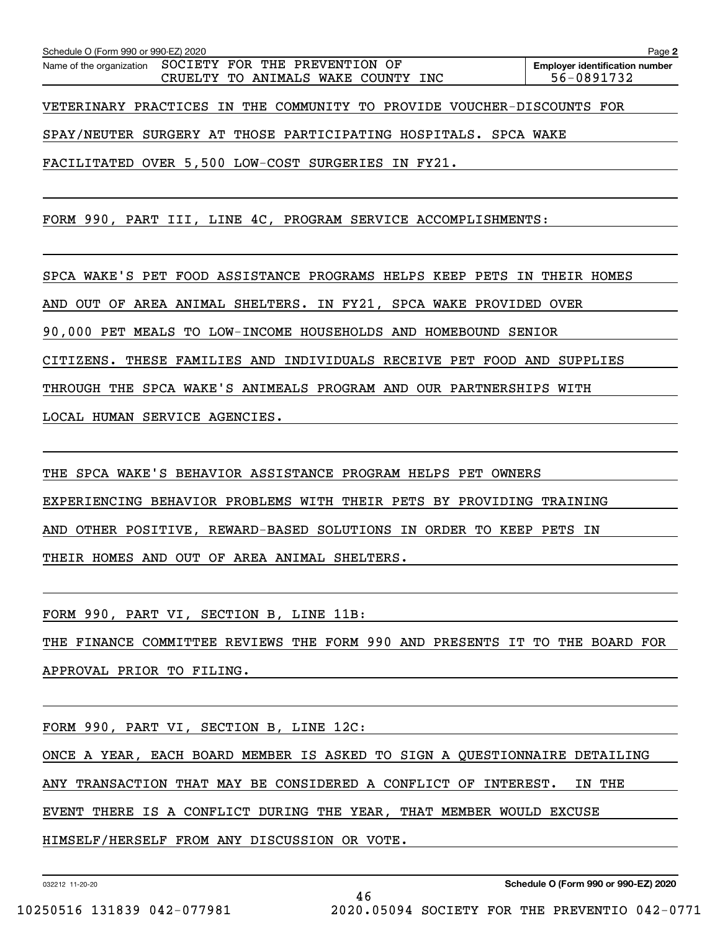| Schedule O (Form 990 or 990-EZ) 2020                                                               | Page 2                                              |
|----------------------------------------------------------------------------------------------------|-----------------------------------------------------|
| SOCIETY FOR THE PREVENTION OF<br>Name of the organization<br>TO ANIMALS WAKE COUNTY INC<br>CRUELTY | <b>Employer identification number</b><br>56-0891732 |
| VETERINARY PRACTICES IN THE COMMUNITY TO PROVIDE VOUCHER-DISCOUNTS FOR                             |                                                     |
| SPAY/NEUTER SURGERY AT THOSE PARTICIPATING HOSPITALS. SPCA WAKE                                    |                                                     |
| FACILITATED OVER 5,500 LOW-COST SURGERIES IN FY21.                                                 |                                                     |
|                                                                                                    |                                                     |
| FORM 990, PART III, LINE 4C, PROGRAM SERVICE ACCOMPLISHMENTS:                                      |                                                     |
|                                                                                                    |                                                     |

SPCA WAKE'S PET FOOD ASSISTANCE PROGRAMS HELPS KEEP PETS IN THEIR HOMES

AND OUT OF AREA ANIMAL SHELTERS. IN FY21, SPCA WAKE PROVIDED OVER

90,000 PET MEALS TO LOW-INCOME HOUSEHOLDS AND HOMEBOUND SENIOR

CITIZENS. THESE FAMILIES AND INDIVIDUALS RECEIVE PET FOOD AND SUPPLIES

THROUGH THE SPCA WAKE'S ANIMEALS PROGRAM AND OUR PARTNERSHIPS WITH

LOCAL HUMAN SERVICE AGENCIES.

THE SPCA WAKE'S BEHAVIOR ASSISTANCE PROGRAM HELPS PET OWNERS EXPERIENCING BEHAVIOR PROBLEMS WITH THEIR PETS BY PROVIDING TRAINING AND OTHER POSITIVE, REWARD-BASED SOLUTIONS IN ORDER TO KEEP PETS IN THEIR HOMES AND OUT OF AREA ANIMAL SHELTERS.

FORM 990, PART VI, SECTION B, LINE 11B:

THE FINANCE COMMITTEE REVIEWS THE FORM 990 AND PRESENTS IT TO THE BOARD FOR APPROVAL PRIOR TO FILING.

FORM 990, PART VI, SECTION B, LINE 12C: ONCE A YEAR, EACH BOARD MEMBER IS ASKED TO SIGN A QUESTIONNAIRE DETAILING ANY TRANSACTION THAT MAY BE CONSIDERED A CONFLICT OF INTEREST. IN THE EVENT THERE IS A CONFLICT DURING THE YEAR, THAT MEMBER WOULD EXCUSE HIMSELF/HERSELF FROM ANY DISCUSSION OR VOTE.

46

032212 11-20-20